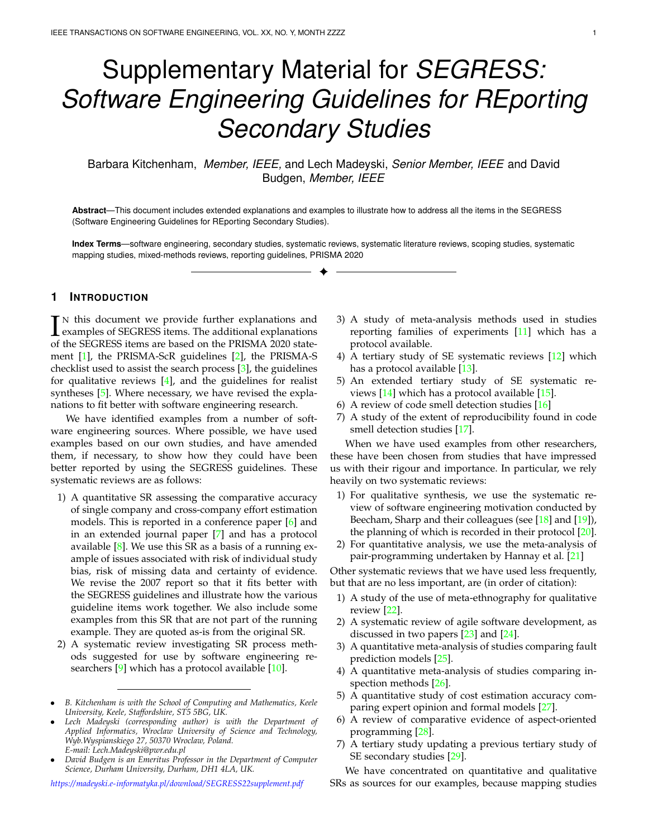# Supplementary Material for *SEGRESS: Software Engineering Guidelines for REporting Secondary Studies*

Barbara Kitchenham, *Member, IEEE,* and Lech Madeyski, *Senior Member, IEEE* and David Budgen, *Member, IEEE*

**Abstract**—This document includes extended explanations and examples to illustrate how to address all the items in the SEGRESS (Software Engineering Guidelines for REporting Secondary Studies).

**Index Terms**—software engineering, secondary studies, systematic reviews, systematic literature reviews, scoping studies, systematic mapping studies, mixed-methods reviews, reporting guidelines, PRISMA 2020 ✦

# **1 INTRODUCTION**

IN this document we provide further explanations and<br>examples of SEGRESS items. The additional explanations<br>of the SEGRESS items are based on the PRISMA 2020 state  $\mathbf{T}$ <sup>N</sup> this document we provide further explanations and of the SEGRESS items are based on the PRISMA 2020 statement [\[1\]](#page-35-0), the PRISMA-ScR guidelines [\[2\]](#page-35-1), the PRISMA-S checklist used to assist the search process [\[3\]](#page-35-2), the guidelines for qualitative reviews  $[4]$ , and the guidelines for realist syntheses [\[5\]](#page-35-4). Where necessary, we have revised the explanations to fit better with software engineering research.

We have identified examples from a number of software engineering sources. Where possible, we have used examples based on our own studies, and have amended them, if necessary, to show how they could have been better reported by using the SEGRESS guidelines. These systematic reviews are as follows:

- 1) A quantitative SR assessing the comparative accuracy of single company and cross-company effort estimation models. This is reported in a conference paper [\[6\]](#page-35-5) and in an extended journal paper [\[7\]](#page-35-6) and has a protocol available  $[8]$ . We use this SR as a basis of a running example of issues associated with risk of individual study bias, risk of missing data and certainty of evidence. We revise the 2007 report so that it fits better with the SEGRESS guidelines and illustrate how the various guideline items work together. We also include some examples from this SR that are not part of the running example. They are quoted as-is from the original SR.
- 2) A systematic review investigating SR process methods suggested for use by software engineering re-searchers [\[9\]](#page-35-8) which has a protocol available [\[10\]](#page-35-9).

- *Lech Madeyski (corresponding author) is with the Department of Applied Informatics, Wroclaw University of Science and Technology, Wyb.Wyspianskiego 27, 50370 Wroclaw, Poland. E-mail: Lech.Madeyski@pwr.edu.pl*
- *David Budgen is an Emeritus Professor in the Department of Computer Science, Durham University, Durham, DH1 4LA, UK.*

*<https://madeyski.e-informatyka.pl/download/SEGRESS22supplement.pdf>*

- 3) A study of meta-analysis methods used in studies reporting families of experiments [\[11\]](#page-35-10) which has a protocol available.
- 4) A tertiary study of SE systematic reviews [\[12\]](#page-35-11) which has a protocol available [\[13\]](#page-35-12).
- 5) An extended tertiary study of SE systematic reviews [\[14\]](#page-35-13) which has a protocol available [\[15\]](#page-35-14).
- 6) A review of code smell detection studies [\[16\]](#page-35-15)
- 7) A study of the extent of reproducibility found in code smell detection studies [\[17\]](#page-35-16).

When we have used examples from other researchers, these have been chosen from studies that have impressed us with their rigour and importance. In particular, we rely heavily on two systematic reviews:

- 1) For qualitative synthesis, we use the systematic review of software engineering motivation conducted by Beecham, Sharp and their colleagues (see [\[18\]](#page-35-17) and [\[19\]](#page-35-18)), the planning of which is recorded in their protocol [\[20\]](#page-35-19).
- 2) For quantitative analysis, we use the meta-analysis of pair-programming undertaken by Hannay et al. [\[21\]](#page-35-20)

Other systematic reviews that we have used less frequently, but that are no less important, are (in order of citation):

- 1) A study of the use of meta-ethnography for qualitative review [\[22\]](#page-35-21).
- 2) A systematic review of agile software development, as discussed in two papers [\[23\]](#page-35-22) and [\[24\]](#page-35-23).
- 3) A quantitative meta-analysis of studies comparing fault prediction models [\[25\]](#page-35-24).
- 4) A quantitative meta-analysis of studies comparing inspection methods [\[26\]](#page-35-25).
- 5) A quantitative study of cost estimation accuracy comparing expert opinion and formal models [\[27\]](#page-35-26).
- 6) A review of comparative evidence of aspect-oriented programming [\[28\]](#page-35-27).
- 7) A tertiary study updating a previous tertiary study of SE secondary studies [\[29\]](#page-35-28).

We have concentrated on quantitative and qualitative SRs as sources for our examples, because mapping studies

<sup>•</sup> *B. Kitchenham is with the School of Computing and Mathematics, Keele University, Keele, Staffordshire, ST5 5BG, UK.*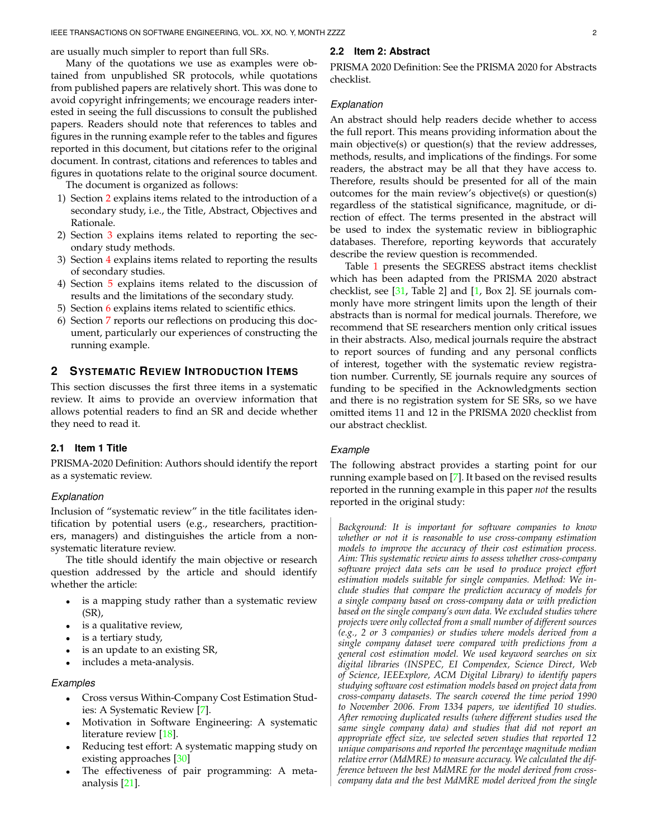are usually much simpler to report than full SRs.

# Many of the quotations we use as examples were obtained from unpublished SR protocols, while quotations from published papers are relatively short. This was done to avoid copyright infringements; we encourage readers interested in seeing the full discussions to consult the published papers. Readers should note that references to tables and figures in the running example refer to the tables and figures

reported in this document, but citations refer to the original document. In contrast, citations and references to tables and figures in quotations relate to the original source document. The document is organized as follows:

- 1) Section [2](#page-1-0) explains items related to the introduction of a secondary study, i.e., the Title, Abstract, Objectives and Rationale.
- 2) Section [3](#page-3-0) explains items related to reporting the secondary study methods.
- 3) Section [4](#page-20-0) explains items related to reporting the results of secondary studies.
- 4) Section [5](#page-31-0) explains items related to the discussion of results and the limitations of the secondary study.
- 5) Section [6](#page-32-0) explains items related to scientific ethics.
- 6) Section [7](#page-34-0) reports our reflections on producing this document, particularly our experiences of constructing the running example.

# <span id="page-1-0"></span>**2 SYSTEMATIC REVIEW INTRODUCTION ITEMS**

This section discusses the first three items in a systematic review. It aims to provide an overview information that allows potential readers to find an SR and decide whether they need to read it.

#### **2.1 Item 1 Title**

PRISMA-2020 Definition: Authors should identify the report as a systematic review.

#### *Explanation*

Inclusion of "systematic review" in the title facilitates identification by potential users (e.g., researchers, practitioners, managers) and distinguishes the article from a nonsystematic literature review.

The title should identify the main objective or research question addressed by the article and should identify whether the article:

- is a mapping study rather than a systematic review (SR),
- is a qualitative review,
- is a tertiary study,
- is an update to an existing SR,
- includes a meta-analysis.

#### *Examples*

- Cross versus Within-Company Cost Estimation Studies: A Systematic Review [\[7\]](#page-35-6).
- Motivation in Software Engineering: A systematic literature review [\[18\]](#page-35-17).
- Reducing test effort: A systematic mapping study on existing approaches [\[30\]](#page-35-29)
- The effectiveness of pair programming: A metaanalysis [\[21\]](#page-35-20).

# **2.2 Item 2: Abstract**

PRISMA 2020 Definition: See the PRISMA 2020 for Abstracts checklist.

## *Explanation*

An abstract should help readers decide whether to access the full report. This means providing information about the main objective(s) or question(s) that the review addresses, methods, results, and implications of the findings. For some readers, the abstract may be all that they have access to. Therefore, results should be presented for all of the main outcomes for the main review's objective(s) or question(s) regardless of the statistical significance, magnitude, or direction of effect. The terms presented in the abstract will be used to index the systematic review in bibliographic databases. Therefore, reporting keywords that accurately describe the review question is recommended.

Table [1](#page-2-0) presents the SEGRESS abstract items checklist which has been adapted from the PRISMA 2020 abstract checklist, see  $[31,$  Table 2] and  $[1,$  Box 2]. SE journals commonly have more stringent limits upon the length of their abstracts than is normal for medical journals. Therefore, we recommend that SE researchers mention only critical issues in their abstracts. Also, medical journals require the abstract to report sources of funding and any personal conflicts of interest, together with the systematic review registration number. Currently, SE journals require any sources of funding to be specified in the Acknowledgments section and there is no registration system for SE SRs, so we have omitted items 11 and 12 in the PRISMA 2020 checklist from our abstract checklist.

#### *Example*

The following abstract provides a starting point for our running example based on [\[7\]](#page-35-6). It based on the revised results reported in the running example in this paper *not* the results reported in the original study:

*Background: It is important for software companies to know whether or not it is reasonable to use cross-company estimation models to improve the accuracy of their cost estimation process. Aim: This systematic review aims to assess whether cross-company software project data sets can be used to produce project effort estimation models suitable for single companies. Method: We include studies that compare the prediction accuracy of models for a single company based on cross-company data or with prediction based on the single company's own data. We excluded studies where projects were only collected from a small number of different sources (e.g., 2 or 3 companies) or studies where models derived from a single company dataset were compared with predictions from a general cost estimation model. We used keyword searches on six digital libraries (INSPEC, EI Compendex, Science Direct, Web of Science, IEEExplore, ACM Digital Library) to identify papers studying software cost estimation models based on project data from cross-company datasets. The search covered the time period 1990 to November 2006. From 1334 papers, we identified 10 studies. After removing duplicated results (where different studies used the same single company data) and studies that did not report an appropriate effect size, we selected seven studies that reported 12 unique comparisons and reported the percentage magnitude median relative error (MdMRE) to measure accuracy. We calculated the difference between the best MdMRE for the model derived from crosscompany data and the best MdMRE model derived from the single*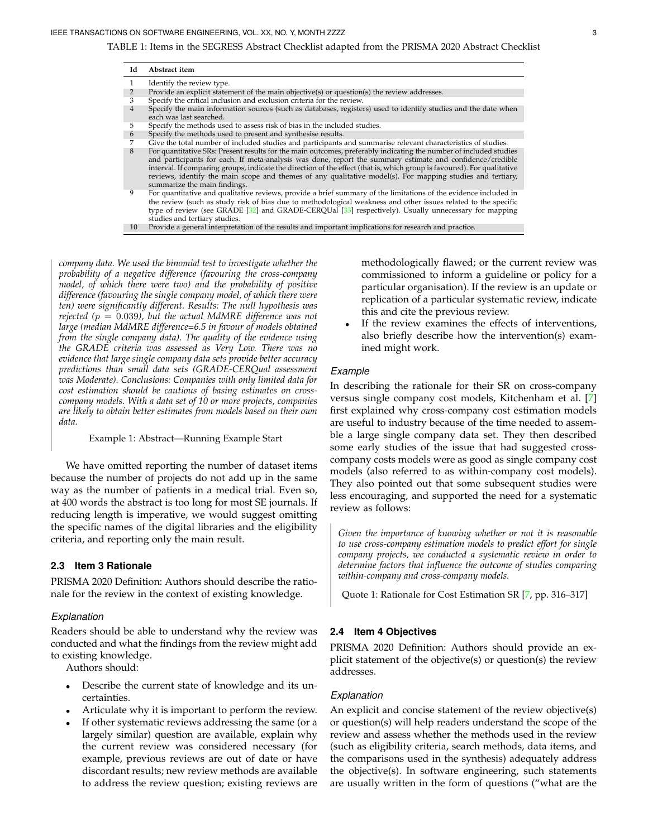<span id="page-2-0"></span>TABLE 1: Items in the SEGRESS Abstract Checklist adapted from the PRISMA 2020 Abstract Checklist

| Id             | Abstract item                                                                                                                                                                                                                                                                                                                                                                                                                                                                                           |
|----------------|---------------------------------------------------------------------------------------------------------------------------------------------------------------------------------------------------------------------------------------------------------------------------------------------------------------------------------------------------------------------------------------------------------------------------------------------------------------------------------------------------------|
|                | Identify the review type.                                                                                                                                                                                                                                                                                                                                                                                                                                                                               |
| 2              | Provide an explicit statement of the main objective(s) or question(s) the review addresses.                                                                                                                                                                                                                                                                                                                                                                                                             |
| 3              | Specify the critical inclusion and exclusion criteria for the review.                                                                                                                                                                                                                                                                                                                                                                                                                                   |
| $\overline{4}$ | Specify the main information sources (such as databases, registers) used to identify studies and the date when<br>each was last searched.                                                                                                                                                                                                                                                                                                                                                               |
| 5              | Specify the methods used to assess risk of bias in the included studies.                                                                                                                                                                                                                                                                                                                                                                                                                                |
| 6              | Specify the methods used to present and synthesise results.                                                                                                                                                                                                                                                                                                                                                                                                                                             |
|                | Give the total number of included studies and participants and summarise relevant characteristics of studies.                                                                                                                                                                                                                                                                                                                                                                                           |
| 8              | For quantitative SRs: Present results for the main outcomes, preferably indicating the number of included studies<br>and participants for each. If meta-analysis was done, report the summary estimate and confidence/credible<br>interval. If comparing groups, indicate the direction of the effect (that is, which group is favoured). For qualitative<br>reviews, identify the main scope and themes of any qualitative model(s). For mapping studies and tertiary,<br>summarize the main findings. |
| 9              | For quantitative and qualitative reviews, provide a brief summary of the limitations of the evidence included in<br>the review (such as study risk of bias due to methodological weakness and other issues related to the specific<br>type of review (see GRADE [32] and GRADE-CERQUal [33] respectively). Usually unnecessary for mapping<br>studies and tertiary studies.                                                                                                                             |
| 10             | Provide a general interpretation of the results and important implications for research and practice.                                                                                                                                                                                                                                                                                                                                                                                                   |

*company data. We used the binomial test to investigate whether the probability of a negative difference (favouring the cross-company model, of which there were two) and the probability of positive difference (favouring the single company model, of which there were ten) were significantly different. Results: The null hypothesis was rejected (*p = 0.039*), but the actual MdMRE difference was not large (median MdMRE difference=6.5 in favour of models obtained from the single company data). The quality of the evidence using the GRADE criteria was assessed as Very Low. There was no evidence that large single company data sets provide better accuracy predictions than small data sets (GRADE-CERQual assessment was Moderate). Conclusions: Companies with only limited data for cost estimation should be cautious of basing estimates on crosscompany models. With a data set of 10 or more projects, companies are likely to obtain better estimates from models based on their own data.*

Example 1: Abstract—Running Example Start

We have omitted reporting the number of dataset items because the number of projects do not add up in the same way as the number of patients in a medical trial. Even so, at 400 words the abstract is too long for most SE journals. If reducing length is imperative, we would suggest omitting the specific names of the digital libraries and the eligibility criteria, and reporting only the main result.

## **2.3 Item 3 Rationale**

PRISMA 2020 Definition: Authors should describe the rationale for the review in the context of existing knowledge.

#### *Explanation*

Readers should be able to understand why the review was conducted and what the findings from the review might add to existing knowledge.

Authors should:

- Describe the current state of knowledge and its uncertainties.
- Articulate why it is important to perform the review.
- If other systematic reviews addressing the same (or a largely similar) question are available, explain why the current review was considered necessary (for example, previous reviews are out of date or have discordant results; new review methods are available to address the review question; existing reviews are

methodologically flawed; or the current review was commissioned to inform a guideline or policy for a particular organisation). If the review is an update or replication of a particular systematic review, indicate this and cite the previous review.

If the review examines the effects of interventions, also briefly describe how the intervention(s) examined might work.

## *Example*

In describing the rationale for their SR on cross-company versus single company cost models, Kitchenham et al. [\[7\]](#page-35-6) first explained why cross-company cost estimation models are useful to industry because of the time needed to assemble a large single company data set. They then described some early studies of the issue that had suggested crosscompany costs models were as good as single company cost models (also referred to as within-company cost models). They also pointed out that some subsequent studies were less encouraging, and supported the need for a systematic review as follows:

*Given the importance of knowing whether or not it is reasonable to use cross-company estimation models to predict effort for single company projects, we conducted a systematic review in order to determine factors that influence the outcome of studies comparing within-company and cross-company models.*

Quote 1: Rationale for Cost Estimation SR [\[7,](#page-35-6) pp. 316–317]

#### **2.4 Item 4 Objectives**

PRISMA 2020 Definition: Authors should provide an explicit statement of the objective(s) or question(s) the review addresses.

#### *Explanation*

An explicit and concise statement of the review objective(s) or question(s) will help readers understand the scope of the review and assess whether the methods used in the review (such as eligibility criteria, search methods, data items, and the comparisons used in the synthesis) adequately address the objective(s). In software engineering, such statements are usually written in the form of questions ("what are the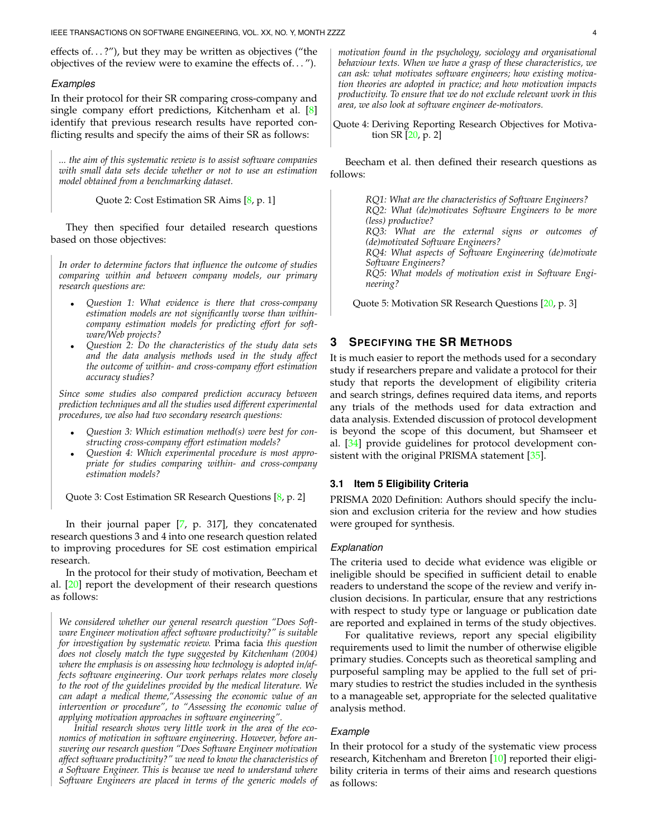effects of...?"), but they may be written as objectives ("the objectives of the review were to examine the effects of. . . ").

#### *Examples*

In their protocol for their SR comparing cross-company and single company effort predictions, Kitchenham et al. [\[8\]](#page-35-7) identify that previous research results have reported conflicting results and specify the aims of their SR as follows:

*... the aim of this systematic review is to assist software companies with small data sets decide whether or not to use an estimation model obtained from a benchmarking dataset.*

Quote 2: Cost Estimation SR Aims [\[8,](#page-35-7) p. 1]

They then specified four detailed research questions based on those objectives:

*In order to determine factors that influence the outcome of studies comparing within and between company models, our primary research questions are:*

- *Question 1: What evidence is there that cross-company estimation models are not significantly worse than withincompany estimation models for predicting effort for software/Web projects?*
- *Question 2: Do the characteristics of the study data sets and the data analysis methods used in the study affect the outcome of within- and cross-company effort estimation accuracy studies?*

*Since some studies also compared prediction accuracy between prediction techniques and all the studies used different experimental procedures, we also had two secondary research questions:*

- *Question 3: Which estimation method(s) were best for constructing cross-company effort estimation models?*
- *Question 4: Which experimental procedure is most appropriate for studies comparing within- and cross-company estimation models?*

Quote 3: Cost Estimation SR Research Questions [\[8,](#page-35-7) p. 2]

In their journal paper [\[7,](#page-35-6) p. 317], they concatenated research questions 3 and 4 into one research question related to improving procedures for SE cost estimation empirical research.

In the protocol for their study of motivation, Beecham et al. [\[20\]](#page-35-19) report the development of their research questions as follows:

*We considered whether our general research question "Does Software Engineer motivation affect software productivity?" is suitable for investigation by systematic review.* Prima facia *this question does not closely match the type suggested by Kitchenham (2004) where the emphasis is on assessing how technology is adopted in/affects software engineering. Our work perhaps relates more closely to the root of the guidelines provided by the medical literature. We can adapt a medical theme,"Assessing the economic value of an intervention or procedure", to "Assessing the economic value of applying motivation approaches in software engineering".*

*Initial research shows very little work in the area of the economics of motivation in software engineering. However, before answering our research question "Does Software Engineer motivation affect software productivity?" we need to know the characteristics of a Software Engineer. This is because we need to understand where Software Engineers are placed in terms of the generic models of*

*motivation found in the psychology, sociology and organisational behaviour texts. When we have a grasp of these characteristics, we can ask: what motivates software engineers; how existing motivation theories are adopted in practice; and how motivation impacts productivity. To ensure that we do not exclude relevant work in this area, we also look at software engineer de-motivators.*

Quote 4: Deriving Reporting Research Objectives for Motivation SR [\[20,](#page-35-19) p. 2]

Beecham et al. then defined their research questions as follows:

> *RQ1: What are the characteristics of Software Engineers? RQ2: What (de)motivates Software Engineers to be more (less) productive? RQ3: What are the external signs or outcomes of (de)motivated Software Engineers?*

> *RQ4: What aspects of Software Engineering (de)motivate Software Engineers?*

*RQ5: What models of motivation exist in Software Engineering?*

Quote 5: Motivation SR Research Questions [\[20,](#page-35-19) p. 3]

# <span id="page-3-0"></span>**3 SPECIFYING THE SR METHODS**

It is much easier to report the methods used for a secondary study if researchers prepare and validate a protocol for their study that reports the development of eligibility criteria and search strings, defines required data items, and reports any trials of the methods used for data extraction and data analysis. Extended discussion of protocol development is beyond the scope of this document, but Shamseer et al. [\[34\]](#page-36-0) provide guidelines for protocol development consistent with the original PRISMA statement [\[35\]](#page-36-1).

#### **3.1 Item 5 Eligibility Criteria**

PRISMA 2020 Definition: Authors should specify the inclusion and exclusion criteria for the review and how studies were grouped for synthesis.

## *Explanation*

The criteria used to decide what evidence was eligible or ineligible should be specified in sufficient detail to enable readers to understand the scope of the review and verify inclusion decisions. In particular, ensure that any restrictions with respect to study type or language or publication date are reported and explained in terms of the study objectives.

For qualitative reviews, report any special eligibility requirements used to limit the number of otherwise eligible primary studies. Concepts such as theoretical sampling and purposeful sampling may be applied to the full set of primary studies to restrict the studies included in the synthesis to a manageable set, appropriate for the selected qualitative analysis method.

#### *Example*

In their protocol for a study of the systematic view process research, Kitchenham and Brereton [\[10\]](#page-35-9) reported their eligibility criteria in terms of their aims and research questions as follows: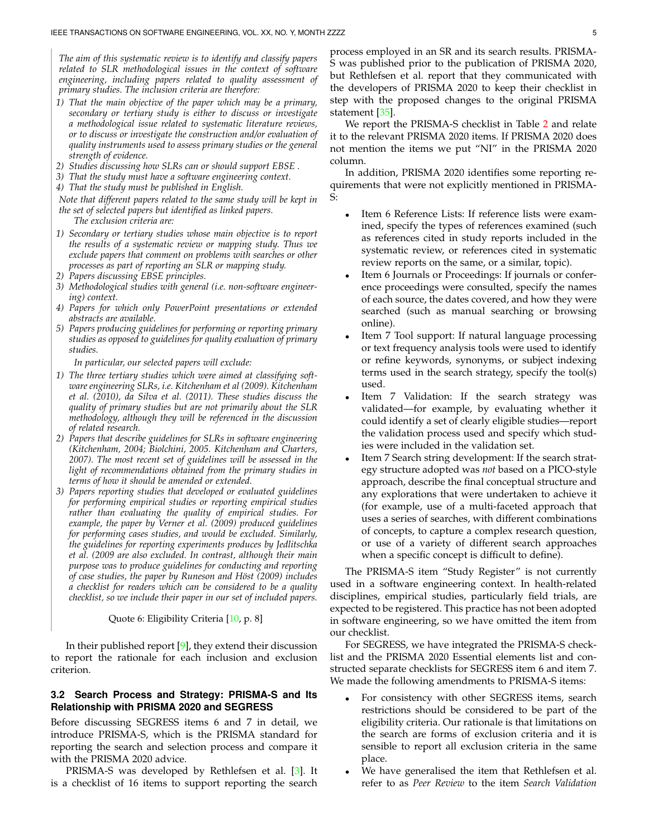*The aim of this systematic review is to identify and classify papers related to SLR methodological issues in the context of software engineering, including papers related to quality assessment of primary studies. The inclusion criteria are therefore:*

- *1) That the main objective of the paper which may be a primary, secondary or tertiary study is either to discuss or investigate a methodological issue related to systematic literature reviews, or to discuss or investigate the construction and/or evaluation of quality instruments used to assess primary studies or the general strength of evidence.*
- *2) Studies discussing how SLRs can or should support EBSE .*
- *3) That the study must have a software engineering context.*
- *4) That the study must be published in English.*

*Note that different papers related to the same study will be kept in the set of selected papers but identified as linked papers.*

*The exclusion criteria are:*

- *1) Secondary or tertiary studies whose main objective is to report the results of a systematic review or mapping study. Thus we exclude papers that comment on problems with searches or other processes as part of reporting an SLR or mapping study.*
- *2) Papers discussing EBSE principles.*
- *3) Methodological studies with general (i.e. non-software engineering) context.*
- *4) Papers for which only PowerPoint presentations or extended abstracts are available.*
- *5) Papers producing guidelines for performing or reporting primary studies as opposed to guidelines for quality evaluation of primary studies.*

*In particular, our selected papers will exclude:*

- *1) The three tertiary studies which were aimed at classifying software engineering SLRs, i.e. Kitchenham et al (2009). Kitchenham et al. (2010), da Silva et al. (2011). These studies discuss the quality of primary studies but are not primarily about the SLR methodology, although they will be referenced in the discussion of related research.*
- *2) Papers that describe guidelines for SLRs in software engineering (Kitchenham, 2004; Biolchini, 2005. Kitchenham and Charters, 2007). The most recent set of guidelines will be assessed in the light of recommendations obtained from the primary studies in terms of how it should be amended or extended.*
- *3) Papers reporting studies that developed or evaluated guidelines for performing empirical studies or reporting empirical studies rather than evaluating the quality of empirical studies. For example, the paper by Verner et al. (2009) produced guidelines for performing cases studies, and would be excluded. Similarly, the guidelines for reporting experiments produces by Jedlitschka et al. (2009 are also excluded. In contrast, although their main purpose was to produce guidelines for conducting and reporting of case studies, the paper by Runeson and H¨ost (2009) includes a checklist for readers which can be considered to be a quality checklist, so we include their paper in our set of included papers.*

#### Quote 6: Eligibility Criteria [\[10,](#page-35-9) p. 8]

In their published report  $[9]$ , they extend their discussion to report the rationale for each inclusion and exclusion criterion.

## <span id="page-4-0"></span>**3.2 Search Process and Strategy: PRISMA-S and Its Relationship with PRISMA 2020 and SEGRESS**

Before discussing SEGRESS items 6 and 7 in detail, we introduce PRISMA-S, which is the PRISMA standard for reporting the search and selection process and compare it with the PRISMA 2020 advice.

PRISMA-S was developed by Rethlefsen et al. [\[3\]](#page-35-2). It is a checklist of 16 items to support reporting the search

process employed in an SR and its search results. PRISMA-S was published prior to the publication of PRISMA 2020, but Rethlefsen et al. report that they communicated with the developers of PRISMA 2020 to keep their checklist in step with the proposed changes to the original PRISMA statement [\[35\]](#page-36-1).

We report the PRISMA-S checklist in Table [2](#page-5-0) and relate it to the relevant PRISMA 2020 items. If PRISMA 2020 does not mention the items we put "NI" in the PRISMA 2020 column.

In addition, PRISMA 2020 identifies some reporting requirements that were not explicitly mentioned in PRISMA-S:

- Item 6 Reference Lists: If reference lists were examined, specify the types of references examined (such as references cited in study reports included in the systematic review, or references cited in systematic review reports on the same, or a similar, topic).
- Item 6 Journals or Proceedings: If journals or conference proceedings were consulted, specify the names of each source, the dates covered, and how they were searched (such as manual searching or browsing online).
- Item 7 Tool support: If natural language processing or text frequency analysis tools were used to identify or refine keywords, synonyms, or subject indexing terms used in the search strategy, specify the tool(s) used.
- Item 7 Validation: If the search strategy was validated—for example, by evaluating whether it could identify a set of clearly eligible studies—report the validation process used and specify which studies were included in the validation set.
- Item 7 Search string development: If the search strategy structure adopted was *not* based on a PICO-style approach, describe the final conceptual structure and any explorations that were undertaken to achieve it (for example, use of a multi-faceted approach that uses a series of searches, with different combinations of concepts, to capture a complex research question, or use of a variety of different search approaches when a specific concept is difficult to define).

The PRISMA-S item "Study Register" is not currently used in a software engineering context. In health-related disciplines, empirical studies, particularly field trials, are expected to be registered. This practice has not been adopted in software engineering, so we have omitted the item from our checklist.

For SEGRESS, we have integrated the PRISMA-S checklist and the PRISMA 2020 Essential elements list and constructed separate checklists for SEGRESS item 6 and item 7. We made the following amendments to PRISMA-S items:

- For consistency with other SEGRESS items, search restrictions should be considered to be part of the eligibility criteria. Our rationale is that limitations on the search are forms of exclusion criteria and it is sensible to report all exclusion criteria in the same place.
- We have generalised the item that Rethlefsen et al. refer to as *Peer Review* to the item *Search Validation*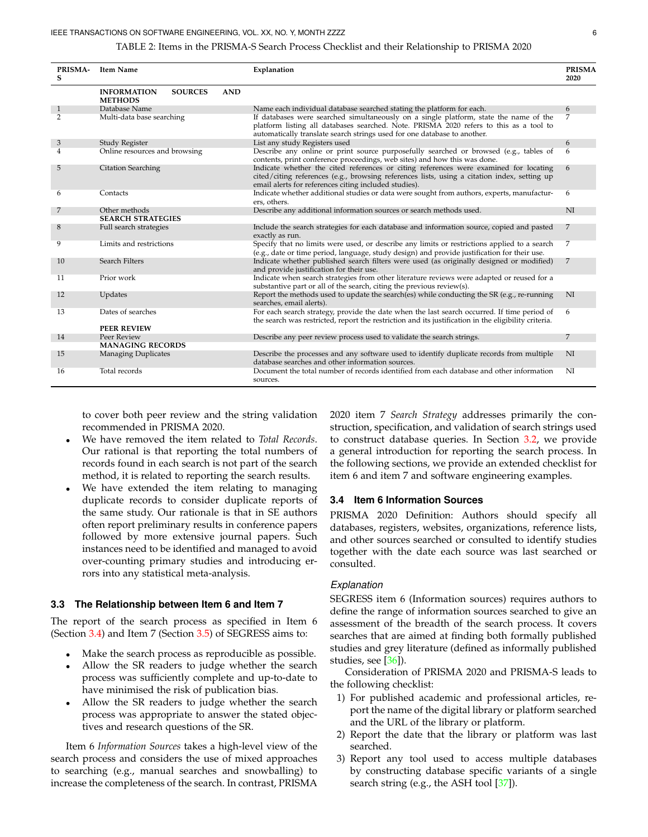#### TABLE 2: Items in the PRISMA-S Search Process Checklist and their Relationship to PRISMA 2020

<span id="page-5-0"></span>

| <b>PRISMA-</b><br>s | <b>Item Name</b>                     |                |            | Explanation                                                                                                                                                                                                                                                 | <b>PRISMA</b><br>2020 |
|---------------------|--------------------------------------|----------------|------------|-------------------------------------------------------------------------------------------------------------------------------------------------------------------------------------------------------------------------------------------------------------|-----------------------|
|                     | <b>INFORMATION</b><br><b>METHODS</b> | <b>SOURCES</b> | <b>AND</b> |                                                                                                                                                                                                                                                             |                       |
| $\mathbf{1}$        | Database Name                        |                |            | Name each individual database searched stating the platform for each.                                                                                                                                                                                       | 6                     |
| $\overline{2}$      | Multi-data base searching            |                |            | If databases were searched simultaneously on a single platform, state the name of the<br>platform listing all databases searched. Note. PRISMA 2020 refers to this as a tool to<br>automatically translate search strings used for one database to another. | 7                     |
| 3                   | Study Register                       |                |            | List any study Registers used                                                                                                                                                                                                                               | 6                     |
| 4                   | Online resources and browsing        |                |            | Describe any online or print source purposefully searched or browsed (e.g., tables of<br>contents, print conference proceedings, web sites) and how this was done.                                                                                          | 6                     |
| 5                   | <b>Citation Searching</b>            |                |            | Indicate whether the cited references or citing references were examined for locating<br>cited/citing references (e.g., browsing references lists, using a citation index, setting up<br>email alerts for references citing included studies).              | 6                     |
| 6                   | Contacts                             |                |            | Indicate whether additional studies or data were sought from authors, experts, manufactur-<br>ers, others.                                                                                                                                                  | 6                     |
| 7                   | Other methods                        |                |            | Describe any additional information sources or search methods used.                                                                                                                                                                                         | NI                    |
|                     | <b>SEARCH STRATEGIES</b>             |                |            |                                                                                                                                                                                                                                                             |                       |
| 8                   | Full search strategies               |                |            | Include the search strategies for each database and information source, copied and pasted<br>exactly as run.                                                                                                                                                | 7                     |
| 9                   | Limits and restrictions              |                |            | Specify that no limits were used, or describe any limits or restrictions applied to a search<br>(e.g., date or time period, language, study design) and provide justification for their use.                                                                | 7                     |
| 10                  | Search Filters                       |                |            | Indicate whether published search filters were used (as originally designed or modified)<br>and provide justification for their use.                                                                                                                        | 7                     |
| 11                  | Prior work                           |                |            | Indicate when search strategies from other literature reviews were adapted or reused for a<br>substantive part or all of the search, citing the previous review(s).                                                                                         |                       |
| 12                  | Updates                              |                |            | Report the methods used to update the search(es) while conducting the SR (e.g., re-running<br>searches, email alerts).                                                                                                                                      | NI                    |
| 13                  | Dates of searches                    |                |            | For each search strategy, provide the date when the last search occurred. If time period of<br>the search was restricted, report the restriction and its justification in the eligibility criteria.                                                         | 6                     |
|                     | <b>PEER REVIEW</b>                   |                |            |                                                                                                                                                                                                                                                             |                       |
| 14                  | Peer Review                          |                |            | Describe any peer review process used to validate the search strings.                                                                                                                                                                                       | 7                     |
|                     | <b>MANAGING RECORDS</b>              |                |            |                                                                                                                                                                                                                                                             |                       |
| 15                  | <b>Managing Duplicates</b>           |                |            | Describe the processes and any software used to identify duplicate records from multiple<br>database searches and other information sources.                                                                                                                | NI                    |
| 16                  | Total records                        |                |            | Document the total number of records identified from each database and other information<br>sources.                                                                                                                                                        | NI                    |

to cover both peer review and the string validation recommended in PRISMA 2020.

- We have removed the item related to *Total Records*. Our rational is that reporting the total numbers of records found in each search is not part of the search method, it is related to reporting the search results.
- We have extended the item relating to managing duplicate records to consider duplicate reports of the same study. Our rationale is that in SE authors often report preliminary results in conference papers followed by more extensive journal papers. Such instances need to be identified and managed to avoid over-counting primary studies and introducing errors into any statistical meta-analysis.

#### **3.3 The Relationship between Item 6 and Item 7**

The report of the search process as specified in Item 6 (Section [3.4\)](#page-5-1) and Item 7 (Section [3.5\)](#page-6-0) of SEGRESS aims to:

- Make the search process as reproducible as possible.
- Allow the SR readers to judge whether the search process was sufficiently complete and up-to-date to have minimised the risk of publication bias.
- Allow the SR readers to judge whether the search process was appropriate to answer the stated objectives and research questions of the SR.

Item 6 *Information Sources* takes a high-level view of the search process and considers the use of mixed approaches to searching (e.g., manual searches and snowballing) to increase the completeness of the search. In contrast, PRISMA

2020 item 7 *Search Strategy* addresses primarily the construction, specification, and validation of search strings used to construct database queries. In Section [3.2,](#page-4-0) we provide a general introduction for reporting the search process. In the following sections, we provide an extended checklist for item 6 and item 7 and software engineering examples.

## <span id="page-5-1"></span>**3.4 Item 6 Information Sources**

PRISMA 2020 Definition: Authors should specify all databases, registers, websites, organizations, reference lists, and other sources searched or consulted to identify studies together with the date each source was last searched or consulted.

#### *Explanation*

SEGRESS item 6 (Information sources) requires authors to define the range of information sources searched to give an assessment of the breadth of the search process. It covers searches that are aimed at finding both formally published studies and grey literature (defined as informally published studies, see [\[36\]](#page-36-2)).

Consideration of PRISMA 2020 and PRISMA-S leads to the following checklist:

- 1) For published academic and professional articles, report the name of the digital library or platform searched and the URL of the library or platform.
- 2) Report the date that the library or platform was last searched.
- 3) Report any tool used to access multiple databases by constructing database specific variants of a single search string (e.g., the ASH tool [\[37\]](#page-36-3)).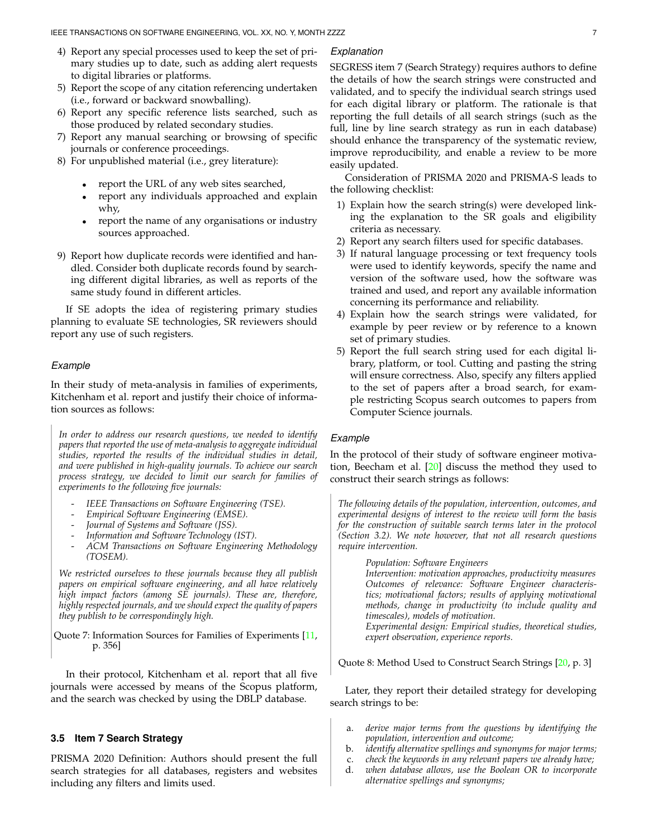- 4) Report any special processes used to keep the set of primary studies up to date, such as adding alert requests to digital libraries or platforms.
- 5) Report the scope of any citation referencing undertaken (i.e., forward or backward snowballing).
- 6) Report any specific reference lists searched, such as those produced by related secondary studies.
- 7) Report any manual searching or browsing of specific journals or conference proceedings.
- 8) For unpublished material (i.e., grey literature):
	- report the URL of any web sites searched,
	- report any individuals approached and explain why,
	- report the name of any organisations or industry sources approached.
- 9) Report how duplicate records were identified and handled. Consider both duplicate records found by searching different digital libraries, as well as reports of the same study found in different articles.

If SE adopts the idea of registering primary studies planning to evaluate SE technologies, SR reviewers should report any use of such registers.

## *Example*

In their study of meta-analysis in families of experiments, Kitchenham et al. report and justify their choice of information sources as follows:

*In order to address our research questions, we needed to identify papers that reported the use of meta-analysis to aggregate individual studies, reported the results of the individual studies in detail, and were published in high-quality journals. To achieve our search process strategy, we decided to limit our search for families of experiments to the following five journals:*

- *IEEE Transactions on Software Engineering (TSE).*
- *Empirical Software Engineering (EMSE).*
- *Journal of Systems and Software (JSS).*
- *Information and Software Technology (IST).*
- *ACM Transactions on Software Engineering Methodology (TOSEM).*

*We restricted ourselves to these journals because they all publish papers on empirical software engineering, and all have relatively high impact factors (among SE journals). These are, therefore, highly respected journals, and we should expect the quality of papers they publish to be correspondingly high.*

Quote 7: Information Sources for Families of Experiments [\[11,](#page-35-10) p. 356]

In their protocol, Kitchenham et al. report that all five journals were accessed by means of the Scopus platform, and the search was checked by using the DBLP database.

#### <span id="page-6-0"></span>**3.5 Item 7 Search Strategy**

PRISMA 2020 Definition: Authors should present the full search strategies for all databases, registers and websites including any filters and limits used.

## *Explanation*

SEGRESS item 7 (Search Strategy) requires authors to define the details of how the search strings were constructed and validated, and to specify the individual search strings used for each digital library or platform. The rationale is that reporting the full details of all search strings (such as the full, line by line search strategy as run in each database) should enhance the transparency of the systematic review, improve reproducibility, and enable a review to be more easily updated.

Consideration of PRISMA 2020 and PRISMA-S leads to the following checklist:

- 1) Explain how the search string(s) were developed linking the explanation to the SR goals and eligibility criteria as necessary.
- 2) Report any search filters used for specific databases.
- 3) If natural language processing or text frequency tools were used to identify keywords, specify the name and version of the software used, how the software was trained and used, and report any available information concerning its performance and reliability.
- 4) Explain how the search strings were validated, for example by peer review or by reference to a known set of primary studies.
- 5) Report the full search string used for each digital library, platform, or tool. Cutting and pasting the string will ensure correctness. Also, specify any filters applied to the set of papers after a broad search, for example restricting Scopus search outcomes to papers from Computer Science journals.

#### *Example*

In the protocol of their study of software engineer motivation, Beecham et al. [\[20\]](#page-35-19) discuss the method they used to construct their search strings as follows:

*The following details of the population, intervention, outcomes, and experimental designs of interest to the review will form the basis for the construction of suitable search terms later in the protocol (Section 3.2). We note however, that not all research questions require intervention.*

> *Population: Software Engineers Intervention: motivation approaches, productivity measures Outcomes of relevance: Software Engineer characteristics; motivational factors; results of applying motivational methods, change in productivity (to include quality and timescales), models of motivation. Experimental design: Empirical studies, theoretical studies, expert observation, experience reports.*

Quote 8: Method Used to Construct Search Strings [\[20,](#page-35-19) p. 3]

Later, they report their detailed strategy for developing search strings to be:

- a. *derive major terms from the questions by identifying the population, intervention and outcome;*
- b. *identify alternative spellings and synonyms for major terms;*
- c. *check the keywords in any relevant papers we already have;*
- d. *when database allows, use the Boolean OR to incorporate alternative spellings and synonyms;*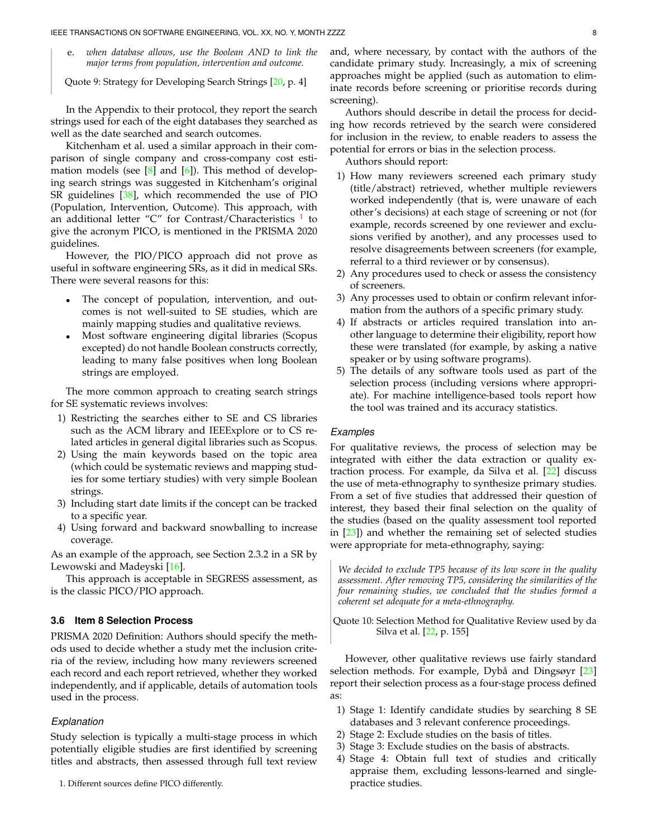e. *when database allows, use the Boolean AND to link the major terms from population, intervention and outcome.*

Quote 9: Strategy for Developing Search Strings [\[20,](#page-35-19) p. 4]

In the Appendix to their protocol, they report the search strings used for each of the eight databases they searched as well as the date searched and search outcomes.

Kitchenham et al. used a similar approach in their comparison of single company and cross-company cost estimation models (see  $[8]$  and  $[6]$ ). This method of developing search strings was suggested in Kitchenham's original SR guidelines [\[38\]](#page-36-4), which recommended the use of PIO (Population, Intervention, Outcome). This approach, with an additional letter "C" for Contrast/Characteristics <sup>[1](#page-7-0)</sup> to give the acronym PICO, is mentioned in the PRISMA 2020 guidelines.

However, the PIO/PICO approach did not prove as useful in software engineering SRs, as it did in medical SRs. There were several reasons for this:

- The concept of population, intervention, and outcomes is not well-suited to SE studies, which are mainly mapping studies and qualitative reviews.
- Most software engineering digital libraries (Scopus excepted) do not handle Boolean constructs correctly, leading to many false positives when long Boolean strings are employed.

The more common approach to creating search strings for SE systematic reviews involves:

- 1) Restricting the searches either to SE and CS libraries such as the ACM library and IEEExplore or to CS related articles in general digital libraries such as Scopus.
- 2) Using the main keywords based on the topic area (which could be systematic reviews and mapping studies for some tertiary studies) with very simple Boolean strings.
- 3) Including start date limits if the concept can be tracked to a specific year.
- 4) Using forward and backward snowballing to increase coverage.

As an example of the approach, see Section 2.3.2 in a SR by Lewowski and Madeyski [\[16\]](#page-35-15).

This approach is acceptable in SEGRESS assessment, as is the classic PICO/PIO approach.

## **3.6 Item 8 Selection Process**

PRISMA 2020 Definition: Authors should specify the methods used to decide whether a study met the inclusion criteria of the review, including how many reviewers screened each record and each report retrieved, whether they worked independently, and if applicable, details of automation tools used in the process.

#### *Explanation*

Study selection is typically a multi-stage process in which potentially eligible studies are first identified by screening titles and abstracts, then assessed through full text review

<span id="page-7-0"></span>1. Different sources define PICO differently.

and, where necessary, by contact with the authors of the candidate primary study. Increasingly, a mix of screening approaches might be applied (such as automation to eliminate records before screening or prioritise records during screening).

Authors should describe in detail the process for deciding how records retrieved by the search were considered for inclusion in the review, to enable readers to assess the potential for errors or bias in the selection process.

Authors should report:

- 1) How many reviewers screened each primary study (title/abstract) retrieved, whether multiple reviewers worked independently (that is, were unaware of each other's decisions) at each stage of screening or not (for example, records screened by one reviewer and exclusions verified by another), and any processes used to resolve disagreements between screeners (for example, referral to a third reviewer or by consensus).
- 2) Any procedures used to check or assess the consistency of screeners.
- 3) Any processes used to obtain or confirm relevant information from the authors of a specific primary study.
- 4) If abstracts or articles required translation into another language to determine their eligibility, report how these were translated (for example, by asking a native speaker or by using software programs).
- 5) The details of any software tools used as part of the selection process (including versions where appropriate). For machine intelligence-based tools report how the tool was trained and its accuracy statistics.

#### *Examples*

For qualitative reviews, the process of selection may be integrated with either the data extraction or quality extraction process. For example, da Silva et al. [\[22\]](#page-35-21) discuss the use of meta-ethnography to synthesize primary studies. From a set of five studies that addressed their question of interest, they based their final selection on the quality of the studies (based on the quality assessment tool reported in [\[23\]](#page-35-22)) and whether the remaining set of selected studies were appropriate for meta-ethnography, saying:

*We decided to exclude TP5 because of its low score in the quality assessment. After removing TP5, considering the similarities of the four remaining studies, we concluded that the studies formed a coherent set adequate for a meta-ethnography.*

Quote 10: Selection Method for Qualitative Review used by da Silva et al. [\[22,](#page-35-21) p. 155]

However, other qualitative reviews use fairly standard selection methods. For example, Dybå and Dingsøyr  $[23]$  $[23]$ report their selection process as a four-stage process defined as:

- 1) Stage 1: Identify candidate studies by searching 8 SE databases and 3 relevant conference proceedings.
- 2) Stage 2: Exclude studies on the basis of titles.
- 3) Stage 3: Exclude studies on the basis of abstracts.
- 4) Stage 4: Obtain full text of studies and critically appraise them, excluding lessons-learned and singlepractice studies.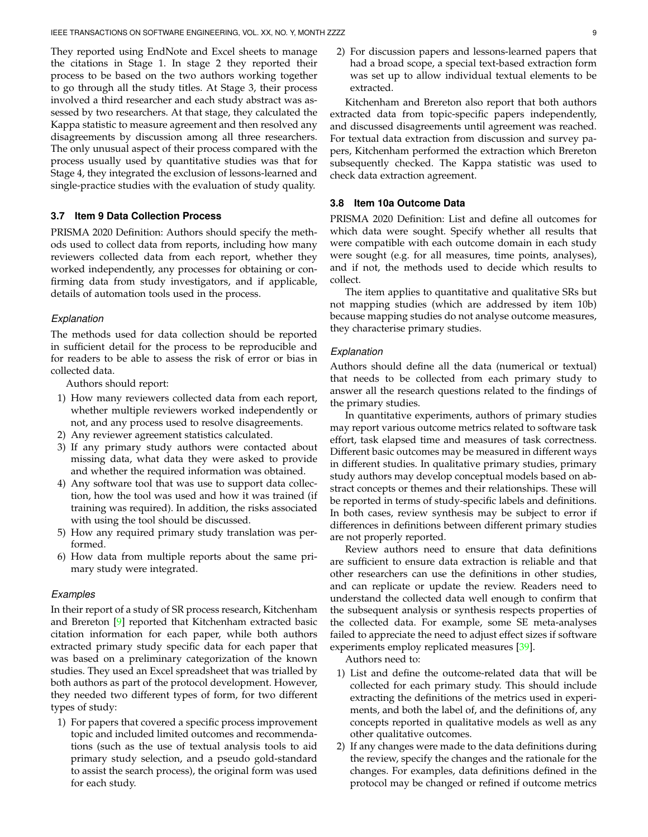They reported using EndNote and Excel sheets to manage the citations in Stage 1. In stage 2 they reported their process to be based on the two authors working together to go through all the study titles. At Stage 3, their process involved a third researcher and each study abstract was assessed by two researchers. At that stage, they calculated the Kappa statistic to measure agreement and then resolved any disagreements by discussion among all three researchers. The only unusual aspect of their process compared with the process usually used by quantitative studies was that for Stage 4, they integrated the exclusion of lessons-learned and single-practice studies with the evaluation of study quality.

## **3.7 Item 9 Data Collection Process**

PRISMA 2020 Definition: Authors should specify the methods used to collect data from reports, including how many reviewers collected data from each report, whether they worked independently, any processes for obtaining or confirming data from study investigators, and if applicable, details of automation tools used in the process.

#### *Explanation*

The methods used for data collection should be reported in sufficient detail for the process to be reproducible and for readers to be able to assess the risk of error or bias in collected data.

Authors should report:

- 1) How many reviewers collected data from each report, whether multiple reviewers worked independently or not, and any process used to resolve disagreements.
- 2) Any reviewer agreement statistics calculated.
- 3) If any primary study authors were contacted about missing data, what data they were asked to provide and whether the required information was obtained.
- 4) Any software tool that was use to support data collection, how the tool was used and how it was trained (if training was required). In addition, the risks associated with using the tool should be discussed.
- 5) How any required primary study translation was performed.
- 6) How data from multiple reports about the same primary study were integrated.

#### *Examples*

In their report of a study of SR process research, Kitchenham and Brereton [\[9\]](#page-35-8) reported that Kitchenham extracted basic citation information for each paper, while both authors extracted primary study specific data for each paper that was based on a preliminary categorization of the known studies. They used an Excel spreadsheet that was trialled by both authors as part of the protocol development. However, they needed two different types of form, for two different types of study:

1) For papers that covered a specific process improvement topic and included limited outcomes and recommendations (such as the use of textual analysis tools to aid primary study selection, and a pseudo gold-standard to assist the search process), the original form was used for each study.

2) For discussion papers and lessons-learned papers that had a broad scope, a special text-based extraction form was set up to allow individual textual elements to be extracted.

Kitchenham and Brereton also report that both authors extracted data from topic-specific papers independently, and discussed disagreements until agreement was reached. For textual data extraction from discussion and survey papers, Kitchenham performed the extraction which Brereton subsequently checked. The Kappa statistic was used to check data extraction agreement.

## **3.8 Item 10a Outcome Data**

PRISMA 2020 Definition: List and define all outcomes for which data were sought. Specify whether all results that were compatible with each outcome domain in each study were sought (e.g. for all measures, time points, analyses), and if not, the methods used to decide which results to collect.

The item applies to quantitative and qualitative SRs but not mapping studies (which are addressed by item 10b) because mapping studies do not analyse outcome measures, they characterise primary studies.

#### *Explanation*

Authors should define all the data (numerical or textual) that needs to be collected from each primary study to answer all the research questions related to the findings of the primary studies.

In quantitative experiments, authors of primary studies may report various outcome metrics related to software task effort, task elapsed time and measures of task correctness. Different basic outcomes may be measured in different ways in different studies. In qualitative primary studies, primary study authors may develop conceptual models based on abstract concepts or themes and their relationships. These will be reported in terms of study-specific labels and definitions. In both cases, review synthesis may be subject to error if differences in definitions between different primary studies are not properly reported.

Review authors need to ensure that data definitions are sufficient to ensure data extraction is reliable and that other researchers can use the definitions in other studies, and can replicate or update the review. Readers need to understand the collected data well enough to confirm that the subsequent analysis or synthesis respects properties of the collected data. For example, some SE meta-analyses failed to appreciate the need to adjust effect sizes if software experiments employ replicated measures [\[39\]](#page-36-5).

Authors need to:

- 1) List and define the outcome-related data that will be collected for each primary study. This should include extracting the definitions of the metrics used in experiments, and both the label of, and the definitions of, any concepts reported in qualitative models as well as any other qualitative outcomes.
- 2) If any changes were made to the data definitions during the review, specify the changes and the rationale for the changes. For examples, data definitions defined in the protocol may be changed or refined if outcome metrics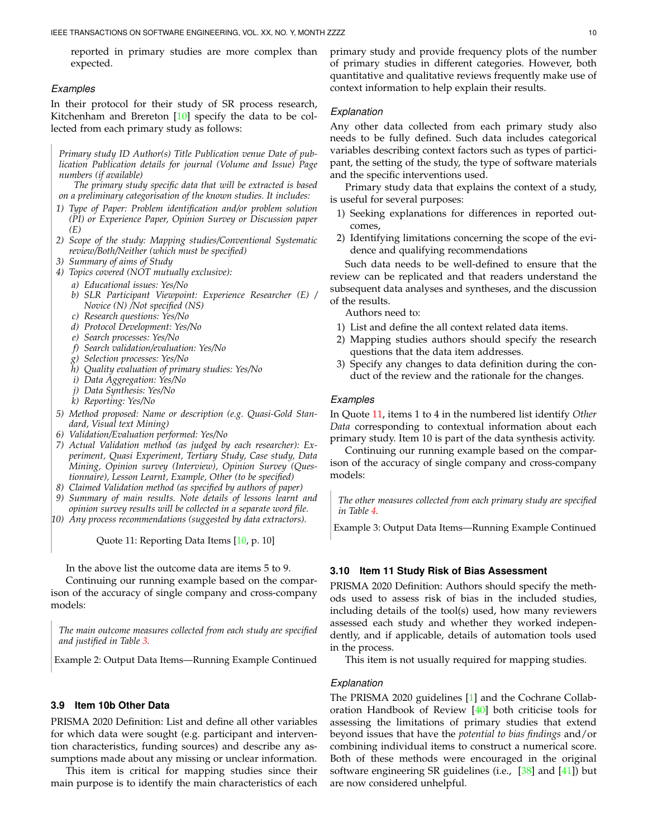reported in primary studies are more complex than expected.

#### *Examples*

In their protocol for their study of SR process research, Kitchenham and Brereton  $[10]$  specify the data to be collected from each primary study as follows:

*Primary study ID Author(s) Title Publication venue Date of publication Publication details for journal (Volume and Issue) Page numbers (if available)*

*The primary study specific data that will be extracted is based on a preliminary categorisation of the known studies. It includes:*

- *1) Type of Paper: Problem identification and/or problem solution (PI) or Experience Paper, Opinion Survey or Discussion paper (E)*
- *2) Scope of the study: Mapping studies/Conventional Systematic review/Both/Neither (which must be specified)*
- *3) Summary of aims of Study*
- *4) Topics covered (NOT mutually exclusive):*
	- *a) Educational issues: Yes/No*
	- *b) SLR Participant Viewpoint: Experience Researcher (E) / Novice (N) /Not specified (NS)*
	- *c) Research questions: Yes/No*
	- *d) Protocol Development: Yes/No*
	- *e) Search processes: Yes/No*
	- *f) Search validation/evaluation: Yes/No*
	- *g) Selection processes: Yes/No*
	- *h) Quality evaluation of primary studies: Yes/No*
	- *i) Data Aggregation: Yes/No*
	- *j) Data Synthesis: Yes/No*
	- *k) Reporting: Yes/No*
- *5) Method proposed: Name or description (e.g. Quasi-Gold Standard, Visual text Mining)*
- *6) Validation/Evaluation performed: Yes/No*
- *7) Actual Validation method (as judged by each researcher): Experiment, Quasi Experiment, Tertiary Study, Case study, Data Mining, Opinion survey (Interview), Opinion Survey (Questionnaire), Lesson Learnt, Example, Other (to be specified)*
- *8) Claimed Validation method (as specified by authors of paper)*
- *9) Summary of main results. Note details of lessons learnt and opinion survey results will be collected in a separate word file.*
- *10) Any process recommendations (suggested by data extractors).*

<span id="page-9-0"></span>Quote 11: Reporting Data Items [\[10,](#page-35-9) p. 10]

In the above list the outcome data are items 5 to 9.

Continuing our running example based on the comparison of the accuracy of single company and cross-company models:

*The main outcome measures collected from each study are specified and justified in Table [3.](#page-10-0)*

Example 2: Output Data Items—Running Example Continued

## **3.9 Item 10b Other Data**

PRISMA 2020 Definition: List and define all other variables for which data were sought (e.g. participant and intervention characteristics, funding sources) and describe any assumptions made about any missing or unclear information.

This item is critical for mapping studies since their main purpose is to identify the main characteristics of each primary study and provide frequency plots of the number of primary studies in different categories. However, both quantitative and qualitative reviews frequently make use of context information to help explain their results.

## *Explanation*

Any other data collected from each primary study also needs to be fully defined. Such data includes categorical variables describing context factors such as types of participant, the setting of the study, the type of software materials and the specific interventions used.

Primary study data that explains the context of a study, is useful for several purposes:

- 1) Seeking explanations for differences in reported outcomes,
- 2) Identifying limitations concerning the scope of the evidence and qualifying recommendations

Such data needs to be well-defined to ensure that the review can be replicated and that readers understand the subsequent data analyses and syntheses, and the discussion of the results.

Authors need to:

- 1) List and define the all context related data items.
- 2) Mapping studies authors should specify the research questions that the data item addresses.
- 3) Specify any changes to data definition during the conduct of the review and the rationale for the changes.

#### *Examples*

In Quote [11,](#page-9-0) items 1 to 4 in the numbered list identify *Other Data* corresponding to contextual information about each primary study. Item 10 is part of the data synthesis activity.

Continuing our running example based on the comparison of the accuracy of single company and cross-company models:

*The other measures collected from each primary study are specified in Table [4.](#page-10-1)*

Example 3: Output Data Items—Running Example Continued

#### <span id="page-9-1"></span>**3.10 Item 11 Study Risk of Bias Assessment**

PRISMA 2020 Definition: Authors should specify the methods used to assess risk of bias in the included studies, including details of the tool(s) used, how many reviewers assessed each study and whether they worked independently, and if applicable, details of automation tools used in the process.

This item is not usually required for mapping studies.

# *Explanation*

The PRISMA 2020 guidelines [\[1\]](#page-35-0) and the Cochrane Collaboration Handbook of Review [\[40\]](#page-36-6) both criticise tools for assessing the limitations of primary studies that extend beyond issues that have the *potential to bias findings* and/or combining individual items to construct a numerical score. Both of these methods were encouraged in the original software engineering SR guidelines (i.e.,  $[38]$  and  $[41]$ ) but are now considered unhelpful.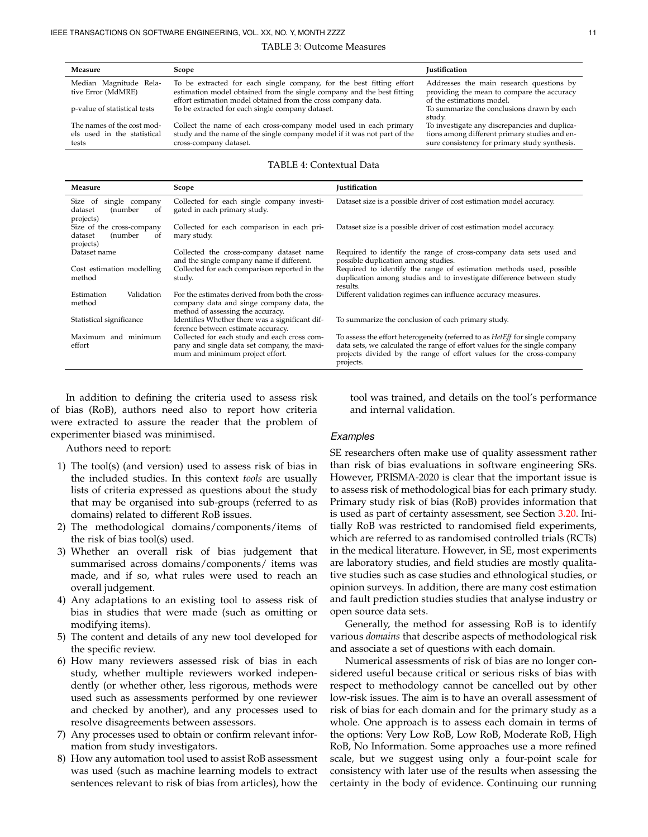#### TABLE 3: Outcome Measures

<span id="page-10-0"></span>

| Measure                                                            | Scope                                                                                                                                                                                                           | <b>Justification</b>                                                                                                                            |
|--------------------------------------------------------------------|-----------------------------------------------------------------------------------------------------------------------------------------------------------------------------------------------------------------|-------------------------------------------------------------------------------------------------------------------------------------------------|
| Median Magnitude Rela-<br>tive Error (MdMRE)                       | To be extracted for each single company, for the best fitting effort<br>estimation model obtained from the single company and the best fitting<br>effort estimation model obtained from the cross company data. | Addresses the main research questions by<br>providing the mean to compare the accuracy<br>of the estimations model.                             |
| p-value of statistical tests                                       | To be extracted for each single company dataset.                                                                                                                                                                | To summarize the conclusions drawn by each<br>studv.                                                                                            |
| The names of the cost mod-<br>els used in the statistical<br>tests | Collect the name of each cross-company model used in each primary<br>study and the name of the single company model if it was not part of the<br>cross-company dataset.                                         | To investigate any discrepancies and duplica-<br>tions among different primary studies and en-<br>sure consistency for primary study synthesis. |

#### TABLE 4: Contextual Data

<span id="page-10-1"></span>

| Measure                                                                       | Scope                                                                                                                           | <b>Iustification</b>                                                                                                                                                                                                                                    |  |
|-------------------------------------------------------------------------------|---------------------------------------------------------------------------------------------------------------------------------|---------------------------------------------------------------------------------------------------------------------------------------------------------------------------------------------------------------------------------------------------------|--|
| single company<br>Size of<br>(number<br>dataset<br><sub>of</sub><br>projects) | Collected for each single company investi-<br>gated in each primary study.                                                      | Dataset size is a possible driver of cost estimation model accuracy.                                                                                                                                                                                    |  |
| Size of the cross-company<br>(number<br>dataset<br>of<br>projects)            | Collected for each comparison in each pri-<br>mary study.                                                                       | Dataset size is a possible driver of cost estimation model accuracy.                                                                                                                                                                                    |  |
| Dataset name                                                                  | Collected the cross-company dataset name<br>and the single company name if different.                                           | Required to identify the range of cross-company data sets used and<br>possible duplication among studies.                                                                                                                                               |  |
| Cost estimation modelling<br>method                                           | Collected for each comparison reported in the<br>study.                                                                         | Required to identify the range of estimation methods used, possible<br>duplication among studies and to investigate difference between study<br>results.                                                                                                |  |
| Validation<br>Estimation<br>method                                            | For the estimates derived from both the cross-<br>company data and singe company data, the<br>method of assessing the accuracy. | Different validation regimes can influence accuracy measures.                                                                                                                                                                                           |  |
| Statistical significance                                                      | Identifies Whether there was a significant dif-<br>ference between estimate accuracy.                                           | To summarize the conclusion of each primary study.                                                                                                                                                                                                      |  |
| Maximum and minimum<br>effort                                                 | Collected for each study and each cross com-<br>pany and single data set company, the maxi-<br>mum and minimum project effort.  | To assess the effort heterogeneity (referred to as <i>Het Eff</i> for single company<br>data sets, we calculated the range of effort values for the single company<br>projects divided by the range of effort values for the cross-company<br>projects. |  |

In addition to defining the criteria used to assess risk of bias (RoB), authors need also to report how criteria were extracted to assure the reader that the problem of experimenter biased was minimised.

Authors need to report:

- 1) The tool(s) (and version) used to assess risk of bias in the included studies. In this context *tools* are usually lists of criteria expressed as questions about the study that may be organised into sub-groups (referred to as domains) related to different RoB issues.
- 2) The methodological domains/components/items of the risk of bias tool(s) used.
- 3) Whether an overall risk of bias judgement that summarised across domains/components/ items was made, and if so, what rules were used to reach an overall judgement.
- 4) Any adaptations to an existing tool to assess risk of bias in studies that were made (such as omitting or modifying items).
- 5) The content and details of any new tool developed for the specific review.
- 6) How many reviewers assessed risk of bias in each study, whether multiple reviewers worked independently (or whether other, less rigorous, methods were used such as assessments performed by one reviewer and checked by another), and any processes used to resolve disagreements between assessors.
- 7) Any processes used to obtain or confirm relevant information from study investigators.
- 8) How any automation tool used to assist RoB assessment was used (such as machine learning models to extract sentences relevant to risk of bias from articles), how the

tool was trained, and details on the tool's performance and internal validation.

#### *Examples*

SE researchers often make use of quality assessment rather than risk of bias evaluations in software engineering SRs. However, PRISMA-2020 is clear that the important issue is to assess risk of methodological bias for each primary study. Primary study risk of bias (RoB) provides information that is used as part of certainty assessment, see Section [3.20.](#page-16-0) Initially RoB was restricted to randomised field experiments, which are referred to as randomised controlled trials (RCTs) in the medical literature. However, in SE, most experiments are laboratory studies, and field studies are mostly qualitative studies such as case studies and ethnological studies, or opinion surveys. In addition, there are many cost estimation and fault prediction studies studies that analyse industry or open source data sets.

Generally, the method for assessing RoB is to identify various *domains* that describe aspects of methodological risk and associate a set of questions with each domain.

Numerical assessments of risk of bias are no longer considered useful because critical or serious risks of bias with respect to methodology cannot be cancelled out by other low-risk issues. The aim is to have an overall assessment of risk of bias for each domain and for the primary study as a whole. One approach is to assess each domain in terms of the options: Very Low RoB, Low RoB, Moderate RoB, High RoB, No Information. Some approaches use a more refined scale, but we suggest using only a four-point scale for consistency with later use of the results when assessing the certainty in the body of evidence. Continuing our running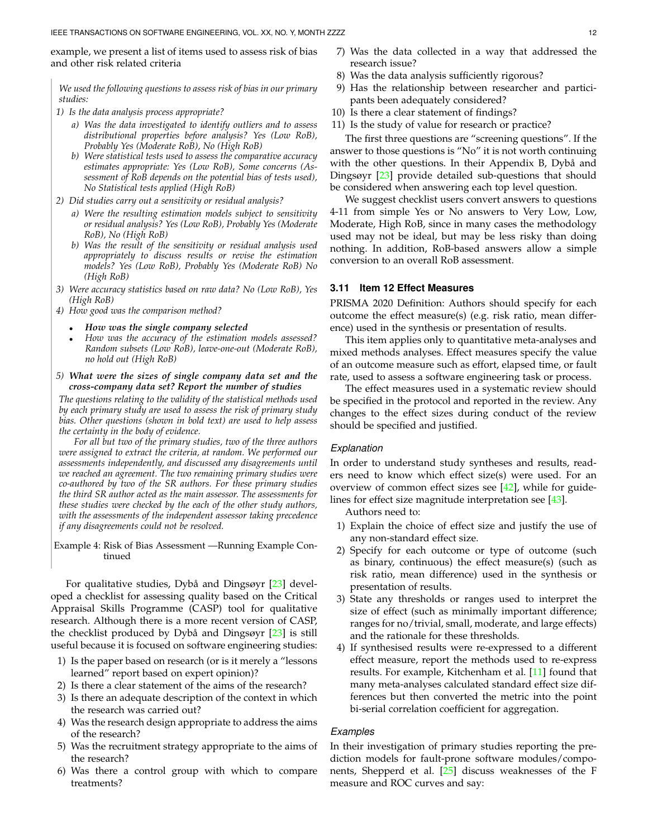example, we present a list of items used to assess risk of bias and other risk related criteria

*We used the following questions to assess risk of bias in our primary studies:*

- *1) Is the data analysis process appropriate?*
	- *a) Was the data investigated to identify outliers and to assess distributional properties before analysis? Yes (Low RoB), Probably Yes (Moderate RoB), No (High RoB)*
	- *b) Were statistical tests used to assess the comparative accuracy estimates appropriate: Yes (Low RoB), Some concerns (Assessment of RoB depends on the potential bias of tests used), No Statistical tests applied (High RoB)*
- *2) Did studies carry out a sensitivity or residual analysis?*
	- *a) Were the resulting estimation models subject to sensitivity or residual analysis? Yes (Low RoB), Probably Yes (Moderate RoB), No (High RoB)*
	- *b) Was the result of the sensitivity or residual analysis used appropriately to discuss results or revise the estimation models? Yes (Low RoB), Probably Yes (Moderate RoB) No (High RoB)*
- *3) Were accuracy statistics based on raw data? No (Low RoB), Yes (High RoB)*
- *4) How good was the comparison method?*
	- *How was the single company selected*
	- *How was the accuracy of the estimation models assessed? Random subsets (Low RoB), leave-one-out (Moderate RoB), no hold out (High RoB)*
- *5) What were the sizes of single company data set and the cross-company data set? Report the number of studies*

*The questions relating to the validity of the statistical methods used by each primary study are used to assess the risk of primary study bias. Other questions (shown in bold text) are used to help assess the certainty in the body of evidence.*

*For all but two of the primary studies, two of the three authors were assigned to extract the criteria, at random. We performed our assessments independently, and discussed any disagreements until we reached an agreement. The two remaining primary studies were co-authored by two of the SR authors. For these primary studies the third SR author acted as the main assessor. The assessments for these studies were checked by the each of the other study authors, with the assessments of the independent assessor taking precedence if any disagreements could not be resolved.*

Example 4: Risk of Bias Assessment —Running Example Continued

For qualitative studies, Dybå and Dingsøyr [[23\]](#page-35-22) developed a checklist for assessing quality based on the Critical Appraisal Skills Programme (CASP) tool for qualitative research. Although there is a more recent version of CASP, the checklist produced by Dybå and Dingsøyr  $[23]$  $[23]$  is still useful because it is focused on software engineering studies:

- 1) Is the paper based on research (or is it merely a "lessons learned" report based on expert opinion)?
- 2) Is there a clear statement of the aims of the research?
- 3) Is there an adequate description of the context in which the research was carried out?
- 4) Was the research design appropriate to address the aims of the research?
- 5) Was the recruitment strategy appropriate to the aims of the research?
- 6) Was there a control group with which to compare treatments?
- 7) Was the data collected in a way that addressed the research issue?
- 8) Was the data analysis sufficiently rigorous?
- 9) Has the relationship between researcher and participants been adequately considered?
- 10) Is there a clear statement of findings?
- 11) Is the study of value for research or practice?

The first three questions are "screening questions". If the answer to those questions is "No" it is not worth continuing with the other questions. In their Appendix B, Dybå and Dingsøyr [\[23\]](#page-35-22) provide detailed sub-questions that should be considered when answering each top level question.

We suggest checklist users convert answers to questions 4-11 from simple Yes or No answers to Very Low, Low, Moderate, High RoB, since in many cases the methodology used may not be ideal, but may be less risky than doing nothing. In addition, RoB-based answers allow a simple conversion to an overall RoB assessment.

## **3.11 Item 12 Effect Measures**

PRISMA 2020 Definition: Authors should specify for each outcome the effect measure(s) (e.g. risk ratio, mean difference) used in the synthesis or presentation of results.

This item applies only to quantitative meta-analyses and mixed methods analyses. Effect measures specify the value of an outcome measure such as effort, elapsed time, or fault rate, used to assess a software engineering task or process.

The effect measures used in a systematic review should be specified in the protocol and reported in the review. Any changes to the effect sizes during conduct of the review should be specified and justified.

## *Explanation*

In order to understand study syntheses and results, readers need to know which effect size(s) were used. For an overview of common effect sizes see  $[42]$ , while for guide-lines for effect size magnitude interpretation see [\[43\]](#page-36-9).

Authors need to:

- 1) Explain the choice of effect size and justify the use of any non-standard effect size.
- 2) Specify for each outcome or type of outcome (such as binary, continuous) the effect measure(s) (such as risk ratio, mean difference) used in the synthesis or presentation of results.
- 3) State any thresholds or ranges used to interpret the size of effect (such as minimally important difference; ranges for no/trivial, small, moderate, and large effects) and the rationale for these thresholds.
- 4) If synthesised results were re-expressed to a different effect measure, report the methods used to re-express results. For example, Kitchenham et al. [\[11\]](#page-35-10) found that many meta-analyses calculated standard effect size differences but then converted the metric into the point bi-serial correlation coefficient for aggregation.

## *Examples*

In their investigation of primary studies reporting the prediction models for fault-prone software modules/components, Shepperd et al. [\[25\]](#page-35-24) discuss weaknesses of the F measure and ROC curves and say: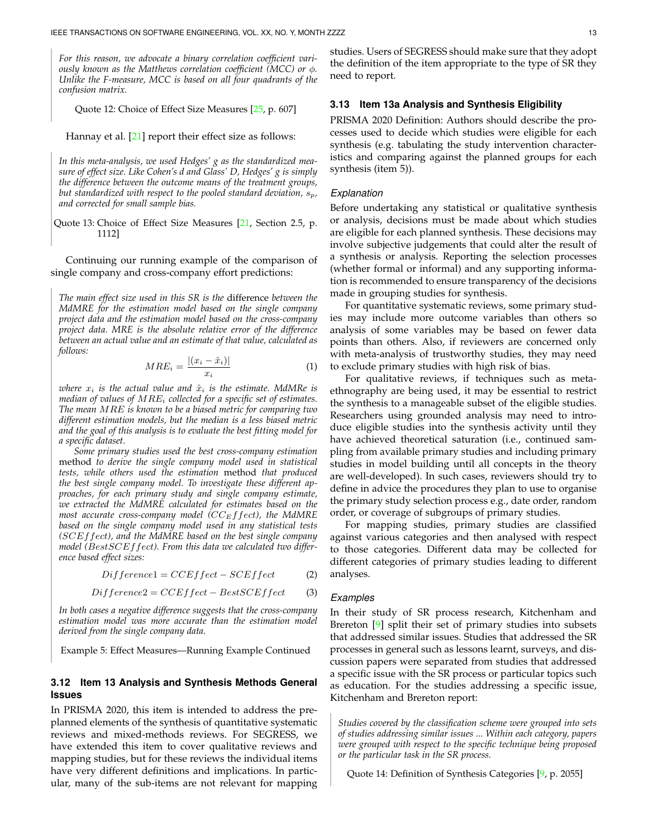*For this reason, we advocate a binary correlation coefficient variously known as the Matthews correlation coefficient (MCC) or* ϕ*. Unlike the F-measure, MCC is based on all four quadrants of the confusion matrix.*

Quote 12: Choice of Effect Size Measures [\[25,](#page-35-24) p. 607]

Hannay et al. [\[21\]](#page-35-20) report their effect size as follows:

*In this meta-analysis, we used Hedges' g as the standardized measure of effect size. Like Cohen's d and Glass' D, Hedges' g is simply the difference between the outcome means of the treatment groups, but standardized with respect to the pooled standard deviation,*  $s_p$ , *and corrected for small sample bias.*

Quote 13: Choice of Effect Size Measures [\[21,](#page-35-20) Section 2.5, p. 1112]

Continuing our running example of the comparison of single company and cross-company effort predictions:

*The main effect size used in this SR is the* difference *between the MdMRE for the estimation model based on the single company project data and the estimation model based on the cross-company project data. MRE is the absolute relative error of the difference between an actual value and an estimate of that value, calculated as follows:*

$$
MRE_i = \frac{|(x_i - \hat{x}_i)|}{x_i} \tag{1}
$$

*where*  $x_i$  *is the actual value and*  $\hat{x}_i$  *is the estimate. MdMRe is median of values of* MRE<sup>i</sup> *collected for a specific set of estimates. The mean* MRE *is known to be a biased metric for comparing two different estimation models, but the median is a less biased metric and the goal of this analysis is to evaluate the best fitting model for a specific dataset.*

*Some primary studies used the best cross-company estimation* method *to derive the single company model used in statistical tests, while others used the estimation* method *that produced the best single company model. To investigate these different approaches, for each primary study and single company estimate, we extracted the MdMRE calculated for estimates based on the most accurate cross-company model (CC<sub>E</sub>ffect), the MdMRE based on the single company model used in any statistical tests (*SCEffect*), and the MdMRE based on the best single company model (*BestSCEffect*). From this data we calculated two difference based effect sizes:*

$$
Differential = CCEffect - SCEffect
$$
 (2)

$$
Difference2 = CCEffect - BestSCEffect \qquad (3)
$$

*In both cases a negative difference suggests that the cross-company estimation model was more accurate than the estimation model derived from the single company data.*

Example 5: Effect Measures—Running Example Continued

# **3.12 Item 13 Analysis and Synthesis Methods General Issues**

In PRISMA 2020, this item is intended to address the preplanned elements of the synthesis of quantitative systematic reviews and mixed-methods reviews. For SEGRESS, we have extended this item to cover qualitative reviews and mapping studies, but for these reviews the individual items have very different definitions and implications. In particular, many of the sub-items are not relevant for mapping

studies. Users of SEGRESS should make sure that they adopt the definition of the item appropriate to the type of SR they need to report.

## **3.13 Item 13a Analysis and Synthesis Eligibility**

PRISMA 2020 Definition: Authors should describe the processes used to decide which studies were eligible for each synthesis (e.g. tabulating the study intervention characteristics and comparing against the planned groups for each synthesis (item 5)).

#### *Explanation*

Before undertaking any statistical or qualitative synthesis or analysis, decisions must be made about which studies are eligible for each planned synthesis. These decisions may involve subjective judgements that could alter the result of a synthesis or analysis. Reporting the selection processes (whether formal or informal) and any supporting information is recommended to ensure transparency of the decisions made in grouping studies for synthesis.

For quantitative systematic reviews, some primary studies may include more outcome variables than others so analysis of some variables may be based on fewer data points than others. Also, if reviewers are concerned only with meta-analysis of trustworthy studies, they may need to exclude primary studies with high risk of bias.

For qualitative reviews, if techniques such as metaethnography are being used, it may be essential to restrict the synthesis to a manageable subset of the eligible studies. Researchers using grounded analysis may need to introduce eligible studies into the synthesis activity until they have achieved theoretical saturation (i.e., continued sampling from available primary studies and including primary studies in model building until all concepts in the theory are well-developed). In such cases, reviewers should try to define in advice the procedures they plan to use to organise the primary study selection process e.g., date order, random order, or coverage of subgroups of primary studies.

For mapping studies, primary studies are classified against various categories and then analysed with respect to those categories. Different data may be collected for different categories of primary studies leading to different analyses.

#### *Examples*

In their study of SR process research, Kitchenham and Brereton [\[9\]](#page-35-8) split their set of primary studies into subsets that addressed similar issues. Studies that addressed the SR processes in general such as lessons learnt, surveys, and discussion papers were separated from studies that addressed a specific issue with the SR process or particular topics such as education. For the studies addressing a specific issue, Kitchenham and Brereton report:

*Studies covered by the classification scheme were grouped into sets of studies addressing similar issues ... Within each category, papers were grouped with respect to the specific technique being proposed or the particular task in the SR process.*

Quote 14: Definition of Synthesis Categories [\[9,](#page-35-8) p. 2055]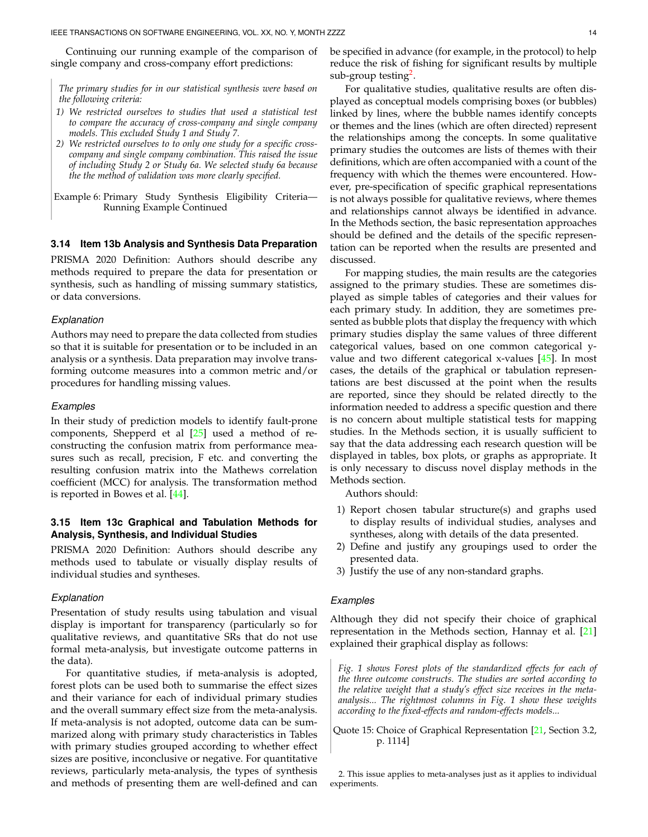Continuing our running example of the comparison of single company and cross-company effort predictions:

*The primary studies for in our statistical synthesis were based on the following criteria:*

- *1) We restricted ourselves to studies that used a statistical test to compare the accuracy of cross-company and single company models. This excluded Study 1 and Study 7.*
- *2) We restricted ourselves to to only one study for a specific crosscompany and single company combination. This raised the issue of including Study 2 or Study 6a. We selected study 6a because the the method of validation was more clearly specified.*
- Example 6: Primary Study Synthesis Eligibility Criteria— Running Example Continued

#### **3.14 Item 13b Analysis and Synthesis Data Preparation**

PRISMA 2020 Definition: Authors should describe any methods required to prepare the data for presentation or synthesis, such as handling of missing summary statistics, or data conversions.

#### *Explanation*

Authors may need to prepare the data collected from studies so that it is suitable for presentation or to be included in an analysis or a synthesis. Data preparation may involve transforming outcome measures into a common metric and/or procedures for handling missing values.

#### *Examples*

In their study of prediction models to identify fault-prone components, Shepperd et al [\[25\]](#page-35-24) used a method of reconstructing the confusion matrix from performance measures such as recall, precision, F etc. and converting the resulting confusion matrix into the Mathews correlation coefficient (MCC) for analysis. The transformation method is reported in Bowes et al. [\[44\]](#page-36-10).

# **3.15 Item 13c Graphical and Tabulation Methods for Analysis, Synthesis, and Individual Studies**

PRISMA 2020 Definition: Authors should describe any methods used to tabulate or visually display results of individual studies and syntheses.

#### *Explanation*

Presentation of study results using tabulation and visual display is important for transparency (particularly so for qualitative reviews, and quantitative SRs that do not use formal meta-analysis, but investigate outcome patterns in the data).

For quantitative studies, if meta-analysis is adopted, forest plots can be used both to summarise the effect sizes and their variance for each of individual primary studies and the overall summary effect size from the meta-analysis. If meta-analysis is not adopted, outcome data can be summarized along with primary study characteristics in Tables with primary studies grouped according to whether effect sizes are positive, inconclusive or negative. For quantitative reviews, particularly meta-analysis, the types of synthesis and methods of presenting them are well-defined and can be specified in advance (for example, in the protocol) to help reduce the risk of fishing for significant results by multiple sub-group testing<sup>[2](#page-13-0)</sup>.

For qualitative studies, qualitative results are often displayed as conceptual models comprising boxes (or bubbles) linked by lines, where the bubble names identify concepts or themes and the lines (which are often directed) represent the relationships among the concepts. In some qualitative primary studies the outcomes are lists of themes with their definitions, which are often accompanied with a count of the frequency with which the themes were encountered. However, pre-specification of specific graphical representations is not always possible for qualitative reviews, where themes and relationships cannot always be identified in advance. In the Methods section, the basic representation approaches should be defined and the details of the specific representation can be reported when the results are presented and discussed.

For mapping studies, the main results are the categories assigned to the primary studies. These are sometimes displayed as simple tables of categories and their values for each primary study. In addition, they are sometimes presented as bubble plots that display the frequency with which primary studies display the same values of three different categorical values, based on one common categorical yvalue and two different categorical x-values [\[45\]](#page-36-11). In most cases, the details of the graphical or tabulation representations are best discussed at the point when the results are reported, since they should be related directly to the information needed to address a specific question and there is no concern about multiple statistical tests for mapping studies. In the Methods section, it is usually sufficient to say that the data addressing each research question will be displayed in tables, box plots, or graphs as appropriate. It is only necessary to discuss novel display methods in the Methods section.

Authors should:

- 1) Report chosen tabular structure(s) and graphs used to display results of individual studies, analyses and syntheses, along with details of the data presented.
- 2) Define and justify any groupings used to order the presented data.
- 3) Justify the use of any non-standard graphs.

## *Examples*

Although they did not specify their choice of graphical representation in the Methods section, Hannay et al. [\[21\]](#page-35-20) explained their graphical display as follows:

*Fig. 1 shows Forest plots of the standardized effects for each of the three outcome constructs. The studies are sorted according to the relative weight that a study's effect size receives in the metaanalysis... The rightmost columns in Fig. 1 show these weights according to the fixed-effects and random-effects models...*

Quote 15: Choice of Graphical Representation [\[21,](#page-35-20) Section 3.2, p. 1114]

<span id="page-13-0"></span>2. This issue applies to meta-analyses just as it applies to individual experiments.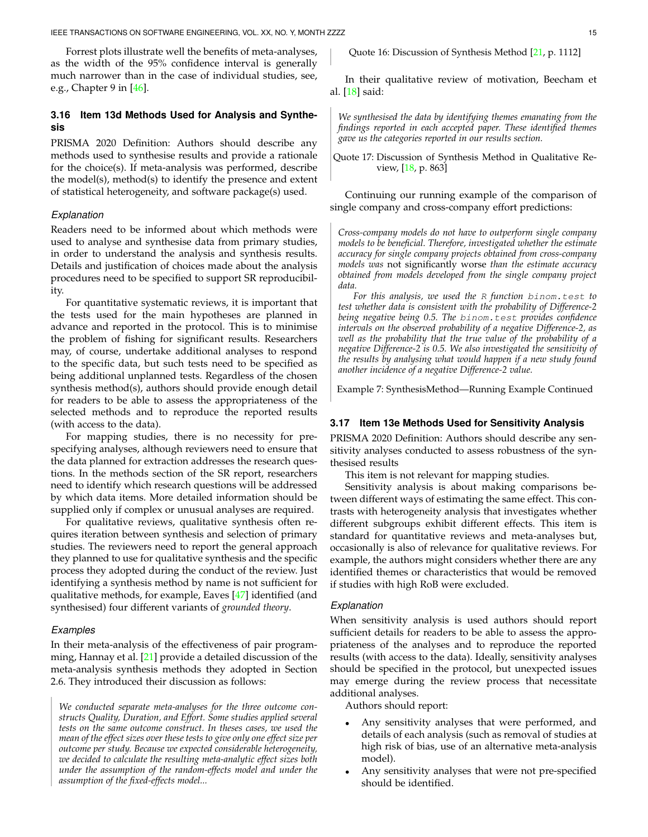Forrest plots illustrate well the benefits of meta-analyses, as the width of the 95% confidence interval is generally much narrower than in the case of individual studies, see, e.g., Chapter 9 in [\[46\]](#page-36-12).

# **3.16 Item 13d Methods Used for Analysis and Synthesis**

PRISMA 2020 Definition: Authors should describe any methods used to synthesise results and provide a rationale for the choice(s). If meta-analysis was performed, describe the model(s), method(s) to identify the presence and extent of statistical heterogeneity, and software package(s) used.

## *Explanation*

Readers need to be informed about which methods were used to analyse and synthesise data from primary studies, in order to understand the analysis and synthesis results. Details and justification of choices made about the analysis procedures need to be specified to support SR reproducibility.

For quantitative systematic reviews, it is important that the tests used for the main hypotheses are planned in advance and reported in the protocol. This is to minimise the problem of fishing for significant results. Researchers may, of course, undertake additional analyses to respond to the specific data, but such tests need to be specified as being additional unplanned tests. Regardless of the chosen synthesis method(s), authors should provide enough detail for readers to be able to assess the appropriateness of the selected methods and to reproduce the reported results (with access to the data).

For mapping studies, there is no necessity for prespecifying analyses, although reviewers need to ensure that the data planned for extraction addresses the research questions. In the methods section of the SR report, researchers need to identify which research questions will be addressed by which data items. More detailed information should be supplied only if complex or unusual analyses are required.

For qualitative reviews, qualitative synthesis often requires iteration between synthesis and selection of primary studies. The reviewers need to report the general approach they planned to use for qualitative synthesis and the specific process they adopted during the conduct of the review. Just identifying a synthesis method by name is not sufficient for qualitative methods, for example, Eaves [\[47\]](#page-36-13) identified (and synthesised) four different variants of *grounded theory*.

#### *Examples*

In their meta-analysis of the effectiveness of pair programming, Hannay et al. [\[21\]](#page-35-20) provide a detailed discussion of the meta-analysis synthesis methods they adopted in Section 2.6. They introduced their discussion as follows:

*We conducted separate meta-analyses for the three outcome constructs Quality, Duration, and Effort. Some studies applied several tests on the same outcome construct. In theses cases, we used the mean of the effect sizes over these tests to give only one effect size per outcome per study. Because we expected considerable heterogeneity, we decided to calculate the resulting meta-analytic effect sizes both under the assumption of the random-effects model and under the assumption of the fixed-effects model...*

Quote 16: Discussion of Synthesis Method [\[21,](#page-35-20) p. 1112]

In their qualitative review of motivation, Beecham et al. [\[18\]](#page-35-17) said:

*We synthesised the data by identifying themes emanating from the findings reported in each accepted paper. These identified themes gave us the categories reported in our results section.*

Quote 17: Discussion of Synthesis Method in Qualitative Review, [\[18,](#page-35-17) p. 863]

Continuing our running example of the comparison of single company and cross-company effort predictions:

*Cross-company models do not have to outperform single company models to be beneficial. Therefore, investigated whether the estimate accuracy for single company projects obtained from cross-company models was* not significantly worse *than the estimate accuracy obtained from models developed from the single company project data.*

*For this analysis, we used the* R *function* binom.test *to test whether data is consistent with the probability of Difference-2 being negative being 0.5. The* binom.test *provides confidence intervals on the observed probability of a negative Difference-2, as well as the probability that the true value of the probability of a negative Difference-2 is 0.5. We also investigated the sensitivity of the results by analysing what would happen if a new study found another incidence of a negative Difference-2 value.*

Example 7: SynthesisMethod—Running Example Continued

### **3.17 Item 13e Methods Used for Sensitivity Analysis**

PRISMA 2020 Definition: Authors should describe any sensitivity analyses conducted to assess robustness of the synthesised results

This item is not relevant for mapping studies.

Sensitivity analysis is about making comparisons between different ways of estimating the same effect. This contrasts with heterogeneity analysis that investigates whether different subgroups exhibit different effects. This item is standard for quantitative reviews and meta-analyses but, occasionally is also of relevance for qualitative reviews. For example, the authors might considers whether there are any identified themes or characteristics that would be removed if studies with high RoB were excluded.

#### *Explanation*

When sensitivity analysis is used authors should report sufficient details for readers to be able to assess the appropriateness of the analyses and to reproduce the reported results (with access to the data). Ideally, sensitivity analyses should be specified in the protocol, but unexpected issues may emerge during the review process that necessitate additional analyses.

Authors should report:

- Any sensitivity analyses that were performed, and details of each analysis (such as removal of studies at high risk of bias, use of an alternative meta-analysis model).
- Any sensitivity analyses that were not pre-specified should be identified.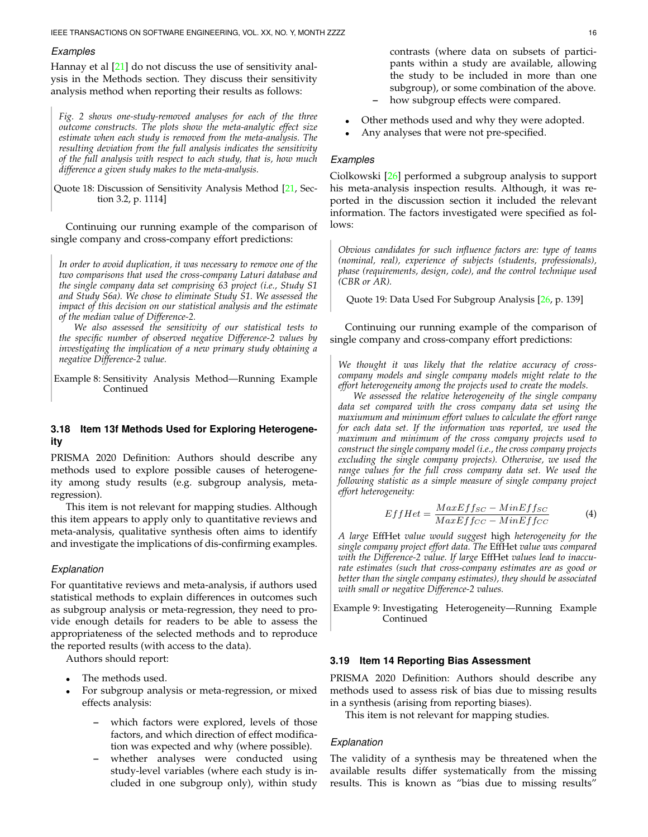## *Examples*

Hannay et al [\[21\]](#page-35-20) do not discuss the use of sensitivity analysis in the Methods section. They discuss their sensitivity analysis method when reporting their results as follows:

*Fig. 2 shows one-study-removed analyses for each of the three outcome constructs. The plots show the meta-analytic effect size estimate when each study is removed from the meta-analysis. The resulting deviation from the full analysis indicates the sensitivity of the full analysis with respect to each study, that is, how much difference a given study makes to the meta-analysis.*

Quote 18: Discussion of Sensitivity Analysis Method [\[21,](#page-35-20) Section 3.2, p. 1114]

Continuing our running example of the comparison of single company and cross-company effort predictions:

*In order to avoid duplication, it was necessary to remove one of the two comparisons that used the cross-company Laturi database and the single company data set comprising 63 project (i.e., Study S1 and Study S6a). We chose to eliminate Study S1. We assessed the impact of this decision on our statistical analysis and the estimate of the median value of Difference-2.*

*We also assessed the sensitivity of our statistical tests to the specific number of observed negative Difference-2 values by investigating the implication of a new primary study obtaining a negative Difference-2 value.*

Example 8: Sensitivity Analysis Method—Running Example Continued

## **3.18 Item 13f Methods Used for Exploring Heterogeneity**

PRISMA 2020 Definition: Authors should describe any methods used to explore possible causes of heterogeneity among study results (e.g. subgroup analysis, metaregression).

This item is not relevant for mapping studies. Although this item appears to apply only to quantitative reviews and meta-analysis, qualitative synthesis often aims to identify and investigate the implications of dis-confirming examples.

## *Explanation*

For quantitative reviews and meta-analysis, if authors used statistical methods to explain differences in outcomes such as subgroup analysis or meta-regression, they need to provide enough details for readers to be able to assess the appropriateness of the selected methods and to reproduce the reported results (with access to the data).

Authors should report:

- The methods used.
- For subgroup analysis or meta-regression, or mixed effects analysis:
	- **–** which factors were explored, levels of those factors, and which direction of effect modification was expected and why (where possible).
	- **–** whether analyses were conducted using study-level variables (where each study is included in one subgroup only), within study

contrasts (where data on subsets of participants within a study are available, allowing the study to be included in more than one subgroup), or some combination of the above. **–** how subgroup effects were compared.

- Other methods used and why they were adopted.
- Any analyses that were not pre-specified.

#### *Examples*

Ciolkowski [\[26\]](#page-35-25) performed a subgroup analysis to support his meta-analysis inspection results. Although, it was reported in the discussion section it included the relevant information. The factors investigated were specified as follows:

*Obvious candidates for such influence factors are: type of teams (nominal, real), experience of subjects (students, professionals), phase (requirements, design, code), and the control technique used (CBR or AR).*

Quote 19: Data Used For Subgroup Analysis [\[26,](#page-35-25) p. 139]

Continuing our running example of the comparison of single company and cross-company effort predictions:

*We thought it was likely that the relative accuracy of crosscompany models and single company models might relate to the effort heterogeneity among the projects used to create the models.*

*We assessed the relative heterogeneity of the single company data set compared with the cross company data set using the maxiumum and minimum effort values to calculate the effort range for each data set. If the information was reported, we used the maximum and minimum of the cross company projects used to construct the single company model (i.e., the cross company projects excluding the single company projects). Otherwise, we used the range values for the full cross company data set. We used the following statistic as a simple measure of single company project effort heterogeneity:*

$$
EffHet=\frac{MaxEff_{SC}-MinEff_{SC}}{MaxEff_{CC}-MinEff_{CC}}\tag{4}
$$

*A large* EffHet *value would suggest* high *heterogeneity for the single company project effort data. The* EffHet *value was compared with the Difference-2 value. If large* EffHet *values lead to inaccurate estimates (such that cross-company estimates are as good or better than the single company estimates), they should be associated with small or negative Difference-2 values.*

Example 9: Investigating Heterogeneity—Running Example Continued

## <span id="page-15-0"></span>**3.19 Item 14 Reporting Bias Assessment**

PRISMA 2020 Definition: Authors should describe any methods used to assess risk of bias due to missing results in a synthesis (arising from reporting biases).

This item is not relevant for mapping studies.

## *Explanation*

The validity of a synthesis may be threatened when the available results differ systematically from the missing results. This is known as "bias due to missing results"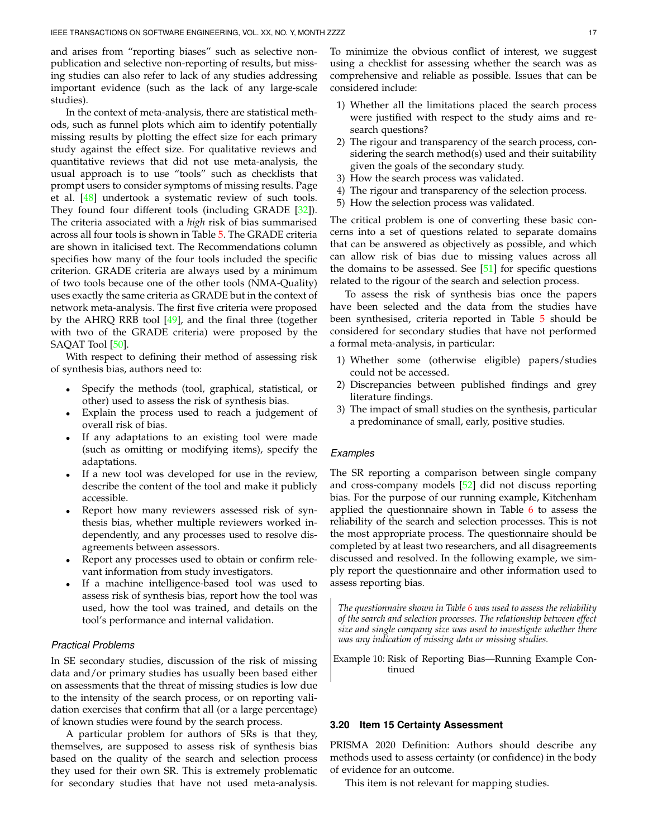and arises from "reporting biases" such as selective nonpublication and selective non-reporting of results, but missing studies can also refer to lack of any studies addressing important evidence (such as the lack of any large-scale studies).

In the context of meta-analysis, there are statistical methods, such as funnel plots which aim to identify potentially missing results by plotting the effect size for each primary study against the effect size. For qualitative reviews and quantitative reviews that did not use meta-analysis, the usual approach is to use "tools" such as checklists that prompt users to consider symptoms of missing results. Page et al. [\[48\]](#page-36-14) undertook a systematic review of such tools. They found four different tools (including GRADE [\[32\]](#page-35-31)). The criteria associated with a *high* risk of bias summarised across all four tools is shown in Table [5.](#page-17-0) The GRADE criteria are shown in italicised text. The Recommendations column specifies how many of the four tools included the specific criterion. GRADE criteria are always used by a minimum of two tools because one of the other tools (NMA-Quality) uses exactly the same criteria as GRADE but in the context of network meta-analysis. The first five criteria were proposed by the AHRQ RRB tool [\[49\]](#page-36-15), and the final three (together with two of the GRADE criteria) were proposed by the SAQAT Tool [\[50\]](#page-36-16).

With respect to defining their method of assessing risk of synthesis bias, authors need to:

- Specify the methods (tool, graphical, statistical, or other) used to assess the risk of synthesis bias.
- Explain the process used to reach a judgement of overall risk of bias.
- If any adaptations to an existing tool were made (such as omitting or modifying items), specify the adaptations.
- If a new tool was developed for use in the review, describe the content of the tool and make it publicly accessible.
- Report how many reviewers assessed risk of synthesis bias, whether multiple reviewers worked independently, and any processes used to resolve disagreements between assessors.
- Report any processes used to obtain or confirm relevant information from study investigators.
- If a machine intelligence-based tool was used to assess risk of synthesis bias, report how the tool was used, how the tool was trained, and details on the tool's performance and internal validation.

## *Practical Problems*

In SE secondary studies, discussion of the risk of missing data and/or primary studies has usually been based either on assessments that the threat of missing studies is low due to the intensity of the search process, or on reporting validation exercises that confirm that all (or a large percentage) of known studies were found by the search process.

A particular problem for authors of SRs is that they, themselves, are supposed to assess risk of synthesis bias based on the quality of the search and selection process they used for their own SR. This is extremely problematic for secondary studies that have not used meta-analysis.

To minimize the obvious conflict of interest, we suggest using a checklist for assessing whether the search was as comprehensive and reliable as possible. Issues that can be considered include:

- 1) Whether all the limitations placed the search process were justified with respect to the study aims and research questions?
- 2) The rigour and transparency of the search process, considering the search method(s) used and their suitability given the goals of the secondary study.
- 3) How the search process was validated.
- 4) The rigour and transparency of the selection process.
- 5) How the selection process was validated.

The critical problem is one of converting these basic concerns into a set of questions related to separate domains that can be answered as objectively as possible, and which can allow risk of bias due to missing values across all the domains to be assessed. See  $[51]$  for specific questions related to the rigour of the search and selection process.

To assess the risk of synthesis bias once the papers have been selected and the data from the studies have been synthesised, criteria reported in Table [5](#page-17-0) should be considered for secondary studies that have not performed a formal meta-analysis, in particular:

- 1) Whether some (otherwise eligible) papers/studies could not be accessed.
- 2) Discrepancies between published findings and grey literature findings.
- 3) The impact of small studies on the synthesis, particular a predominance of small, early, positive studies.

## *Examples*

The SR reporting a comparison between single company and cross-company models [\[52\]](#page-36-18) did not discuss reporting bias. For the purpose of our running example, Kitchenham applied the questionnaire shown in Table  $6$  to assess the reliability of the search and selection processes. This is not the most appropriate process. The questionnaire should be completed by at least two researchers, and all disagreements discussed and resolved. In the following example, we simply report the questionnaire and other information used to assess reporting bias.

*The questionnaire shown in Table [6](#page-17-1) was used to assess the reliability of the search and selection processes. The relationship between effect size and single company size was used to investigate whether there was any indication of missing data or missing studies.*

<span id="page-16-1"></span>Example 10: Risk of Reporting Bias—Running Example Continued

### <span id="page-16-0"></span>**3.20 Item 15 Certainty Assessment**

PRISMA 2020 Definition: Authors should describe any methods used to assess certainty (or confidence) in the body of evidence for an outcome.

This item is not relevant for mapping studies.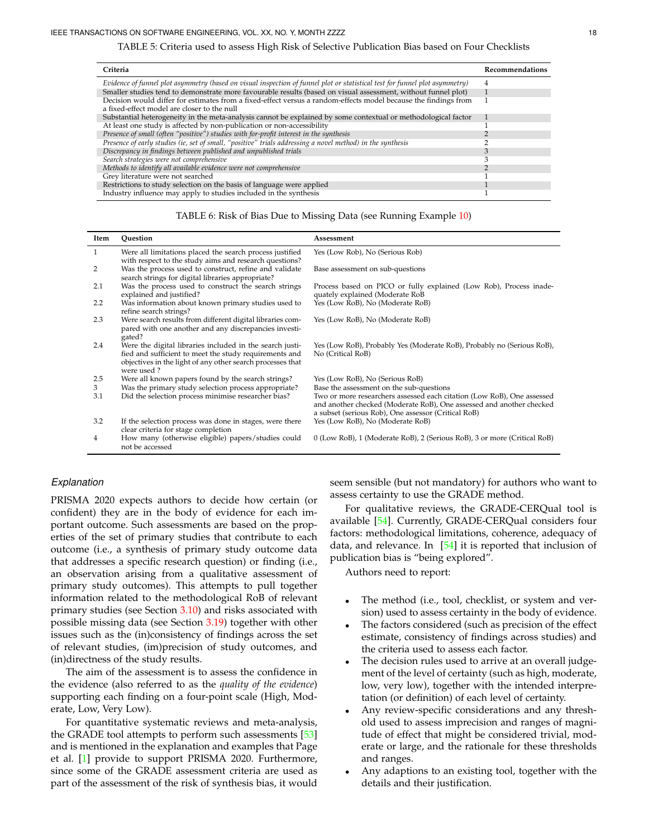TABLE 5: Criteria used to assess High Risk of Selective Publication Bias based on Four Checklists

<span id="page-17-0"></span>

| Criteria                                                                                                                    | <b>Recommendations</b> |
|-----------------------------------------------------------------------------------------------------------------------------|------------------------|
| Evidence of funnel plot asymmetry (based on visual inspection of funnel plot or statistical test for funnel plot asymmetry) | 4                      |
| Smaller studies tend to demonstrate more favourable results (based on visual assessment, without funnel plot)               |                        |
| Decision would differ for estimates from a fixed-effect versus a random-effects model because the findings from             |                        |
| a fixed-effect model are closer to the null                                                                                 |                        |
| Substantial heterogeneity in the meta-analysis cannot be explained by some contextual or methodological factor              |                        |
| At least one study is affected by non-publication or non-accessibility                                                      |                        |
| Presence of small (often "positive") studies with for-profit interest in the synthesis                                      |                        |
| Presence of early studies (ie, set of small, "positive" trials addressing a novel method) in the synthesis                  |                        |
| Discrepancy in findings between published and unpublished trials                                                            |                        |
| Search strategies were not comprehensive                                                                                    |                        |
| Methods to identify all available evidence were not comprehensive                                                           |                        |
| Grey literature were not searched                                                                                           |                        |
| Restrictions to study selection on the basis of language were applied                                                       |                        |
| Industry influence may apply to studies included in the synthesis                                                           |                        |

| TABLE 6: Risk of Bias Due to Missing Data (see Running Example 10) |  |  |
|--------------------------------------------------------------------|--|--|
|--------------------------------------------------------------------|--|--|

<span id="page-17-1"></span>

| Item | Question                                                                                                                                                                                       | Assessment                                                                                                                                                                                            |
|------|------------------------------------------------------------------------------------------------------------------------------------------------------------------------------------------------|-------------------------------------------------------------------------------------------------------------------------------------------------------------------------------------------------------|
| 1    | Were all limitations placed the search process justified<br>with respect to the study aims and research questions?                                                                             | Yes (Low Rob), No (Serious Rob)                                                                                                                                                                       |
| 2    | Was the process used to construct, refine and validate<br>search strings for digital libraries appropriate?                                                                                    | Base assessment on sub-questions                                                                                                                                                                      |
| 2.1  | Was the process used to construct the search strings<br>explained and justified?                                                                                                               | Process based on PICO or fully explained (Low Rob), Process inade-<br>quately explained (Moderate RoB                                                                                                 |
| 2.2  | Was information about known primary studies used to<br>refine search strings?                                                                                                                  | Yes (Low RoB), No (Moderate RoB)                                                                                                                                                                      |
| 2.3  | Were search results from different digital libraries com-<br>pared with one another and any discrepancies investi-<br>gated?                                                                   | Yes (Low RoB), No (Moderate RoB)                                                                                                                                                                      |
| 2.4  | Were the digital libraries included in the search justi-<br>fied and sufficient to meet the study requirements and<br>objectives in the light of any other search processes that<br>were used? | Yes (Low RoB), Probably Yes (Moderate RoB), Probably no (Serious RoB),<br>No (Critical RoB)                                                                                                           |
| 2.5  | Were all known papers found by the search strings?                                                                                                                                             | Yes (Low RoB), No (Serious RoB)                                                                                                                                                                       |
| 3    | Was the primary study selection process appropriate?                                                                                                                                           | Base the assessment on the sub-questions                                                                                                                                                              |
| 3.1  | Did the selection process minimise researcher bias?                                                                                                                                            | Two or more researchers assessed each citation (Low RoB), One assessed<br>and another checked (Moderate RoB), One assessed and another checked<br>a subset (serious Rob), One assessor (Critical RoB) |
| 3.2  | If the selection process was done in stages, were there<br>clear criteria for stage completion                                                                                                 | Yes (Low RoB), No (Moderate RoB)                                                                                                                                                                      |
| 4    | How many (otherwise eligible) papers/studies could<br>not be accessed                                                                                                                          | 0 (Low RoB), 1 (Moderate RoB), 2 (Serious RoB), 3 or more (Critical RoB)                                                                                                                              |

## *Explanation*

PRISMA 2020 expects authors to decide how certain (or confident) they are in the body of evidence for each important outcome. Such assessments are based on the properties of the set of primary studies that contribute to each outcome (i.e., a synthesis of primary study outcome data that addresses a specific research question) or finding (i.e., an observation arising from a qualitative assessment of primary study outcomes). This attempts to pull together information related to the methodological RoB of relevant primary studies (see Section [3.10\)](#page-9-1) and risks associated with possible missing data (see Section [3.19\)](#page-15-0) together with other issues such as the (in)consistency of findings across the set of relevant studies, (im)precision of study outcomes, and (in)directness of the study results.

The aim of the assessment is to assess the confidence in the evidence (also referred to as the *quality of the evidence*) supporting each finding on a four-point scale (High, Moderate, Low, Very Low).

For quantitative systematic reviews and meta-analysis, the GRADE tool attempts to perform such assessments [\[53\]](#page-36-19) and is mentioned in the explanation and examples that Page et al. [\[1\]](#page-35-0) provide to support PRISMA 2020. Furthermore, since some of the GRADE assessment criteria are used as part of the assessment of the risk of synthesis bias, it would

seem sensible (but not mandatory) for authors who want to assess certainty to use the GRADE method.

For qualitative reviews, the GRADE-CERQual tool is available [\[54\]](#page-36-20). Currently, GRADE-CERQual considers four factors: methodological limitations, coherence, adequacy of data, and relevance. In  $[54]$  it is reported that inclusion of publication bias is "being explored".

Authors need to report:

- The method (i.e., tool, checklist, or system and version) used to assess certainty in the body of evidence.
- The factors considered (such as precision of the effect estimate, consistency of findings across studies) and the criteria used to assess each factor.
- The decision rules used to arrive at an overall judgement of the level of certainty (such as high, moderate, low, very low), together with the intended interpretation (or definition) of each level of certainty.
- Any review-specific considerations and any threshold used to assess imprecision and ranges of magnitude of effect that might be considered trivial, moderate or large, and the rationale for these thresholds and ranges.
- Any adaptions to an existing tool, together with the details and their justification.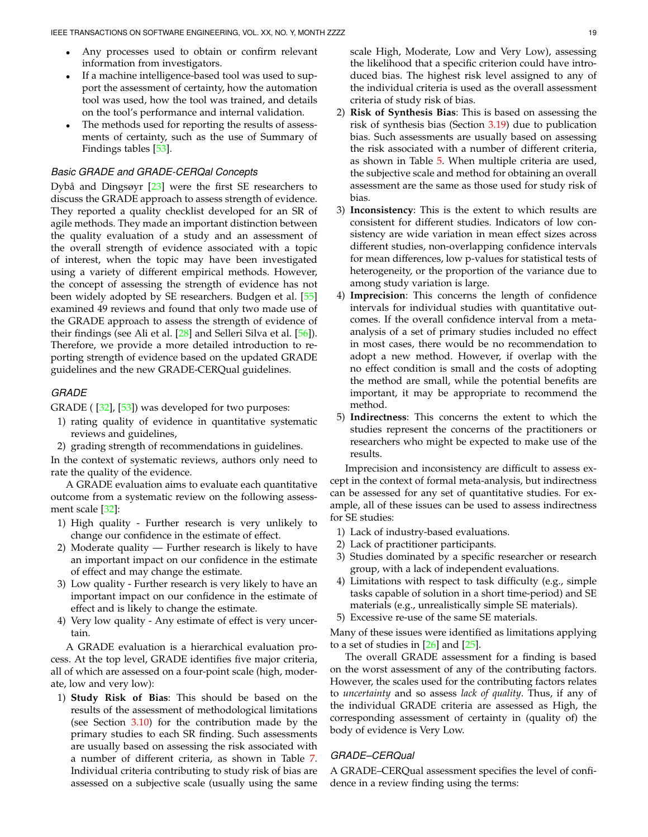- Any processes used to obtain or confirm relevant information from investigators.
- If a machine intelligence-based tool was used to support the assessment of certainty, how the automation tool was used, how the tool was trained, and details on the tool's performance and internal validation.
- The methods used for reporting the results of assessments of certainty, such as the use of Summary of Findings tables [\[53\]](#page-36-19).

## *Basic GRADE and GRADE-CERQal Concepts*

Dybå and Dingsøyr  $[23]$  $[23]$  were the first SE researchers to discuss the GRADE approach to assess strength of evidence. They reported a quality checklist developed for an SR of agile methods. They made an important distinction between the quality evaluation of a study and an assessment of the overall strength of evidence associated with a topic of interest, when the topic may have been investigated using a variety of different empirical methods. However, the concept of assessing the strength of evidence has not been widely adopted by SE researchers. Budgen et al. [\[55\]](#page-36-21) examined 49 reviews and found that only two made use of the GRADE approach to assess the strength of evidence of their findings (see Ali et al. [\[28\]](#page-35-27) and Selleri Silva et al. [\[56\]](#page-36-22)). Therefore, we provide a more detailed introduction to reporting strength of evidence based on the updated GRADE guidelines and the new GRADE-CERQual guidelines.

#### *GRADE*

GRADE ( [\[32\]](#page-35-31), [\[53\]](#page-36-19)) was developed for two purposes:

- 1) rating quality of evidence in quantitative systematic reviews and guidelines,
- 2) grading strength of recommendations in guidelines.

In the context of systematic reviews, authors only need to rate the quality of the evidence.

A GRADE evaluation aims to evaluate each quantitative outcome from a systematic review on the following assessment scale [\[32\]](#page-35-31):

- 1) High quality Further research is very unlikely to change our confidence in the estimate of effect.
- 2) Moderate quality Further research is likely to have an important impact on our confidence in the estimate of effect and may change the estimate.
- 3) Low quality Further research is very likely to have an important impact on our confidence in the estimate of effect and is likely to change the estimate.
- 4) Very low quality Any estimate of effect is very uncertain.

A GRADE evaluation is a hierarchical evaluation process. At the top level, GRADE identifies five major criteria, all of which are assessed on a four-point scale (high, moderate, low and very low):

1) **Study Risk of Bias**: This should be based on the results of the assessment of methodological limitations (see Section [3.10\)](#page-9-1) for the contribution made by the primary studies to each SR finding. Such assessments are usually based on assessing the risk associated with a number of different criteria, as shown in Table [7.](#page-22-0) Individual criteria contributing to study risk of bias are assessed on a subjective scale (usually using the same

scale High, Moderate, Low and Very Low), assessing the likelihood that a specific criterion could have introduced bias. The highest risk level assigned to any of the individual criteria is used as the overall assessment criteria of study risk of bias.

- 2) **Risk of Synthesis Bias**: This is based on assessing the risk of synthesis bias (Section [3.19\)](#page-15-0) due to publication bias. Such assessments are usually based on assessing the risk associated with a number of different criteria, as shown in Table [5.](#page-17-0) When multiple criteria are used, the subjective scale and method for obtaining an overall assessment are the same as those used for study risk of bias.
- 3) **Inconsistency**: This is the extent to which results are consistent for different studies. Indicators of low consistency are wide variation in mean effect sizes across different studies, non-overlapping confidence intervals for mean differences, low p-values for statistical tests of heterogeneity, or the proportion of the variance due to among study variation is large.
- 4) **Imprecision**: This concerns the length of confidence intervals for individual studies with quantitative outcomes. If the overall confidence interval from a metaanalysis of a set of primary studies included no effect in most cases, there would be no recommendation to adopt a new method. However, if overlap with the no effect condition is small and the costs of adopting the method are small, while the potential benefits are important, it may be appropriate to recommend the method.
- 5) **Indirectness**: This concerns the extent to which the studies represent the concerns of the practitioners or researchers who might be expected to make use of the results.

Imprecision and inconsistency are difficult to assess except in the context of formal meta-analysis, but indirectness can be assessed for any set of quantitative studies. For example, all of these issues can be used to assess indirectness for SE studies:

- 1) Lack of industry-based evaluations.
- 2) Lack of practitioner participants.
- 3) Studies dominated by a specific researcher or research group, with a lack of independent evaluations.
- 4) Limitations with respect to task difficulty (e.g., simple tasks capable of solution in a short time-period) and SE materials (e.g., unrealistically simple SE materials).
- 5) Excessive re-use of the same SE materials.

Many of these issues were identified as limitations applying to a set of studies in  $[26]$  and  $[25]$ .

The overall GRADE assessment for a finding is based on the worst assessment of any of the contributing factors. However, the scales used for the contributing factors relates to *uncertainty* and so assess *lack of quality*. Thus, if any of the individual GRADE criteria are assessed as High, the corresponding assessment of certainty in (quality of) the body of evidence is Very Low.

#### *GRADE–CERQual*

A GRADE–CERQual assessment specifies the level of confidence in a review finding using the terms: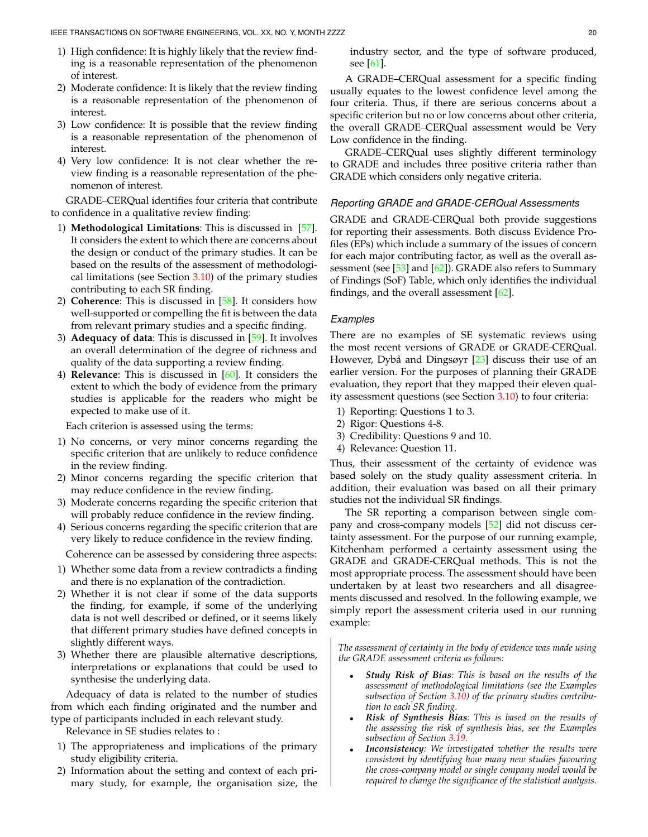- 1) High confidence: It is highly likely that the review finding is a reasonable representation of the phenomenon of interest.
- 2) Moderate confidence: It is likely that the review finding is a reasonable representation of the phenomenon of interest.
- 3) Low confidence: It is possible that the review finding is a reasonable representation of the phenomenon of interest.
- 4) Very low confidence: It is not clear whether the review finding is a reasonable representation of the phenomenon of interest.

GRADE–CERQual identifies four criteria that contribute to confidence in a qualitative review finding:

- 1) **Methodological Limitations**: This is discussed in [\[57\]](#page-36-23). It considers the extent to which there are concerns about the design or conduct of the primary studies. It can be based on the results of the assessment of methodological limitations (see Section  $3.10$ ) of the primary studies contributing to each SR finding.
- 2) **Coherence**: This is discussed in [\[58\]](#page-36-24). It considers how well-supported or compelling the fit is between the data from relevant primary studies and a specific finding.
- 3) **Adequacy of data**: This is discussed in [\[59\]](#page-36-25). It involves an overall determination of the degree of richness and quality of the data supporting a review finding.
- 4) **Relevance**: This is discussed in [\[60\]](#page-36-26). It considers the extent to which the body of evidence from the primary studies is applicable for the readers who might be expected to make use of it.

Each criterion is assessed using the terms:

- 1) No concerns, or very minor concerns regarding the specific criterion that are unlikely to reduce confidence in the review finding.
- 2) Minor concerns regarding the specific criterion that may reduce confidence in the review finding.
- 3) Moderate concerns regarding the specific criterion that will probably reduce confidence in the review finding.
- 4) Serious concerns regarding the specific criterion that are very likely to reduce confidence in the review finding.

Coherence can be assessed by considering three aspects:

- 1) Whether some data from a review contradicts a finding and there is no explanation of the contradiction.
- 2) Whether it is not clear if some of the data supports the finding, for example, if some of the underlying data is not well described or defined, or it seems likely that different primary studies have defined concepts in slightly different ways.
- 3) Whether there are plausible alternative descriptions, interpretations or explanations that could be used to synthesise the underlying data.

Adequacy of data is related to the number of studies from which each finding originated and the number and type of participants included in each relevant study.

Relevance in SE studies relates to :

- 1) The appropriateness and implications of the primary study eligibility criteria.
- 2) Information about the setting and context of each primary study, for example, the organisation size, the

industry sector, and the type of software produced, see [\[61\]](#page-36-27).

A GRADE–CERQual assessment for a specific finding usually equates to the lowest confidence level among the four criteria. Thus, if there are serious concerns about a specific criterion but no or low concerns about other criteria, the overall GRADE–CERQual assessment would be Very Low confidence in the finding.

GRADE–CERQual uses slightly different terminology to GRADE and includes three positive criteria rather than GRADE which considers only negative criteria.

## *Reporting GRADE and GRADE-CERQual Assessments*

GRADE and GRADE-CERQual both provide suggestions for reporting their assessments. Both discuss Evidence Profiles (EPs) which include a summary of the issues of concern for each major contributing factor, as well as the overall assessment (see  $[53]$  and  $[62]$ ). GRADE also refers to Summary of Findings (SoF) Table, which only identifies the individual findings, and the overall assessment  $[62]$ .

## *Examples*

There are no examples of SE systematic reviews using the most recent versions of GRADE or GRADE-CERQual. However, Dybå and Dingsøyr [[23\]](#page-35-22) discuss their use of an earlier version. For the purposes of planning their GRADE evaluation, they report that they mapped their eleven quality assessment questions (see Section [3.10\)](#page-9-1) to four criteria:

- 1) Reporting: Questions 1 to 3.
- 2) Rigor: Questions 4-8.
- 3) Credibility: Questions 9 and 10.
- 4) Relevance: Question 11.

Thus, their assessment of the certainty of evidence was based solely on the study quality assessment criteria. In addition, their evaluation was based on all their primary studies not the individual SR findings.

The SR reporting a comparison between single company and cross-company models [\[52\]](#page-36-18) did not discuss certainty assessment. For the purpose of our running example, Kitchenham performed a certainty assessment using the GRADE and GRADE-CERQual methods. This is not the most appropriate process. The assessment should have been undertaken by at least two researchers and all disagreements discussed and resolved. In the following example, we simply report the assessment criteria used in our running example:

*The assessment of certainty in the body of evidence was made using the GRADE assessment criteria as follows:*

- *Study Risk of Bias: This is based on the results of the assessment of methodological limitations (see the Examples subsection of Section [3.10\)](#page-9-1) of the primary studies contribution to each SR finding.*
- *Risk of Synthesis Bias: This is based on the results of the assessing the risk of synthesis bias, see the Examples subsection of Section [3.19.](#page-15-0)*
- *Inconsistency: We investigated whether the results were consistent by identifying how many new studies favouring the cross-company model or single company model would be required to change the significance of the statistical analysis.*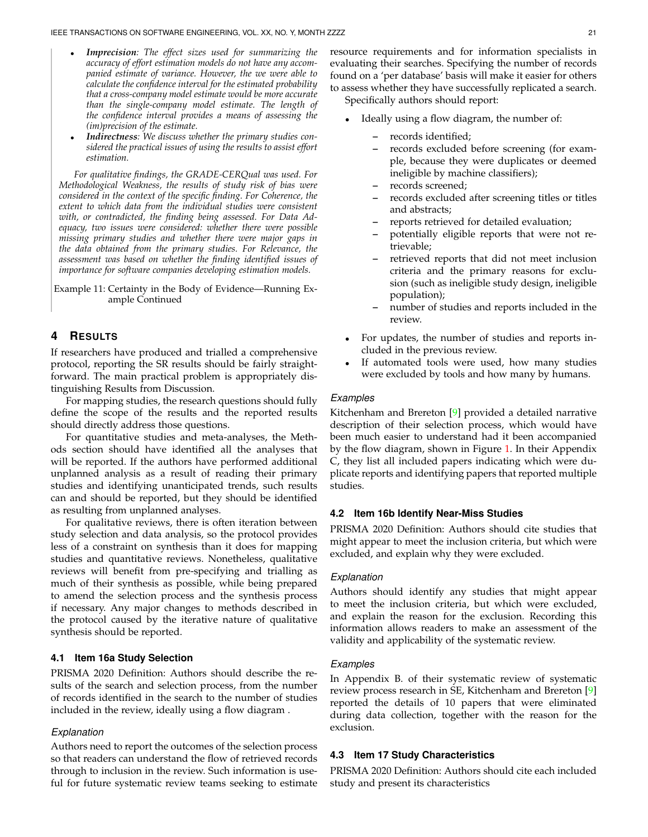- *Imprecision: The effect sizes used for summarizing the accuracy of effort estimation models do not have any accompanied estimate of variance. However, the we were able to calculate the confidence interval for the estimated probability that a cross-company model estimate would be more accurate than the single-company model estimate. The length of the confidence interval provides a means of assessing the (im)precision of the estimate.*
- *Indirectness: We discuss whether the primary studies considered the practical issues of using the results to assist effort estimation.*

*For qualitative findings, the GRADE-CERQual was used. For Methodological Weakness, the results of study risk of bias were considered in the context of the specific finding. For Coherence, the extent to which data from the individual studies were consistent with, or contradicted, the finding being assessed. For Data Adequacy, two issues were considered: whether there were possible missing primary studies and whether there were major gaps in the data obtained from the primary studies. For Relevance, the assessment was based on whether the finding identified issues of importance for software companies developing estimation models.*

Example 11: Certainty in the Body of Evidence—Running Example Continued

# <span id="page-20-0"></span>**4 RESULTS**

If researchers have produced and trialled a comprehensive protocol, reporting the SR results should be fairly straightforward. The main practical problem is appropriately distinguishing Results from Discussion.

For mapping studies, the research questions should fully define the scope of the results and the reported results should directly address those questions.

For quantitative studies and meta-analyses, the Methods section should have identified all the analyses that will be reported. If the authors have performed additional unplanned analysis as a result of reading their primary studies and identifying unanticipated trends, such results can and should be reported, but they should be identified as resulting from unplanned analyses.

For qualitative reviews, there is often iteration between study selection and data analysis, so the protocol provides less of a constraint on synthesis than it does for mapping studies and quantitative reviews. Nonetheless, qualitative reviews will benefit from pre-specifying and trialling as much of their synthesis as possible, while being prepared to amend the selection process and the synthesis process if necessary. Any major changes to methods described in the protocol caused by the iterative nature of qualitative synthesis should be reported.

## **4.1 Item 16a Study Selection**

PRISMA 2020 Definition: Authors should describe the results of the search and selection process, from the number of records identified in the search to the number of studies included in the review, ideally using a flow diagram .

#### *Explanation*

Authors need to report the outcomes of the selection process so that readers can understand the flow of retrieved records through to inclusion in the review. Such information is useful for future systematic review teams seeking to estimate

resource requirements and for information specialists in evaluating their searches. Specifying the number of records found on a 'per database' basis will make it easier for others to assess whether they have successfully replicated a search.

Specifically authors should report:

- Ideally using a flow diagram, the number of:
	- **–** records identified;
	- **–** records excluded before screening (for example, because they were duplicates or deemed ineligible by machine classifiers);
	- **–** records screened;
	- **–** records excluded after screening titles or titles and abstracts;
	- **–** reports retrieved for detailed evaluation;
	- **–** potentially eligible reports that were not retrievable;
	- **–** retrieved reports that did not meet inclusion criteria and the primary reasons for exclusion (such as ineligible study design, ineligible population);
	- **–** number of studies and reports included in the review.
- For updates, the number of studies and reports included in the previous review.
- If automated tools were used, how many studies were excluded by tools and how many by humans.

#### *Examples*

Kitchenham and Brereton  $[9]$  provided a detailed narrative description of their selection process, which would have been much easier to understand had it been accompanied by the flow diagram, shown in Figure [1.](#page-21-0) In their Appendix C, they list all included papers indicating which were duplicate reports and identifying papers that reported multiple studies.

## **4.2 Item 16b Identify Near-Miss Studies**

PRISMA 2020 Definition: Authors should cite studies that might appear to meet the inclusion criteria, but which were excluded, and explain why they were excluded.

#### *Explanation*

Authors should identify any studies that might appear to meet the inclusion criteria, but which were excluded, and explain the reason for the exclusion. Recording this information allows readers to make an assessment of the validity and applicability of the systematic review.

#### *Examples*

In Appendix B. of their systematic review of systematic review process research in SE, Kitchenham and Brereton [\[9\]](#page-35-8) reported the details of 10 papers that were eliminated during data collection, together with the reason for the exclusion.

## **4.3 Item 17 Study Characteristics**

PRISMA 2020 Definition: Authors should cite each included study and present its characteristics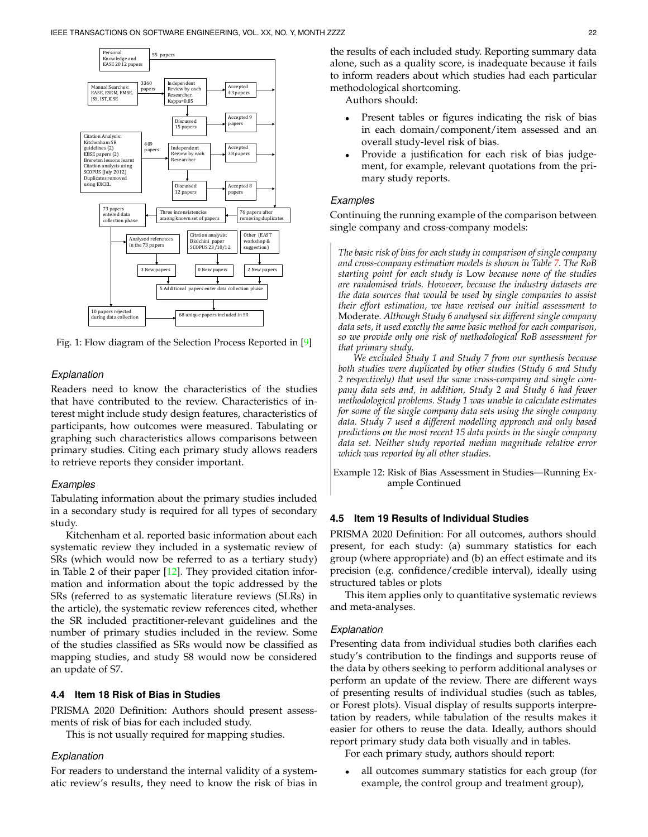<span id="page-21-0"></span>

Fig. 1: Flow diagram of the Selection Process Reported in [\[9\]](#page-35-8)

## *Explanation*

Readers need to know the characteristics of the studies that have contributed to the review. Characteristics of interest might include study design features, characteristics of participants, how outcomes were measured. Tabulating or graphing such characteristics allows comparisons between primary studies. Citing each primary study allows readers to retrieve reports they consider important.

#### *Examples*

Tabulating information about the primary studies included in a secondary study is required for all types of secondary study.

Kitchenham et al. reported basic information about each systematic review they included in a systematic review of SRs (which would now be referred to as a tertiary study) in Table 2 of their paper [\[12\]](#page-35-11). They provided citation information and information about the topic addressed by the SRs (referred to as systematic literature reviews (SLRs) in the article), the systematic review references cited, whether the SR included practitioner-relevant guidelines and the number of primary studies included in the review. Some of the studies classified as SRs would now be classified as mapping studies, and study S8 would now be considered an update of S7.

## **4.4 Item 18 Risk of Bias in Studies**

PRISMA 2020 Definition: Authors should present assessments of risk of bias for each included study.

This is not usually required for mapping studies.

#### *Explanation*

For readers to understand the internal validity of a systematic review's results, they need to know the risk of bias in the results of each included study. Reporting summary data alone, such as a quality score, is inadequate because it fails to inform readers about which studies had each particular methodological shortcoming.

Authors should:

- Present tables or figures indicating the risk of bias in each domain/component/item assessed and an overall study-level risk of bias.
- Provide a justification for each risk of bias judgement, for example, relevant quotations from the primary study reports.

#### *Examples*

Continuing the running example of the comparison between single company and cross-company models:

*The basic risk of bias for each study in comparison of single company and cross-company estimation models is shown in Table [7.](#page-22-0) The RoB starting point for each study is* Low *because none of the studies are randomised trials. However, because the industry datasets are the data sources that would be used by single companies to assist their effort estimation, we have revised our initial assessment to* Moderate*. Although Study 6 analysed six different single company data sets, it used exactly the same basic method for each comparison, so we provide only one risk of methodological RoB assessment for that primary study.*

*We excluded Study 1 and Study 7 from our synthesis because both studies were duplicated by other studies (Study 6 and Study 2 respectively) that used the same cross-company and single company data sets and, in addition, Study 2 and Study 6 had fewer methodological problems. Study 1 was unable to calculate estimates for some of the single company data sets using the single company data. Study 7 used a different modelling approach and only based predictions on the most recent 15 data points in the single company data set. Neither study reported median magnitude relative error which was reported by all other studies.*

<span id="page-21-1"></span>Example 12: Risk of Bias Assessment in Studies—Running Example Continued

## **4.5 Item 19 Results of Individual Studies**

PRISMA 2020 Definition: For all outcomes, authors should present, for each study: (a) summary statistics for each group (where appropriate) and (b) an effect estimate and its precision (e.g. confidence/credible interval), ideally using structured tables or plots

This item applies only to quantitative systematic reviews and meta-analyses.

#### *Explanation*

Presenting data from individual studies both clarifies each study's contribution to the findings and supports reuse of the data by others seeking to perform additional analyses or perform an update of the review. There are different ways of presenting results of individual studies (such as tables, or Forest plots). Visual display of results supports interpretation by readers, while tabulation of the results makes it easier for others to reuse the data. Ideally, authors should report primary study data both visually and in tables.

For each primary study, authors should report:

all outcomes summary statistics for each group (for example, the control group and treatment group),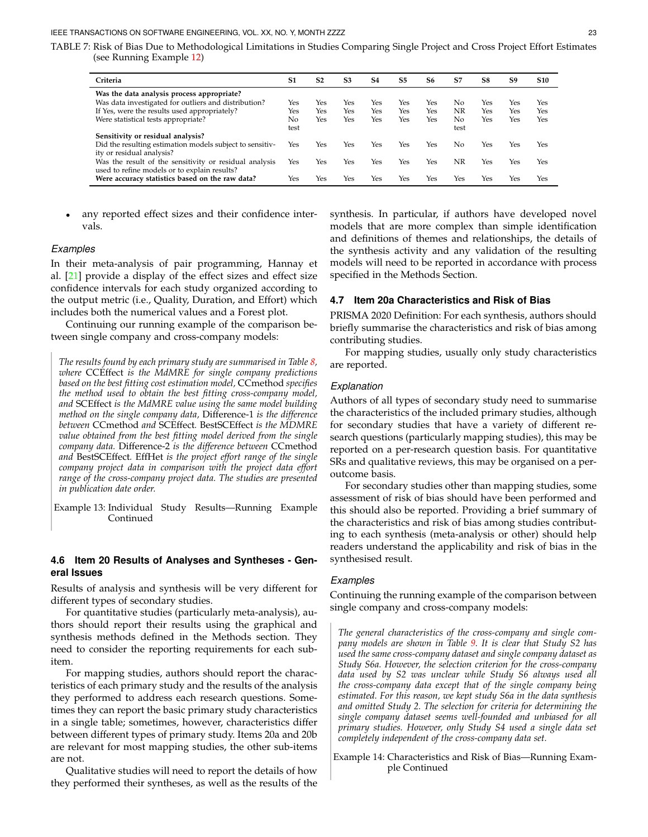<span id="page-22-0"></span>TABLE 7: Risk of Bias Due to Methodological Limitations in Studies Comparing Single Project and Cross Project Effort Estimates (see Running Example [12\)](#page-21-1)

| Criteria                                                 | S1   | S <sub>2</sub> | S <sub>3</sub> | S4  | S5  | S6  | S7   | S8  | S9  | <b>S10</b> |
|----------------------------------------------------------|------|----------------|----------------|-----|-----|-----|------|-----|-----|------------|
| Was the data analysis process appropriate?               |      |                |                |     |     |     |      |     |     |            |
| Was data investigated for outliers and distribution?     | Yes  | Yes            | Yes            | Yes | Yes | Yes | No   | Yes | Yes | Yes        |
| If Yes, were the results used appropriately?             | Yes  | Yes            | Yes            | Yes | Yes | Yes | NR   | Yes | Yes | Yes        |
| Were statistical tests appropriate?                      | No   | Yes            | Yes            | Yes | Yes | Yes | No   | Yes | Yes | Yes        |
|                                                          | test |                |                |     |     |     | test |     |     |            |
| Sensitivity or residual analysis?                        |      |                |                |     |     |     |      |     |     |            |
| Did the resulting estimation models subject to sensitiv- | Yes  | Yes            | Yes            | Yes | Yes | Yes | No.  | Yes | Yes | Yes        |
| ity or residual analysis?                                |      |                |                |     |     |     |      |     |     |            |
| Was the result of the sensitivity or residual analysis   | Yes  | Yes            | Yes            | Yes | Yes | Yes | ΝR   | Yes | Yes | Yes        |
| used to refine models or to explain results?             |      |                |                |     |     |     |      |     |     |            |
| Were accuracy statistics based on the raw data?          | Yes  | Yes            | Yes            | Yes | Yes | Yes | Yes  | Yes | Yes | Yes        |
|                                                          |      |                |                |     |     |     |      |     |     |            |

any reported effect sizes and their confidence intervals.

### *Examples*

In their meta-analysis of pair programming, Hannay et al. [\[21\]](#page-35-20) provide a display of the effect sizes and effect size confidence intervals for each study organized according to the output metric (i.e., Quality, Duration, and Effort) which includes both the numerical values and a Forest plot.

Continuing our running example of the comparison between single company and cross-company models:

*The results found by each primary study are summarised in Table [8,](#page-23-0) where* CCEffect *is the MdMRE for single company predictions based on the best fitting cost estimation model,* CCmethod *specifies the method used to obtain the best fitting cross-company model, and* SCEffect *is the MdMRE value using the same model building method on the single company data,* Difference-1 *is the difference between* CCmethod *and* SCEffect*.* BestSCEffect *is the MDMRE value obtained from the best fitting model derived from the single company data.* Difference-2 *is the difference between* CCmethod *and* BestSCEffect*.* EffHet *is the project effort range of the single company project data in comparison with the project data effort range of the cross-company project data. The studies are presented in publication date order.*

<span id="page-22-1"></span>Example 13: Individual Study Results—Running Example Continued

## **4.6 Item 20 Results of Analyses and Syntheses - General Issues**

Results of analysis and synthesis will be very different for different types of secondary studies.

For quantitative studies (particularly meta-analysis), authors should report their results using the graphical and synthesis methods defined in the Methods section. They need to consider the reporting requirements for each subitem.

For mapping studies, authors should report the characteristics of each primary study and the results of the analysis they performed to address each research questions. Sometimes they can report the basic primary study characteristics in a single table; sometimes, however, characteristics differ between different types of primary study. Items 20a and 20b are relevant for most mapping studies, the other sub-items are not.

Qualitative studies will need to report the details of how they performed their syntheses, as well as the results of the synthesis. In particular, if authors have developed novel models that are more complex than simple identification and definitions of themes and relationships, the details of the synthesis activity and any validation of the resulting models will need to be reported in accordance with process specified in the Methods Section.

#### **4.7 Item 20a Characteristics and Risk of Bias**

PRISMA 2020 Definition: For each synthesis, authors should briefly summarise the characteristics and risk of bias among contributing studies.

For mapping studies, usually only study characteristics are reported.

#### *Explanation*

Authors of all types of secondary study need to summarise the characteristics of the included primary studies, although for secondary studies that have a variety of different research questions (particularly mapping studies), this may be reported on a per-research question basis. For quantitative SRs and qualitative reviews, this may be organised on a peroutcome basis.

For secondary studies other than mapping studies, some assessment of risk of bias should have been performed and this should also be reported. Providing a brief summary of the characteristics and risk of bias among studies contributing to each synthesis (meta-analysis or other) should help readers understand the applicability and risk of bias in the synthesised result.

#### *Examples*

Continuing the running example of the comparison between single company and cross-company models:

*The general characteristics of the cross-company and single company models are shown in Table [9.](#page-23-1) It is clear that Study S2 has used the same cross-company dataset and single company dataset as Study S6a. However, the selection criterion for the cross-company data used by S2 was unclear while Study S6 always used all the cross-company data except that of the single company being estimated. For this reason, we kept study S6a in the data synthesis and omitted Study 2. The selection for criteria for determining the single company dataset seems well-founded and unbiased for all primary studies. However, only Study S4 used a single data set completely independent of the cross-company data set.*

<span id="page-22-2"></span>Example 14: Characteristics and Risk of Bias—Running Example Continued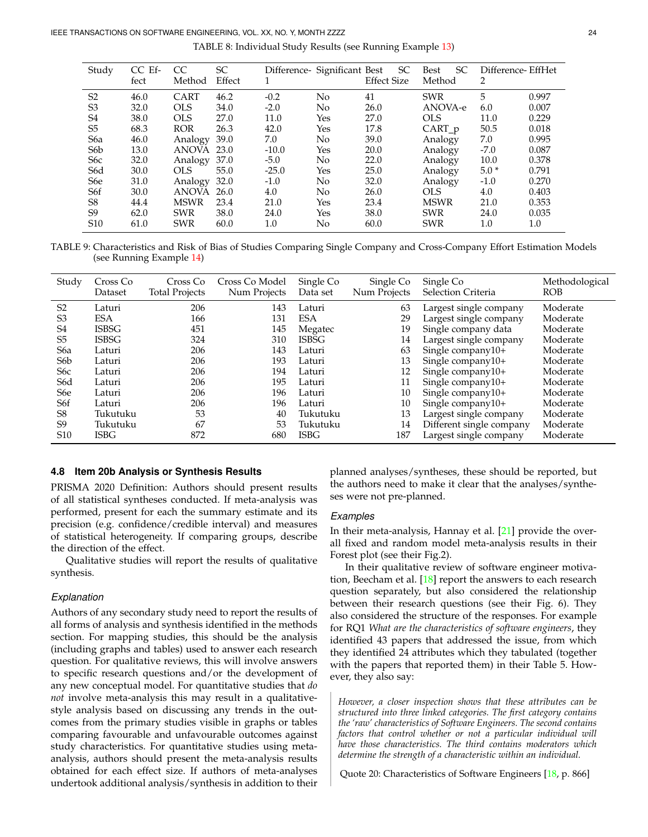TABLE 8: Individual Study Results (see Running Example [13\)](#page-22-1)

<span id="page-23-0"></span>

| Study            | $CC$ Ef-<br>fect | CC<br>Method | SC<br>Effect | 1       | Difference- Significant Best | <b>SC</b><br><b>Effect Size</b> | <b>SC</b><br><b>Best</b><br>Method | Difference-EffHet<br>2 |       |
|------------------|------------------|--------------|--------------|---------|------------------------------|---------------------------------|------------------------------------|------------------------|-------|
|                  |                  | CART         |              |         |                              | 41                              | <b>SWR</b>                         | 5                      | 0.997 |
| S <sub>2</sub>   | 46.0             |              | 46.2         | $-0.2$  | N <sub>o</sub>               |                                 |                                    |                        |       |
| S <sub>3</sub>   | 32.0             | <b>OLS</b>   | 34.0         | $-2.0$  | N <sub>o</sub>               | 26.0                            | ANOVA-e                            | 6.0                    | 0.007 |
| S4               | 38.0             | <b>OLS</b>   | 27.0         | 11.0    | Yes                          | 27.0                            | <b>OLS</b>                         | 11.0                   | 0.229 |
| S5               | 68.3             | <b>ROR</b>   | 26.3         | 42.0    | Yes                          | 17.8                            | CART_p                             | 50.5                   | 0.018 |
| S <sub>6</sub> a | 46.0             | Analogy      | 39.0         | 7.0     | No                           | 39.0                            | Analogy                            | 7.0                    | 0.995 |
| S6 <sub>b</sub>  | 13.0             | <b>ANOVA</b> | 23.0         | $-10.0$ | Yes                          | 20.0                            | Analogy                            | $-7.0$                 | 0.087 |
| S <sub>6</sub> c | 32.0             | Analogy      | 37.0         | $-5.0$  | No                           | 22.0                            | Analogy                            | 10.0                   | 0.378 |
| S6d              | 30.0             | <b>OLS</b>   | 55.0         | $-25.0$ | Yes                          | 25.0                            | Analogy                            | $5.0*$                 | 0.791 |
| S6e              | 31.0             | Analogy      | 32.0         | $-1.0$  | No                           | 32.0                            | Analogy                            | $-1.0$                 | 0.270 |
| S6f              | 30.0             | <b>ANOVA</b> | 26.0         | 4.0     | No                           | 26.0                            | <b>OLS</b>                         | 4.0                    | 0.403 |
| S <sub>8</sub>   | 44.4             | <b>MSWR</b>  | 23.4         | 21.0    | Yes                          | 23.4                            | <b>MSWR</b>                        | 21.0                   | 0.353 |
| S9               | 62.0             | <b>SWR</b>   | 38.0         | 24.0    | Yes                          | 38.0                            | <b>SWR</b>                         | 24.0                   | 0.035 |
| S <sub>10</sub>  | 61.0             | <b>SWR</b>   | 60.0         | 1.0     | No                           | 60.0                            | <b>SWR</b>                         | 1.0                    | 1.0   |

<span id="page-23-1"></span>TABLE 9: Characteristics and Risk of Bias of Studies Comparing Single Company and Cross-Company Effort Estimation Models (see Running Example [14\)](#page-22-2)

| Study            | Cross Co     | Cross Co              | Cross Co Model | Single Co    | Single Co    | Single Co                | Methodological |
|------------------|--------------|-----------------------|----------------|--------------|--------------|--------------------------|----------------|
|                  | Dataset      | <b>Total Projects</b> | Num Projects   | Data set     | Num Projects | Selection Criteria       | <b>ROB</b>     |
| S <sub>2</sub>   | Laturi       | 206                   | 143            | Laturi       | 63           | Largest single company   | Moderate       |
| S <sub>3</sub>   | <b>ESA</b>   | 166                   | 131            | <b>ESA</b>   | 29           | Largest single company   | Moderate       |
| S <sub>4</sub>   | <b>ISBSG</b> | 451                   | 145            | Megatec      | 19           | Single company data      | Moderate       |
| S <sub>5</sub>   | <b>ISBSG</b> | 324                   | 310            | <b>ISBSG</b> | 14           | Largest single company   | Moderate       |
| S <sub>6</sub> a | Laturi       | 206                   | 143            | Laturi       | 63           | Single company10+        | Moderate       |
| S <sub>6</sub> b | Laturi       | 206                   | 193            | Laturi       | 13           | Single company10+        | Moderate       |
| S <sub>6</sub> c | Laturi       | 206                   | 194            | Laturi       | 12           | Single company10+        | Moderate       |
| S <sub>6</sub> d | Laturi       | 206                   | 195            | Laturi       | 11           | Single company10+        | Moderate       |
| S <sub>6</sub> e | Laturi       | 206                   | 196            | Laturi       | 10           | Single company10+        | Moderate       |
| S6f              | Laturi       | 206                   | 196            | Laturi       | 10           | Single company10+        | Moderate       |
| S <sub>8</sub>   | Tukutuku     | 53                    | 40             | Tukutuku     | 13           | Largest single company   | Moderate       |
| S <sub>9</sub>   | Tukutuku     | 67                    | 53             | Tukutuku     | 14           | Different single company | Moderate       |
| S <sub>10</sub>  | <b>ISBG</b>  | 872                   | 680            | <b>ISBG</b>  | 187          | Largest single company   | Moderate       |

## **4.8 Item 20b Analysis or Synthesis Results**

PRISMA 2020 Definition: Authors should present results of all statistical syntheses conducted. If meta-analysis was performed, present for each the summary estimate and its precision (e.g. confidence/credible interval) and measures of statistical heterogeneity. If comparing groups, describe the direction of the effect.

Qualitative studies will report the results of qualitative synthesis.

## *Explanation*

Authors of any secondary study need to report the results of all forms of analysis and synthesis identified in the methods section. For mapping studies, this should be the analysis (including graphs and tables) used to answer each research question. For qualitative reviews, this will involve answers to specific research questions and/or the development of any new conceptual model. For quantitative studies that *do not* involve meta-analysis this may result in a qualitativestyle analysis based on discussing any trends in the outcomes from the primary studies visible in graphs or tables comparing favourable and unfavourable outcomes against study characteristics. For quantitative studies using metaanalysis, authors should present the meta-analysis results obtained for each effect size. If authors of meta-analyses undertook additional analysis/synthesis in addition to their planned analyses/syntheses, these should be reported, but the authors need to make it clear that the analyses/syntheses were not pre-planned.

# *Examples*

In their meta-analysis, Hannay et al. [\[21\]](#page-35-20) provide the overall fixed and random model meta-analysis results in their Forest plot (see their Fig.2).

In their qualitative review of software engineer motivation, Beecham et al.  $[18]$  report the answers to each research question separately, but also considered the relationship between their research questions (see their Fig. 6). They also considered the structure of the responses. For example for RQ1 *What are the characteristics of software engineers*, they identified 43 papers that addressed the issue, from which they identified 24 attributes which they tabulated (together with the papers that reported them) in their Table 5. However, they also say:

*However, a closer inspection shows that these attributes can be structured into three linked categories. The first category contains the 'raw' characteristics of Software Engineers. The second contains factors that control whether or not a particular individual will have those characteristics. The third contains moderators which determine the strength of a characteristic within an individual.*

Quote 20: Characteristics of Software Engineers [\[18,](#page-35-17) p. 866]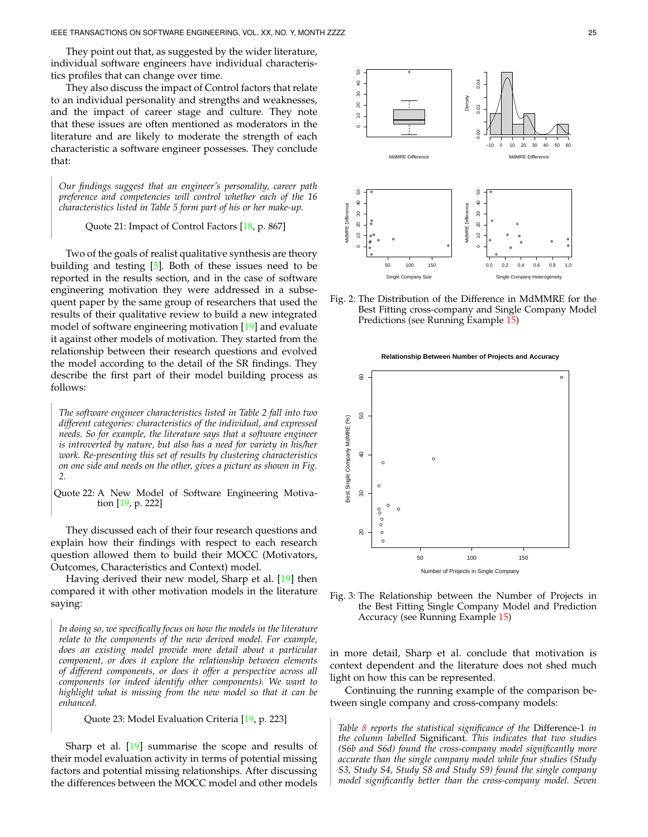They point out that, as suggested by the wider literature, individual software engineers have individual characteristics profiles that can change over time.

They also discuss the impact of Control factors that relate to an individual personality and strengths and weaknesses, and the impact of career stage and culture. They note that these issues are often mentioned as moderators in the literature and are likely to moderate the strength of each characteristic a software engineer possesses. They conclude that:

*Our findings suggest that an engineer's personality, career path preference and competencies will control whether each of the 16 characteristics listed in Table 5 form part of his or her make-up.*

## Quote 21: Impact of Control Factors [\[18,](#page-35-17) p. 867]

Two of the goals of realist qualitative synthesis are theory building and testing [\[5\]](#page-35-4). Both of these issues need to be reported in the results section, and in the case of software engineering motivation they were addressed in a subsequent paper by the same group of researchers that used the results of their qualitative review to build a new integrated model of software engineering motivation [\[19\]](#page-35-18) and evaluate it against other models of motivation. They started from the relationship between their research questions and evolved the model according to the detail of the SR findings. They describe the first part of their model building process as follows:

*The software engineer characteristics listed in Table 2 fall into two different categories: characteristics of the individual, and expressed needs. So for example, the literature says that a software engineer is introverted by nature, but also has a need for variety in his/her work. Re-presenting this set of results by clustering characteristics on one side and needs on the other, gives a picture as shown in Fig. 2.*

<span id="page-24-2"></span>Quote 22: A New Model of Software Engineering Motivation [\[19,](#page-35-18) p. 222]

They discussed each of their four research questions and explain how their findings with respect to each research question allowed them to build their MOCC (Motivators, Outcomes, Characteristics and Context) model.

Having derived their new model, Sharp et al. [\[19\]](#page-35-18) then compared it with other motivation models in the literature saying:

*In doing so, we specifically focus on how the models in the literature relate to the components of the new derived model. For example, does an existing model provide more detail about a particular component, or does it explore the relationship between elements of different components, or does it offer a perspective across all components (or indeed identify other components). We want to highlight what is missing from the new model so that it can be enhanced.*

Quote 23: Model Evaluation Criteria [\[19,](#page-35-18) p. 223]

Sharp et al. [\[19\]](#page-35-18) summarise the scope and results of their model evaluation activity in terms of potential missing factors and potential missing relationships. After discussing the differences between the MOCC model and other models

<span id="page-24-0"></span>

Fig. 2: The Distribution of the Difference in MdMMRE for the Best Fitting cross-company and Single Company Model Predictions (see Running Example [15\)](#page-25-0)

<span id="page-24-1"></span>

Fig. 3: The Relationship between the Number of Projects in the Best Fitting Single Company Model and Prediction Accuracy (see Running Example [15\)](#page-25-0)

in more detail, Sharp et al. conclude that motivation is context dependent and the literature does not shed much light on how this can be represented.

Continuing the running example of the comparison between single company and cross-company models:

*Table [8](#page-23-0) reports the statistical significance of the* Difference-1 *in the column labelled* Significant*. This indicates that two studies (S6b and S6d) found the cross-company model significantly more accurate than the single company model while four studies (Study S3, Study S4, Study S8 and Study S9) found the single company model significantly better than the cross-company model. Seven*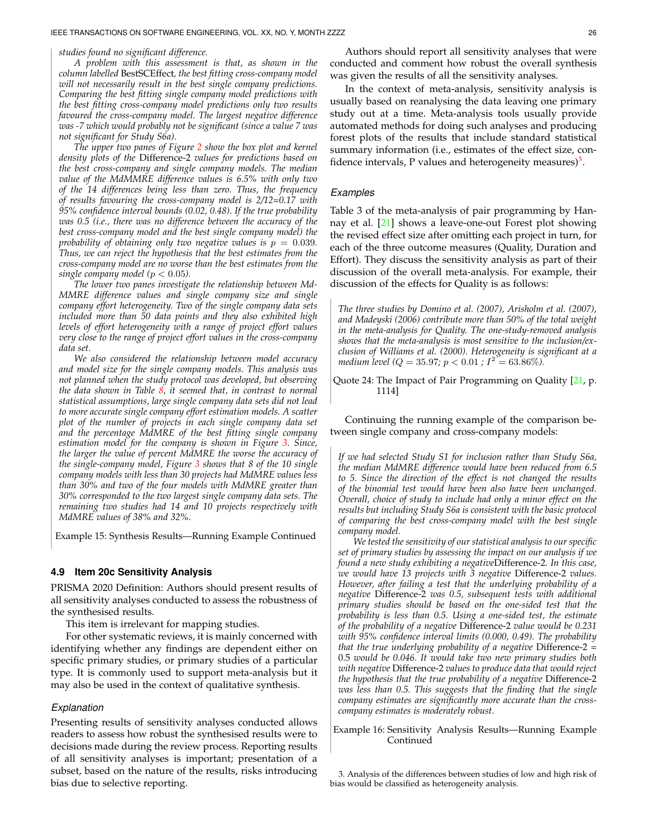#### *studies found no significant difference.*

*A problem with this assessment is that, as shown in the column labelled* BestSCEffect*, the best fitting cross-company model will not necessarily result in the best single company predictions. Comparing the best fitting single company model predictions with the best fitting cross-company model predictions only two results favoured the cross-company model. The largest negative difference was -7 which would probably not be significant (since a value 7 was not significant for Study S6a).*

*The upper two panes of Figure [2](#page-24-0) show the box plot and kernel density plots of the* Difference-2 *values for predictions based on the best cross-company and single company models. The median value of the MdMMRE difference values is 6.5% with only two of the 14 differences being less than zero. Thus, the frequency of results favouring the cross-company model is 2/12=0.17 with 95% confidence interval bounds (0.02, 0.48). If the true probability was 0.5 (i.e., there was no difference between the accuracy of the best cross-company model and the best single company model) the probability of obtaining only two negative values is*  $p = 0.039$ *. Thus, we can reject the hypothesis that the best estimates from the cross-company model are no worse than the best estimates from the single company model* ( $p < 0.05$ ).

*The lower two panes investigate the relationship between Md-MMRE difference values and single company size and single company effort heterogeneity. Two of the single company data sets included more than 50 data points and they also exhibited high levels of effort heterogeneity with a range of project effort values very close to the range of project effort values in the cross-company data set.*

*We also considered the relationship between model accuracy and model size for the single company models. This analysis was not planned when the study protocol was developed, but observing the data shown in Table [8,](#page-23-0) it seemed that, in contrast to normal statistical assumptions, large single company data sets did not lead to more accurate single company effort estimation models. A scatter plot of the number of projects in each single company data set and the percentage MdMRE of the best fitting single company estimation model for the company is shown in Figure [3.](#page-24-1) Since, the larger the value of percent MdMRE the worse the accuracy of the single-company model, Figure [3](#page-24-1) shows that 8 of the 10 single company models with less than 30 projects had MdMRE values less than 30% and two of the four models with MdMRE greater than 30% corresponded to the two largest single company data sets. The remaining two studies had 14 and 10 projects respectively with MdMRE values of 38% and 32%.*

<span id="page-25-0"></span>Example 15: Synthesis Results—Running Example Continued

## **4.9 Item 20c Sensitivity Analysis**

PRISMA 2020 Definition: Authors should present results of all sensitivity analyses conducted to assess the robustness of the synthesised results.

This item is irrelevant for mapping studies.

For other systematic reviews, it is mainly concerned with identifying whether any findings are dependent either on specific primary studies, or primary studies of a particular type. It is commonly used to support meta-analysis but it may also be used in the context of qualitative synthesis.

#### *Explanation*

Presenting results of sensitivity analyses conducted allows readers to assess how robust the synthesised results were to decisions made during the review process. Reporting results of all sensitivity analyses is important; presentation of a subset, based on the nature of the results, risks introducing bias due to selective reporting.

Authors should report all sensitivity analyses that were conducted and comment how robust the overall synthesis was given the results of all the sensitivity analyses.

In the context of meta-analysis, sensitivity analysis is usually based on reanalysing the data leaving one primary study out at a time. Meta-analysis tools usually provide automated methods for doing such analyses and producing forest plots of the results that include standard statistical summary information (i.e., estimates of the effect size, con-fidence intervals, P values and heterogeneity measures)<sup>[3](#page-25-1)</sup>.

## *Examples*

Table 3 of the meta-analysis of pair programming by Hannay et al. [\[21\]](#page-35-20) shows a leave-one-out Forest plot showing the revised effect size after omitting each project in turn, for each of the three outcome measures (Quality, Duration and Effort). They discuss the sensitivity analysis as part of their discussion of the overall meta-analysis. For example, their discussion of the effects for Quality is as follows:

*The three studies by Domino et al. (2007), Arisholm et al. (2007), and Madeyski (2006) contribute more than 50% of the total weight in the meta-analysis for Quality. The one-study-removed analysis shows that the meta-analysis is most sensitive to the inclusion/exclusion of Williams et al. (2000). Heterogeneity is significant at a medium level (Q = 35.97; p <*  $0.01$  *; I*<sup>2</sup> =  $63.86\%$ ).

Quote 24: The Impact of Pair Programming on Quality [\[21,](#page-35-20) p. 1114]

Continuing the running example of the comparison between single company and cross-company models:

*If we had selected Study S1 for inclusion rather than Study S6a, the median MdMRE difference would have been reduced from 6.5 to 5. Since the direction of the effect is not changed the results of the binomial test would have been also have been unchanged. Overall, choice of study to include had only a minor effect on the results but including Study S6a is consistent with the basic protocol of comparing the best cross-company model with the best single company model.*

*We tested the sensitivity of our statistical analysis to our specific set of primary studies by assessing the impact on our analysis if we found a new study exhibiting a negative*Difference-2*. In this case, we would have 13 projects with 3 negative* Difference-2 *values. However, after failing a test that the underlying probability of a negative* Difference-2 *was 0.5, subsequent tests with additional primary studies should be based on the one-sided test that the probability is less than 0.5. Using a one-sided test, the estimate of the probability of a negative* Difference-2 *value would be 0.231 with 95% confidence interval limits (0.000, 0.49). The probability that the true underlying probability of a negative* Difference-2 = 0.5 *would be 0.046. It would take two new primary studies both with negative* Difference-2 *values to produce data that would reject the hypothesis that the true probability of a negative* Difference-2 *was less than 0.5. This suggests that the finding that the single company estimates are significantly more accurate than the crosscompany estimates is moderately robust.*

Example 16: Sensitivity Analysis Results—Running Example Continued

<span id="page-25-1"></span>3. Analysis of the differences between studies of low and high risk of bias would be classified as heterogeneity analysis.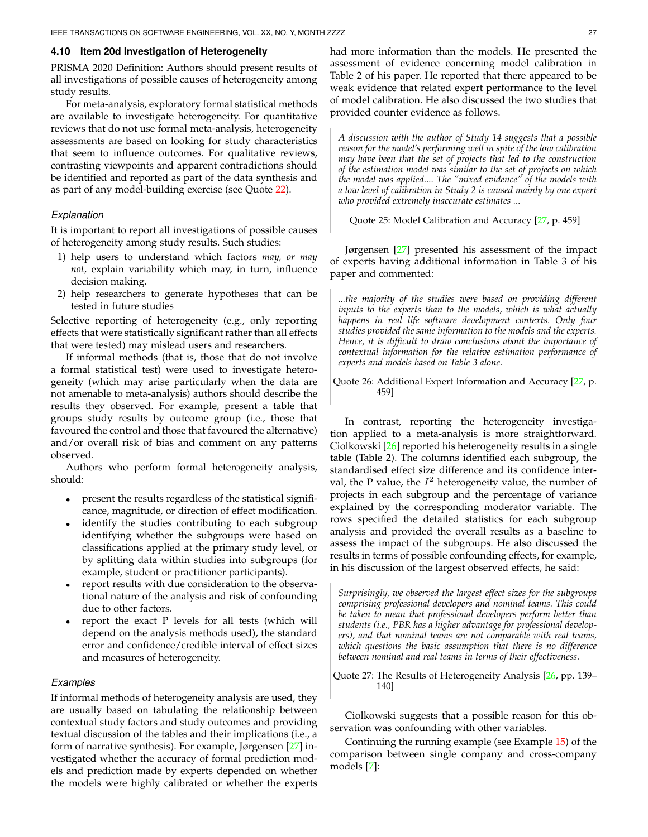## **4.10 Item 20d Investigation of Heterogeneity**

PRISMA 2020 Definition: Authors should present results of all investigations of possible causes of heterogeneity among study results.

For meta-analysis, exploratory formal statistical methods are available to investigate heterogeneity. For quantitative reviews that do not use formal meta-analysis, heterogeneity assessments are based on looking for study characteristics that seem to influence outcomes. For qualitative reviews, contrasting viewpoints and apparent contradictions should be identified and reported as part of the data synthesis and as part of any model-building exercise (see Quote [22\)](#page-24-2).

## *Explanation*

It is important to report all investigations of possible causes of heterogeneity among study results. Such studies:

- 1) help users to understand which factors *may, or may not,* explain variability which may, in turn, influence decision making.
- 2) help researchers to generate hypotheses that can be tested in future studies

Selective reporting of heterogeneity (e.g., only reporting effects that were statistically significant rather than all effects that were tested) may mislead users and researchers.

If informal methods (that is, those that do not involve a formal statistical test) were used to investigate heterogeneity (which may arise particularly when the data are not amenable to meta-analysis) authors should describe the results they observed. For example, present a table that groups study results by outcome group (i.e., those that favoured the control and those that favoured the alternative) and/or overall risk of bias and comment on any patterns observed.

Authors who perform formal heterogeneity analysis, should:

- present the results regardless of the statistical significance, magnitude, or direction of effect modification.
- identify the studies contributing to each subgroup identifying whether the subgroups were based on classifications applied at the primary study level, or by splitting data within studies into subgroups (for example, student or practitioner participants).
- report results with due consideration to the observational nature of the analysis and risk of confounding due to other factors.
- report the exact P levels for all tests (which will depend on the analysis methods used), the standard error and confidence/credible interval of effect sizes and measures of heterogeneity.

#### *Examples*

If informal methods of heterogeneity analysis are used, they are usually based on tabulating the relationship between contextual study factors and study outcomes and providing textual discussion of the tables and their implications (i.e., a form of narrative synthesis). For example, Jørgensen [\[27\]](#page-35-26) investigated whether the accuracy of formal prediction models and prediction made by experts depended on whether the models were highly calibrated or whether the experts

had more information than the models. He presented the assessment of evidence concerning model calibration in Table 2 of his paper. He reported that there appeared to be weak evidence that related expert performance to the level of model calibration. He also discussed the two studies that provided counter evidence as follows.

*A discussion with the author of Study 14 suggests that a possible reason for the model's performing well in spite of the low calibration may have been that the set of projects that led to the construction of the estimation model was similar to the set of projects on which the model was applied.... The "mixed evidence" of the models with a low level of calibration in Study 2 is caused mainly by one expert who provided extremely inaccurate estimates ...*

Quote 25: Model Calibration and Accuracy [\[27,](#page-35-26) p. 459]

Jørgensen [\[27\]](#page-35-26) presented his assessment of the impact of experts having additional information in Table 3 of his paper and commented:

*...the majority of the studies were based on providing different inputs to the experts than to the models, which is what actually happens in real life software development contexts. Only four studies provided the same information to the models and the experts. Hence, it is difficult to draw conclusions about the importance of contextual information for the relative estimation performance of experts and models based on Table 3 alone.*

Quote 26: Additional Expert Information and Accuracy [\[27,](#page-35-26) p. 459]

In contrast, reporting the heterogeneity investigation applied to a meta-analysis is more straightforward. Ciolkowski [\[26\]](#page-35-25) reported his heterogeneity results in a single table (Table 2). The columns identified each subgroup, the standardised effect size difference and its confidence interval, the P value, the  $I^2$  heterogeneity value, the number of projects in each subgroup and the percentage of variance explained by the corresponding moderator variable. The rows specified the detailed statistics for each subgroup analysis and provided the overall results as a baseline to assess the impact of the subgroups. He also discussed the results in terms of possible confounding effects, for example, in his discussion of the largest observed effects, he said:

*Surprisingly, we observed the largest effect sizes for the subgroups comprising professional developers and nominal teams. This could be taken to mean that professional developers perform better than students (i.e., PBR has a higher advantage for professional developers), and that nominal teams are not comparable with real teams, which questions the basic assumption that there is no difference between nominal and real teams in terms of their effectiveness.*

Quote 27: The Results of Heterogeneity Analysis [\[26,](#page-35-25) pp. 139– 140]

Ciolkowski suggests that a possible reason for this observation was confounding with other variables.

Continuing the running example (see Example [15\)](#page-25-0) of the comparison between single company and cross-company models [\[7\]](#page-35-6):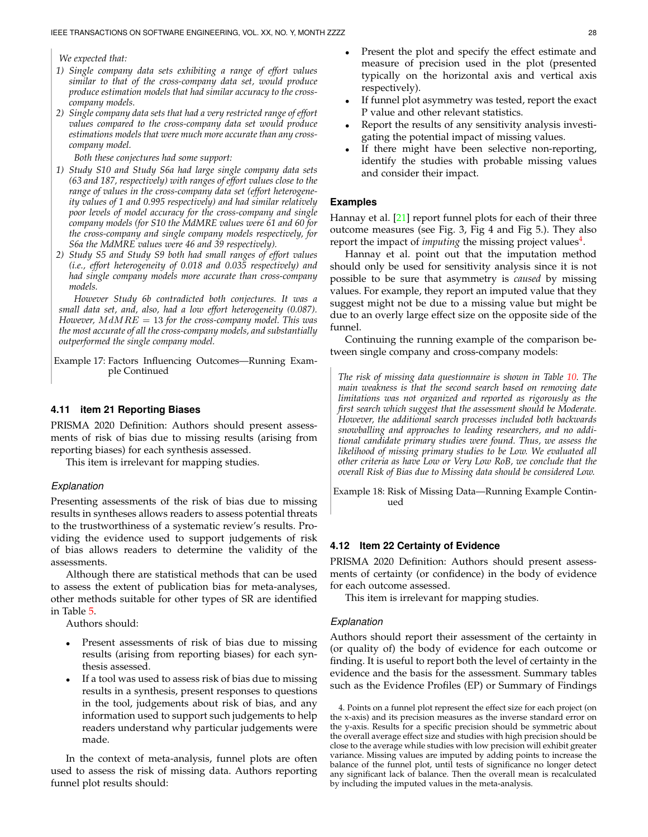*We expected that:*

- *1) Single company data sets exhibiting a range of effort values similar to that of the cross-company data set, would produce produce estimation models that had similar accuracy to the crosscompany models.*
- *2) Single company data sets that had a very restricted range of effort values compared to the cross-company data set would produce estimations models that were much more accurate than any crosscompany model.*

*Both these conjectures had some support:*

- *1) Study S10 and Study S6a had large single company data sets (63 and 187, respectively) with ranges of effort values close to the range of values in the cross-company data set (effort heterogeneity values of 1 and 0.995 respectively) and had similar relatively poor levels of model accuracy for the cross-company and single company models (for S10 the MdMRE values were 61 and 60 for the cross-company and single company models respectively, for S6a the MdMRE values were 46 and 39 respectively).*
- *2) Study S5 and Study S9 both had small ranges of effort values (i.e., effort heterogeneity of 0.018 and 0.035 respectively) and had single company models more accurate than cross-company models.*

*However Study 6b contradicted both conjectures. It was a small data set, and, also, had a low effort heterogeneity (0.087). However,* M dMRE = 13 *for the cross-company model. This was the most accurate of all the cross-company models, and substantially outperformed the single company model.*

Example 17: Factors Influencing Outcomes—Running Example Continued

#### **4.11 item 21 Reporting Biases**

PRISMA 2020 Definition: Authors should present assessments of risk of bias due to missing results (arising from reporting biases) for each synthesis assessed.

This item is irrelevant for mapping studies.

#### *Explanation*

Presenting assessments of the risk of bias due to missing results in syntheses allows readers to assess potential threats to the trustworthiness of a systematic review's results. Providing the evidence used to support judgements of risk of bias allows readers to determine the validity of the assessments.

Although there are statistical methods that can be used to assess the extent of publication bias for meta-analyses, other methods suitable for other types of SR are identified in Table [5.](#page-17-0)

Authors should:

- Present assessments of risk of bias due to missing results (arising from reporting biases) for each synthesis assessed.
- If a tool was used to assess risk of bias due to missing results in a synthesis, present responses to questions in the tool, judgements about risk of bias, and any information used to support such judgements to help readers understand why particular judgements were made.

In the context of meta-analysis, funnel plots are often used to assess the risk of missing data. Authors reporting funnel plot results should:

- Present the plot and specify the effect estimate and measure of precision used in the plot (presented typically on the horizontal axis and vertical axis respectively).
- If funnel plot asymmetry was tested, report the exact P value and other relevant statistics.
- Report the results of any sensitivity analysis investigating the potential impact of missing values.
- If there might have been selective non-reporting, identify the studies with probable missing values and consider their impact.

#### **Examples**

Hannay et al. [\[21\]](#page-35-20) report funnel plots for each of their three outcome measures (see Fig. 3, Fig 4 and Fig 5.). They also report the impact of *imputing* the missing project values<sup>[4](#page-27-0)</sup>.

Hannay et al. point out that the imputation method should only be used for sensitivity analysis since it is not possible to be sure that asymmetry is *caused* by missing values. For example, they report an imputed value that they suggest might not be due to a missing value but might be due to an overly large effect size on the opposite side of the funnel.

Continuing the running example of the comparison between single company and cross-company models:

*The risk of missing data questionnaire is shown in Table [10.](#page-28-0) The main weakness is that the second search based on removing date limitations was not organized and reported as rigorously as the first search which suggest that the assessment should be Moderate. However, the additional search processes included both backwards snowballing and approaches to leading researchers, and no additional candidate primary studies were found. Thus, we assess the likelihood of missing primary studies to be Low. We evaluated all other criteria as have Low or Very Low RoB, we conclude that the overall Risk of Bias due to Missing data should be considered Low.*

<span id="page-27-1"></span>Example 18: Risk of Missing Data—Running Example Continued

#### **4.12 Item 22 Certainty of Evidence**

PRISMA 2020 Definition: Authors should present assessments of certainty (or confidence) in the body of evidence for each outcome assessed.

This item is irrelevant for mapping studies.

### *Explanation*

Authors should report their assessment of the certainty in (or quality of) the body of evidence for each outcome or finding. It is useful to report both the level of certainty in the evidence and the basis for the assessment. Summary tables such as the Evidence Profiles (EP) or Summary of Findings

<span id="page-27-0"></span><sup>4.</sup> Points on a funnel plot represent the effect size for each project (on the x-axis) and its precision measures as the inverse standard error on the y-axis. Results for a specific precision should be symmetric about the overall average effect size and studies with high precision should be close to the average while studies with low precision will exhibit greater variance. Missing values are imputed by adding points to increase the balance of the funnel plot, until tests of significance no longer detect any significant lack of balance. Then the overall mean is recalculated by including the imputed values in the meta-analysis.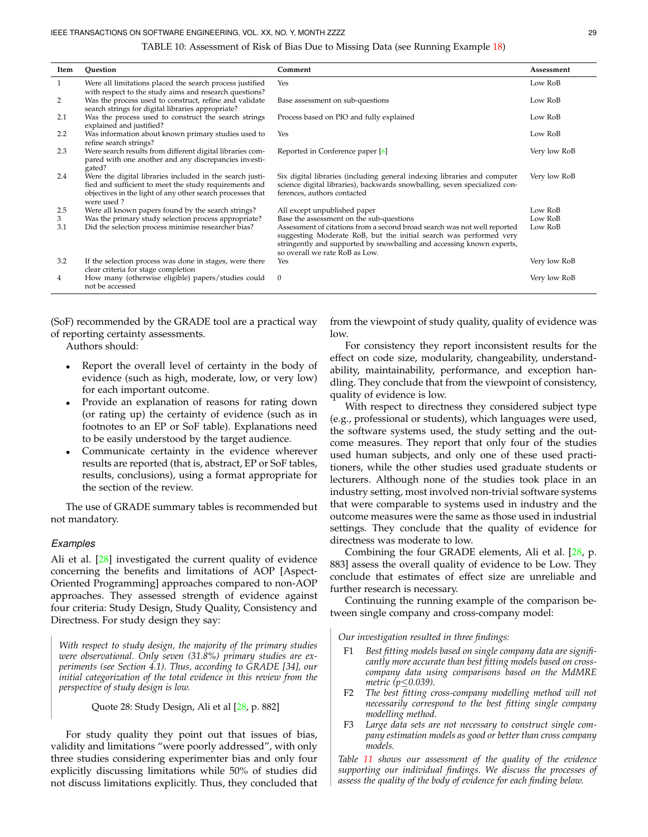#### TABLE 10: Assessment of Risk of Bias Due to Missing Data (see Running Example [18\)](#page-27-1)

<span id="page-28-0"></span>

| Item | Ouestion                                                                                                                                                                                       | Comment                                                                                                                                                                                                                                                   | Assessment   |
|------|------------------------------------------------------------------------------------------------------------------------------------------------------------------------------------------------|-----------------------------------------------------------------------------------------------------------------------------------------------------------------------------------------------------------------------------------------------------------|--------------|
| 1    | Were all limitations placed the search process justified<br>with respect to the study aims and research questions?                                                                             | Yes                                                                                                                                                                                                                                                       | Low RoB      |
| 2    | Was the process used to construct, refine and validate<br>search strings for digital libraries appropriate?                                                                                    | Base assessment on sub-questions                                                                                                                                                                                                                          | Low RoB      |
| 2.1  | Was the process used to construct the search strings<br>explained and justified?                                                                                                               | Process based on PIO and fully explained                                                                                                                                                                                                                  | Low RoB      |
| 2.2  | Was information about known primary studies used to<br>refine search strings?                                                                                                                  | Yes                                                                                                                                                                                                                                                       | Low RoB      |
| 2.3  | Were search results from different digital libraries com-<br>pared with one another and any discrepancies investi-<br>gated?                                                                   | Reported in Conference paper [6]                                                                                                                                                                                                                          | Very low RoB |
| 2.4  | Were the digital libraries included in the search justi-<br>fied and sufficient to meet the study requirements and<br>objectives in the light of any other search processes that<br>were used? | Six digital libraries (including general indexing libraries and computer<br>science digital libraries), backwards snowballing, seven specialized con-<br>ferences, authors contacted                                                                      | Very low RoB |
| 2.5  | Were all known papers found by the search strings?                                                                                                                                             | All except unpublished paper                                                                                                                                                                                                                              | Low RoB      |
| 3    | Was the primary study selection process appropriate?                                                                                                                                           | Base the assessment on the sub-questions                                                                                                                                                                                                                  | Low RoB      |
| 3.1  | Did the selection process minimise researcher bias?                                                                                                                                            | Assessment of citations from a second broad search was not well reported<br>suggesting Moderate RoB, but the initial search was performed very<br>stringently and supported by snowballing and accessing known experts,<br>so overall we rate RoB as Low. | Low RoB      |
| 3.2  | If the selection process was done in stages, were there<br>clear criteria for stage completion                                                                                                 | Yes                                                                                                                                                                                                                                                       | Very low RoB |
| 4    | How many (otherwise eligible) papers/studies could<br>not be accessed                                                                                                                          | $\mathbf{0}$                                                                                                                                                                                                                                              | Very low RoB |

(SoF) recommended by the GRADE tool are a practical way of reporting certainty assessments.

Authors should:

- Report the overall level of certainty in the body of evidence (such as high, moderate, low, or very low) for each important outcome.
- Provide an explanation of reasons for rating down (or rating up) the certainty of evidence (such as in footnotes to an EP or SoF table). Explanations need to be easily understood by the target audience.
- Communicate certainty in the evidence wherever results are reported (that is, abstract, EP or SoF tables, results, conclusions), using a format appropriate for the section of the review.

The use of GRADE summary tables is recommended but not mandatory.

# *Examples*

Ali et al. [\[28\]](#page-35-27) investigated the current quality of evidence concerning the benefits and limitations of AOP [Aspect-Oriented Programming] approaches compared to non-AOP approaches. They assessed strength of evidence against four criteria: Study Design, Study Quality, Consistency and Directness. For study design they say:

*With respect to study design, the majority of the primary studies were observational. Only seven (31.8%) primary studies are experiments (see Section 4.1). Thus, according to GRADE [34], our initial categorization of the total evidence in this review from the perspective of study design is low.*

Quote 28: Study Design, Ali et al [\[28,](#page-35-27) p. 882]

For study quality they point out that issues of bias, validity and limitations "were poorly addressed", with only three studies considering experimenter bias and only four explicitly discussing limitations while 50% of studies did not discuss limitations explicitly. Thus, they concluded that from the viewpoint of study quality, quality of evidence was low.

For consistency they report inconsistent results for the effect on code size, modularity, changeability, understandability, maintainability, performance, and exception handling. They conclude that from the viewpoint of consistency, quality of evidence is low.

With respect to directness they considered subject type (e.g., professional or students), which languages were used, the software systems used, the study setting and the outcome measures. They report that only four of the studies used human subjects, and only one of these used practitioners, while the other studies used graduate students or lecturers. Although none of the studies took place in an industry setting, most involved non-trivial software systems that were comparable to systems used in industry and the outcome measures were the same as those used in industrial settings. They conclude that the quality of evidence for directness was moderate to low.

Combining the four GRADE elements, Ali et al. [\[28,](#page-35-27) p. 883] assess the overall quality of evidence to be Low. They conclude that estimates of effect size are unreliable and further research is necessary.

Continuing the running example of the comparison between single company and cross-company model:

*Our investigation resulted in three findings:*

- F1 *Best fitting models based on single company data are significantly more accurate than best fitting models based on crosscompany data using comparisons based on the MdMRE metric (p*≤*0.039).*
- F2 *The best fitting cross-company modelling method will not necessarily correspond to the best fitting single company modelling method.*
- F3 *Large data sets are not necessary to construct single company estimation models as good or better than cross company models.*

*Table [11](#page-29-0) shows our assessment of the quality of the evidence supporting our individual findings. We discuss the processes of assess the quality of the body of evidence for each finding below.*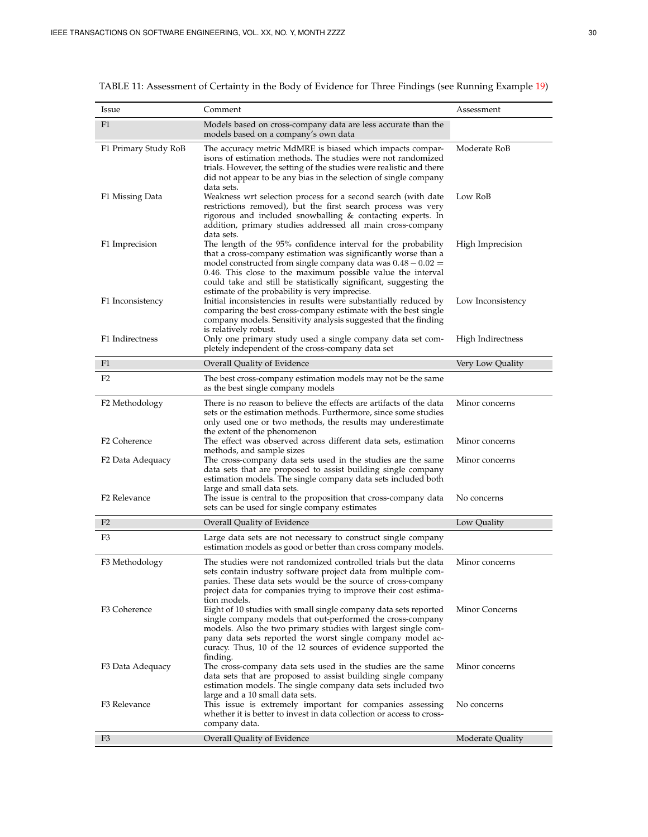| <i>Issue</i>             | Comment                                                                                                                                                                                                                                                                                                                                                                                 | Assessment        |
|--------------------------|-----------------------------------------------------------------------------------------------------------------------------------------------------------------------------------------------------------------------------------------------------------------------------------------------------------------------------------------------------------------------------------------|-------------------|
| F <sub>1</sub>           | Models based on cross-company data are less accurate than the<br>models based on a company's own data                                                                                                                                                                                                                                                                                   |                   |
| F1 Primary Study RoB     | The accuracy metric MdMRE is biased which impacts compar-<br>isons of estimation methods. The studies were not randomized<br>trials. However, the setting of the studies were realistic and there<br>did not appear to be any bias in the selection of single company<br>data sets.                                                                                                     | Moderate RoB      |
| F1 Missing Data          | Weakness wrt selection process for a second search (with date<br>restrictions removed), but the first search process was very<br>rigorous and included snowballing & contacting experts. In<br>addition, primary studies addressed all main cross-company<br>data sets.                                                                                                                 | Low RoB           |
| F1 Imprecision           | The length of the 95% confidence interval for the probability<br>that a cross-company estimation was significantly worse than a<br>model constructed from single company data was $0.48 - 0.02 =$<br>0.46. This close to the maximum possible value the interval<br>could take and still be statistically significant, suggesting the<br>estimate of the probability is very imprecise. | High Imprecision  |
| F1 Inconsistency         | Initial inconsistencies in results were substantially reduced by<br>comparing the best cross-company estimate with the best single<br>company models. Sensitivity analysis suggested that the finding<br>is relatively robust.                                                                                                                                                          | Low Inconsistency |
| F1 Indirectness          | Only one primary study used a single company data set com-<br>pletely independent of the cross-company data set                                                                                                                                                                                                                                                                         | High Indirectness |
| F <sub>1</sub>           | Overall Quality of Evidence                                                                                                                                                                                                                                                                                                                                                             | Very Low Quality  |
| F <sub>2</sub>           | The best cross-company estimation models may not be the same<br>as the best single company models                                                                                                                                                                                                                                                                                       |                   |
| F2 Methodology           | There is no reason to believe the effects are artifacts of the data<br>sets or the estimation methods. Furthermore, since some studies<br>only used one or two methods, the results may underestimate<br>the extent of the phenomenon                                                                                                                                                   | Minor concerns    |
| F <sub>2</sub> Coherence | The effect was observed across different data sets, estimation                                                                                                                                                                                                                                                                                                                          | Minor concerns    |
| F2 Data Adequacy         | methods, and sample sizes<br>The cross-company data sets used in the studies are the same<br>data sets that are proposed to assist building single company<br>estimation models. The single company data sets included both                                                                                                                                                             | Minor concerns    |
| F <sub>2</sub> Relevance | large and small data sets.<br>The issue is central to the proposition that cross-company data<br>sets can be used for single company estimates                                                                                                                                                                                                                                          | No concerns       |
| F <sub>2</sub>           | Overall Quality of Evidence                                                                                                                                                                                                                                                                                                                                                             | Low Quality       |
| F3                       | Large data sets are not necessary to construct single company<br>estimation models as good or better than cross company models.                                                                                                                                                                                                                                                         |                   |
| F3 Methodology           | The studies were not randomized controlled trials but the data<br>sets contain industry software project data from multiple com-<br>panies. These data sets would be the source of cross-company<br>project data for companies trying to improve their cost estima-<br>tion models.                                                                                                     | Minor concerns    |
| F3 Coherence             | Eight of 10 studies with small single company data sets reported<br>single company models that out-performed the cross-company<br>models. Also the two primary studies with largest single com-<br>pany data sets reported the worst single company model ac-<br>curacy. Thus, 10 of the 12 sources of evidence supported the<br>finding.                                               | Minor Concerns    |
| F3 Data Adequacy         | The cross-company data sets used in the studies are the same<br>data sets that are proposed to assist building single company<br>estimation models. The single company data sets included two<br>large and a 10 small data sets.                                                                                                                                                        | Minor concerns    |
| F3 Relevance             | This issue is extremely important for companies assessing<br>whether it is better to invest in data collection or access to cross-<br>company data.                                                                                                                                                                                                                                     | No concerns       |
| F <sub>3</sub>           | Overall Quality of Evidence                                                                                                                                                                                                                                                                                                                                                             | Moderate Quality  |

<span id="page-29-0"></span>TABLE 11: Assessment of Certainty in the Body of Evidence for Three Findings (see Running Example [19\)](#page-30-0)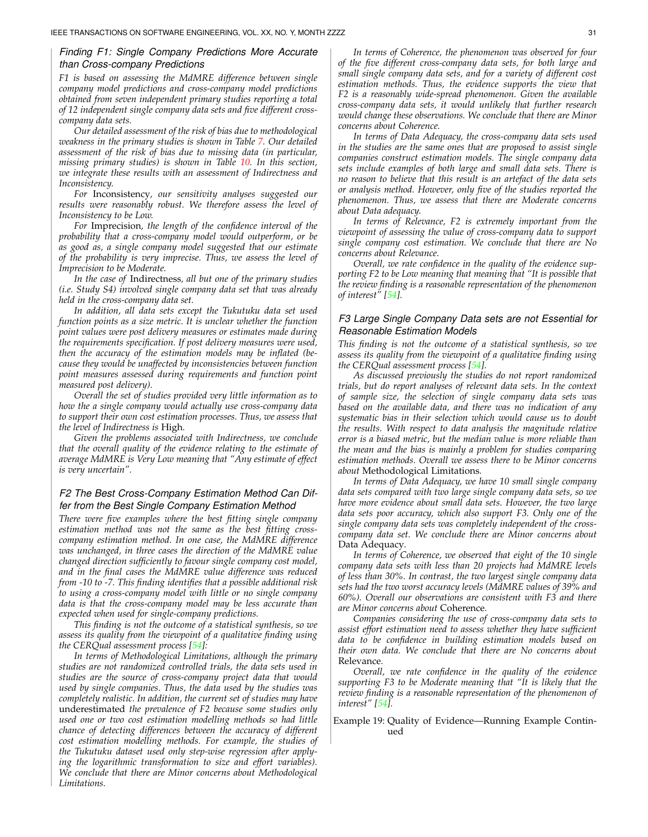## *Finding F1: Single Company Predictions More Accurate than Cross-company Predictions*

*F1 is based on assessing the MdMRE difference between single company model predictions and cross-company model predictions obtained from seven independent primary studies reporting a total of 12 independent single company data sets and five different crosscompany data sets.*

*Our detailed assessment of the risk of bias due to methodological weakness in the primary studies is shown in Table [7.](#page-22-0) Our detailed assessment of the risk of bias due to missing data (in particular, missing primary studies) is shown in Table [10.](#page-28-0) In this section, we integrate these results with an assessment of Indirectness and Inconsistency.*

*For* Inconsistency*, our sensitivity analyses suggested our results were reasonably robust. We therefore assess the level of Inconsistency to be Low.*

*For* Imprecision*, the length of the confidence interval of the probability that a cross-company model would outperform, or be as good as, a single company model suggested that our estimate of the probability is very imprecise. Thus, we assess the level of Imprecision to be Moderate.*

*In the case of* Indirectness*, all but one of the primary studies (i.e. Study S4) involved single company data set that was already held in the cross-company data set.*

*In addition, all data sets except the Tukutuku data set used function points as a size metric. It is unclear whether the function point values were post delivery measures or estimates made during the requirements specification. If post delivery measures were used, then the accuracy of the estimation models may be inflated (because they would be unaffected by inconsistencies between function point measures assessed during requirements and function point measured post delivery).*

*Overall the set of studies provided very little information as to how the a single company would actually use cross-company data to support their own cost estimation processes. Thus, we assess that the level of Indirectness is* High*.*

*Given the problems associated with Indirectness, we conclude that the overall quality of the evidence relating to the estimate of average MdMRE is Very Low meaning that "Any estimate of effect is very uncertain".*

# *F2 The Best Cross-Company Estimation Method Can Differ from the Best Single Company Estimation Method*

*There were five examples where the best fitting single company estimation method was not the same as the best fitting crosscompany estimation method. In one case, the MdMRE difference was unchanged, in three cases the direction of the MdMRE value changed direction sufficiently to favour single company cost model, and in the final cases the MdMRE value difference was reduced from -10 to -7. This finding identifies that a possible additional risk to using a cross-company model with little or no single company data is that the cross-company model may be less accurate than expected when used for single-company predictions.*

*This finding is not the outcome of a statistical synthesis, so we assess its quality from the viewpoint of a qualitative finding using the CERQual assessment process [\[54\]](#page-36-20):*

*In terms of Methodological Limitations, although the primary studies are not randomized controlled trials, the data sets used in studies are the source of cross-company project data that would used by single companies. Thus, the data used by the studies was completely realistic. In addition, the current set of studies may have* underestimated *the prevalence of F2 because some studies only used one or two cost estimation modelling methods so had little chance of detecting differences between the accuracy of different cost estimation modelling methods. For example, the studies of the Tukutuku dataset used only step-wise regression after applying the logarithmic transformation to size and effort variables). We conclude that there are Minor concerns about Methodological Limitations.*

*In terms of Coherence, the phenomenon was observed for four of the five different cross-company data sets, for both large and small single company data sets, and for a variety of different cost estimation methods. Thus, the evidence supports the view that F2 is a reasonably wide-spread phenomenon. Given the available cross-company data sets, it would unlikely that further research would change these observations. We conclude that there are Minor concerns about Coherence.*

*In terms of Data Adequacy, the cross-company data sets used in the studies are the same ones that are proposed to assist single companies construct estimation models. The single company data sets include examples of both large and small data sets. There is no reason to believe that this result is an artefact of the data sets or analysis method. However, only five of the studies reported the phenomenon. Thus, we assess that there are Moderate concerns about Data adequacy.*

*In terms of Relevance, F2 is extremely important from the viewpoint of assessing the value of cross-company data to support single company cost estimation. We conclude that there are No concerns about Relevance.*

*Overall, we rate confidence in the quality of the evidence supporting F2 to be Low meaning that meaning that "It is possible that the review finding is a reasonable representation of the phenomenon of interest" [\[54\]](#page-36-20).*

# *F3 Large Single Company Data sets are not Essential for Reasonable Estimation Models*

*This finding is not the outcome of a statistical synthesis, so we assess its quality from the viewpoint of a qualitative finding using the CERQual assessment process [\[54\]](#page-36-20).*

*As discussed previously the studies do not report randomized trials, but do report analyses of relevant data sets. In the context of sample size, the selection of single company data sets was based on the available data, and there was no indication of any systematic bias in their selection which would cause us to doubt the results. With respect to data analysis the magnitude relative error is a biased metric, but the median value is more reliable than the mean and the bias is mainly a problem for studies comparing estimation methods. Overall we assess there to be Minor concerns about* Methodological Limitations*.*

*In terms of Data Adequacy, we have 10 small single company data sets compared with two large single company data sets, so we have more evidence about small data sets. However, the two large data sets poor accuracy, which also support F3. Only one of the single company data sets was completely independent of the crosscompany data set. We conclude there are Minor concerns about* Data Adequacy*.*

*In terms of Coherence, we observed that eight of the 10 single company data sets with less than 20 projects had MdMRE levels of less than 30%. In contrast, the two largest single company data sets had the two worst accuracy levels (MdMRE values of 39% and 60%). Overall our observations are consistent with F3 and there are Minor concerns about* Coherence*.*

*Companies considering the use of cross-company data sets to assist effort estimation need to assess whether they have sufficient data to be confidence in building estimation models based on their own data. We conclude that there are No concerns about* Relevance*.*

*Overall, we rate confidence in the quality of the evidence supporting F3 to be Moderate meaning that "It is likely that the review finding is a reasonable representation of the phenomenon of interest" [\[54\]](#page-36-20).*

<span id="page-30-0"></span>Example 19: Quality of Evidence—Running Example Continued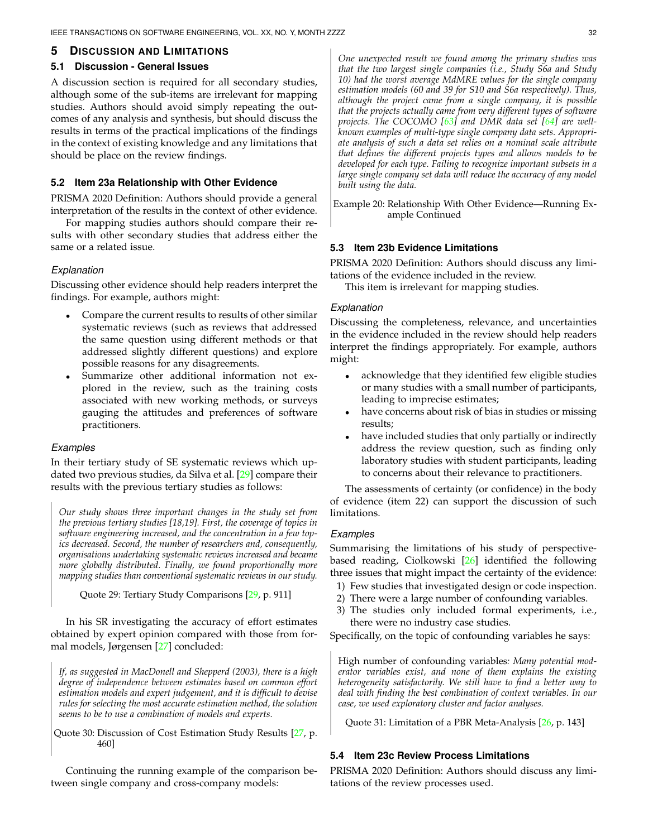# <span id="page-31-0"></span>**5 DISCUSSION AND LIMITATIONS**

#### **5.1 Discussion - General Issues**

A discussion section is required for all secondary studies, although some of the sub-items are irrelevant for mapping studies. Authors should avoid simply repeating the outcomes of any analysis and synthesis, but should discuss the results in terms of the practical implications of the findings in the context of existing knowledge and any limitations that should be place on the review findings.

#### **5.2 Item 23a Relationship with Other Evidence**

PRISMA 2020 Definition: Authors should provide a general interpretation of the results in the context of other evidence.

For mapping studies authors should compare their results with other secondary studies that address either the same or a related issue.

#### *Explanation*

Discussing other evidence should help readers interpret the findings. For example, authors might:

- Compare the current results to results of other similar systematic reviews (such as reviews that addressed the same question using different methods or that addressed slightly different questions) and explore possible reasons for any disagreements.
- Summarize other additional information not explored in the review, such as the training costs associated with new working methods, or surveys gauging the attitudes and preferences of software practitioners.

#### *Examples*

In their tertiary study of SE systematic reviews which updated two previous studies, da Silva et al. [\[29\]](#page-35-28) compare their results with the previous tertiary studies as follows:

*Our study shows three important changes in the study set from the previous tertiary studies [18,19]. First, the coverage of topics in software engineering increased, and the concentration in a few topics decreased. Second, the number of researchers and, consequently, organisations undertaking systematic reviews increased and became more globally distributed. Finally, we found proportionally more mapping studies than conventional systematic reviews in our study.*

Quote 29: Tertiary Study Comparisons [\[29,](#page-35-28) p. 911]

In his SR investigating the accuracy of effort estimates obtained by expert opinion compared with those from formal models, Jørgensen [\[27\]](#page-35-26) concluded:

*If, as suggested in MacDonell and Shepperd (2003), there is a high degree of independence between estimates based on common effort estimation models and expert judgement, and it is difficult to devise rules for selecting the most accurate estimation method, the solution seems to be to use a combination of models and experts.*

Quote 30: Discussion of Cost Estimation Study Results [\[27,](#page-35-26) p. 460]

Continuing the running example of the comparison between single company and cross-company models:

*One unexpected result we found among the primary studies was that the two largest single companies (i.e., Study S6a and Study 10) had the worst average MdMRE values for the single company estimation models (60 and 39 for S10 and S6a respectively). Thus, although the project came from a single company, it is possible that the projects actually came from very different types of software projects. The COCOMO [\[63\]](#page-36-29) and DMR data set [\[64\]](#page-36-30) are wellknown examples of multi-type single company data sets. Appropriate analysis of such a data set relies on a nominal scale attribute that defines the different projects types and allows models to be developed for each type. Failing to recognize important subsets in a large single company set data will reduce the accuracy of any model built using the data.*

Example 20: Relationship With Other Evidence—Running Example Continued

## **5.3 Item 23b Evidence Limitations**

PRISMA 2020 Definition: Authors should discuss any limitations of the evidence included in the review.

This item is irrelevant for mapping studies.

### *Explanation*

Discussing the completeness, relevance, and uncertainties in the evidence included in the review should help readers interpret the findings appropriately. For example, authors might:

- acknowledge that they identified few eligible studies or many studies with a small number of participants, leading to imprecise estimates;
- have concerns about risk of bias in studies or missing results;
- have included studies that only partially or indirectly address the review question, such as finding only laboratory studies with student participants, leading to concerns about their relevance to practitioners.

The assessments of certainty (or confidence) in the body of evidence (item 22) can support the discussion of such limitations.

## *Examples*

Summarising the limitations of his study of perspectivebased reading, Ciolkowski [\[26\]](#page-35-25) identified the following three issues that might impact the certainty of the evidence:

- 1) Few studies that investigated design or code inspection.
- 2) There were a large number of confounding variables.
- 3) The studies only included formal experiments, i.e., there were no industry case studies.

Specifically, on the topic of confounding variables he says:

High number of confounding variables*: Many potential moderator variables exist, and none of them explains the existing heterogeneity satisfactorily. We still have to find a better way to deal with finding the best combination of context variables. In our case, we used exploratory cluster and factor analyses.*

Quote 31: Limitation of a PBR Meta-Analysis [\[26,](#page-35-25) p. 143]

## **5.4 Item 23c Review Process Limitations**

PRISMA 2020 Definition: Authors should discuss any limitations of the review processes used.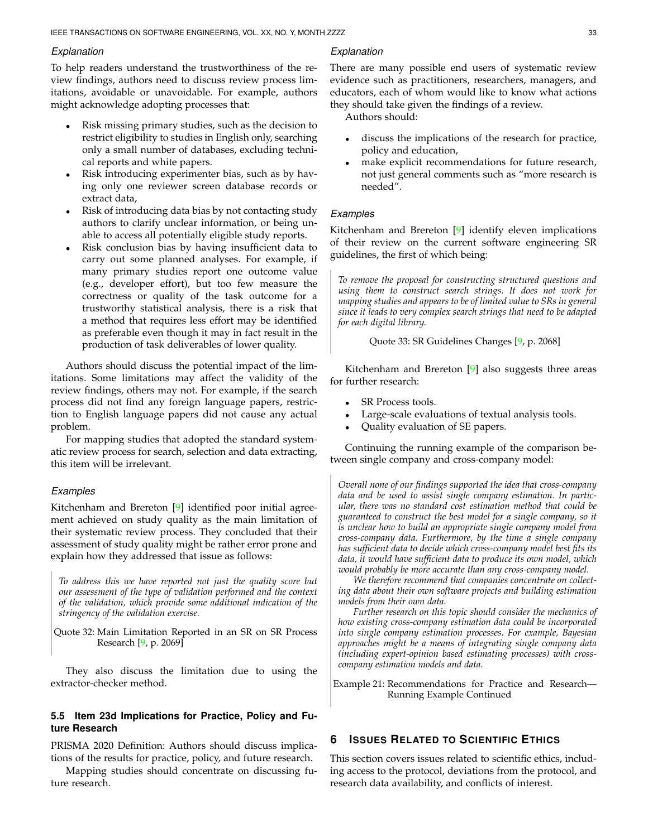#### *Explanation*

To help readers understand the trustworthiness of the review findings, authors need to discuss review process limitations, avoidable or unavoidable. For example, authors might acknowledge adopting processes that:

- Risk missing primary studies, such as the decision to restrict eligibility to studies in English only, searching only a small number of databases, excluding technical reports and white papers.
- Risk introducing experimenter bias, such as by having only one reviewer screen database records or extract data,
- Risk of introducing data bias by not contacting study authors to clarify unclear information, or being unable to access all potentially eligible study reports.
- Risk conclusion bias by having insufficient data to carry out some planned analyses. For example, if many primary studies report one outcome value (e.g., developer effort), but too few measure the correctness or quality of the task outcome for a trustworthy statistical analysis, there is a risk that a method that requires less effort may be identified as preferable even though it may in fact result in the production of task deliverables of lower quality.

Authors should discuss the potential impact of the limitations. Some limitations may affect the validity of the review findings, others may not. For example, if the search process did not find any foreign language papers, restriction to English language papers did not cause any actual problem.

For mapping studies that adopted the standard systematic review process for search, selection and data extracting, this item will be irrelevant.

## *Examples*

Kitchenham and Brereton [\[9\]](#page-35-8) identified poor initial agreement achieved on study quality as the main limitation of their systematic review process. They concluded that their assessment of study quality might be rather error prone and explain how they addressed that issue as follows:

*To address this we have reported not just the quality score but our assessment of the type of validation performed and the context of the validation, which provide some additional indication of the stringency of the validation exercise.*

Quote 32: Main Limitation Reported in an SR on SR Process Research [\[9,](#page-35-8) p. 2069]

They also discuss the limitation due to using the extractor-checker method.

## **5.5 Item 23d Implications for Practice, Policy and Future Research**

PRISMA 2020 Definition: Authors should discuss implications of the results for practice, policy, and future research.

Mapping studies should concentrate on discussing future research.

## *Explanation*

There are many possible end users of systematic review evidence such as practitioners, researchers, managers, and educators, each of whom would like to know what actions they should take given the findings of a review.

Authors should:

- discuss the implications of the research for practice, policy and education,
- make explicit recommendations for future research, not just general comments such as "more research is needed".

## *Examples*

Kitchenham and Brereton [\[9\]](#page-35-8) identify eleven implications of their review on the current software engineering SR guidelines, the first of which being:

*To remove the proposal for constructing structured questions and using them to construct search strings. It does not work for mapping studies and appears to be of limited value to SRs in general since it leads to very complex search strings that need to be adapted for each digital library.*

Quote 33: SR Guidelines Changes [\[9,](#page-35-8) p. 2068]

Kitchenham and Brereton [\[9\]](#page-35-8) also suggests three areas for further research:

- SR Process tools.
- Large-scale evaluations of textual analysis tools.
- Quality evaluation of SE papers.

Continuing the running example of the comparison between single company and cross-company model:

*Overall none of our findings supported the idea that cross-company data and be used to assist single company estimation. In particular, there was no standard cost estimation method that could be guaranteed to construct the best model for a single company, so it is unclear how to build an appropriate single company model from cross-company data. Furthermore, by the time a single company has sufficient data to decide which cross-company model best fits its data, it would have sufficient data to produce its own model, which would probably be more accurate than any cross-company model.*

*We therefore recommend that companies concentrate on collecting data about their own software projects and building estimation models from their own data.*

*Further research on this topic should consider the mechanics of how existing cross-company estimation data could be incorporated into single company estimation processes. For example, Bayesian approaches might be a means of integrating single company data (including expert-opinion based estimating processes) with crosscompany estimation models and data.*

Example 21: Recommendations for Practice and Research— Running Example Continued

# <span id="page-32-0"></span>**6 ISSUES RELATED TO SCIENTIFIC ETHICS**

This section covers issues related to scientific ethics, including access to the protocol, deviations from the protocol, and research data availability, and conflicts of interest.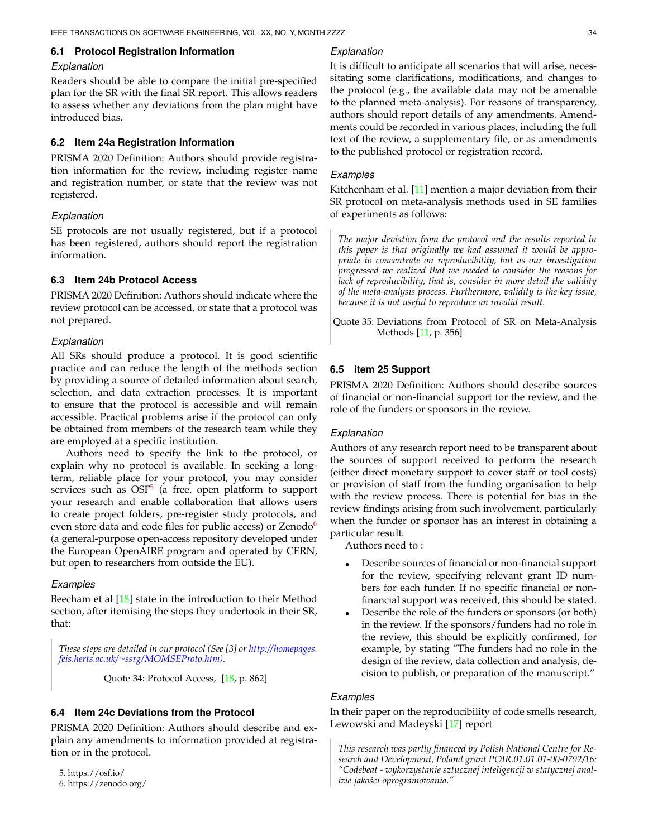## **6.1 Protocol Registration Information**

#### *Explanation*

Readers should be able to compare the initial pre-specified plan for the SR with the final SR report. This allows readers to assess whether any deviations from the plan might have introduced bias.

#### **6.2 Item 24a Registration Information**

PRISMA 2020 Definition: Authors should provide registration information for the review, including register name and registration number, or state that the review was not registered.

#### *Explanation*

SE protocols are not usually registered, but if a protocol has been registered, authors should report the registration information.

# **6.3 Item 24b Protocol Access**

PRISMA 2020 Definition: Authors should indicate where the review protocol can be accessed, or state that a protocol was not prepared.

## *Explanation*

All SRs should produce a protocol. It is good scientific practice and can reduce the length of the methods section by providing a source of detailed information about search, selection, and data extraction processes. It is important to ensure that the protocol is accessible and will remain accessible. Practical problems arise if the protocol can only be obtained from members of the research team while they are employed at a specific institution.

Authors need to specify the link to the protocol, or explain why no protocol is available. In seeking a longterm, reliable place for your protocol, you may consider services such as OSF<sup>[5](#page-33-0)</sup> (a free, open platform to support your research and enable collaboration that allows users to create project folders, pre-register study protocols, and even store data and code files for public access) or  $Zenodo<sup>6</sup>$  $Zenodo<sup>6</sup>$  $Zenodo<sup>6</sup>$ (a general-purpose open-access repository developed under the European OpenAIRE program and operated by CERN, but open to researchers from outside the EU).

#### *Examples*

Beecham et al [\[18\]](#page-35-17) state in the introduction to their Method section, after itemising the steps they undertook in their SR, that:

*These steps are detailed in our protocol (See [3] or [http://homepages.](http://homepages.feis.herts.ac.uk/~ssrg/MOMSEProto.htm)) feis.herts.ac.uk/*<sup>∼</sup>*[ssrg/MOMSEProto.htm\).](http://homepages.feis.herts.ac.uk/~ssrg/MOMSEProto.htm))*

Quote 34: Protocol Access, [\[18,](#page-35-17) p. 862]

## **6.4 Item 24c Deviations from the Protocol**

PRISMA 2020 Definition: Authors should describe and explain any amendments to information provided at registration or in the protocol.

<span id="page-33-1"></span><span id="page-33-0"></span>5. https://osf.io/ 6. https://zenodo.org/

#### *Explanation*

It is difficult to anticipate all scenarios that will arise, necessitating some clarifications, modifications, and changes to the protocol (e.g., the available data may not be amenable to the planned meta-analysis). For reasons of transparency, authors should report details of any amendments. Amendments could be recorded in various places, including the full text of the review, a supplementary file, or as amendments to the published protocol or registration record.

## *Examples*

Kitchenham et al. [\[11\]](#page-35-10) mention a major deviation from their SR protocol on meta-analysis methods used in SE families of experiments as follows:

*The major deviation from the protocol and the results reported in this paper is that originally we had assumed it would be appropriate to concentrate on reproducibility, but as our investigation progressed we realized that we needed to consider the reasons for lack of reproducibility, that is, consider in more detail the validity of the meta-analysis process. Furthermore, validity is the key issue, because it is not useful to reproduce an invalid result.*

Quote 35: Deviations from Protocol of SR on Meta-Analysis Methods [\[11,](#page-35-10) p. 356]

## **6.5 item 25 Support**

PRISMA 2020 Definition: Authors should describe sources of financial or non-financial support for the review, and the role of the funders or sponsors in the review.

## *Explanation*

Authors of any research report need to be transparent about the sources of support received to perform the research (either direct monetary support to cover staff or tool costs) or provision of staff from the funding organisation to help with the review process. There is potential for bias in the review findings arising from such involvement, particularly when the funder or sponsor has an interest in obtaining a particular result.

Authors need to :

- Describe sources of financial or non-financial support for the review, specifying relevant grant ID numbers for each funder. If no specific financial or nonfinancial support was received, this should be stated.
- Describe the role of the funders or sponsors (or both) in the review. If the sponsors/funders had no role in the review, this should be explicitly confirmed, for example, by stating "The funders had no role in the design of the review, data collection and analysis, decision to publish, or preparation of the manuscript."

# *Examples*

In their paper on the reproducibility of code smells research, Lewowski and Madeyski [\[17\]](#page-35-16) report

*This research was partly financed by Polish National Centre for Research and Development, Poland grant POIR.01.01.01-00-0792/16: "Codebeat - wykorzystanie sztucznej inteligencji w statycznej analizie jako´sci oprogramowania."*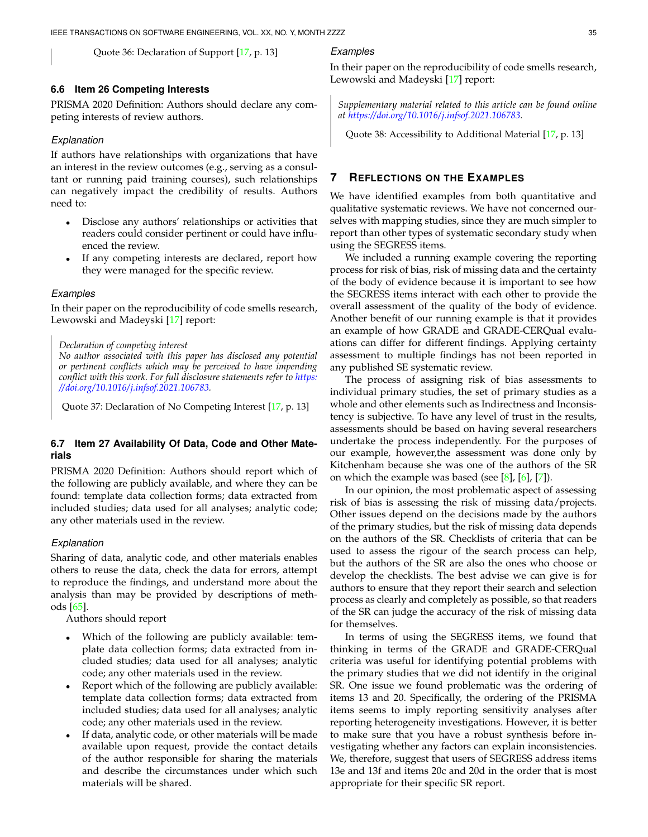Quote 36: Declaration of Support [\[17,](#page-35-16) p. 13]

## **6.6 Item 26 Competing Interests**

PRISMA 2020 Definition: Authors should declare any competing interests of review authors.

## *Explanation*

If authors have relationships with organizations that have an interest in the review outcomes (e.g., serving as a consultant or running paid training courses), such relationships can negatively impact the credibility of results. Authors need to:

- Disclose any authors' relationships or activities that readers could consider pertinent or could have influenced the review.
- If any competing interests are declared, report how they were managed for the specific review.

#### *Examples*

In their paper on the reproducibility of code smells research, Lewowski and Madeyski [\[17\]](#page-35-16) report:

#### *Declaration of competing interest*

*No author associated with this paper has disclosed any potential or pertinent conflicts which may be perceived to have impending conflict with this work. For full disclosure statements refer to [https:](https://doi.org/10.1016/j.infsof.2021.106783) [//doi.org/10.1016/j.infsof.2021.106783.](https://doi.org/10.1016/j.infsof.2021.106783)*

Quote 37: Declaration of No Competing Interest [\[17,](#page-35-16) p. 13]

# **6.7 Item 27 Availability Of Data, Code and Other Materials**

PRISMA 2020 Definition: Authors should report which of the following are publicly available, and where they can be found: template data collection forms; data extracted from included studies; data used for all analyses; analytic code; any other materials used in the review.

### *Explanation*

Sharing of data, analytic code, and other materials enables others to reuse the data, check the data for errors, attempt to reproduce the findings, and understand more about the analysis than may be provided by descriptions of methods [\[65\]](#page-36-31).

Authors should report

- Which of the following are publicly available: template data collection forms; data extracted from included studies; data used for all analyses; analytic code; any other materials used in the review.
- Report which of the following are publicly available: template data collection forms; data extracted from included studies; data used for all analyses; analytic code; any other materials used in the review.
- If data, analytic code, or other materials will be made available upon request, provide the contact details of the author responsible for sharing the materials and describe the circumstances under which such materials will be shared.

# *Examples*

In their paper on the reproducibility of code smells research, Lewowski and Madeyski [\[17\]](#page-35-16) report:

*Supplementary material related to this article can be found online at [https://doi.org/10.1016/j.infsof.2021.106783.](https://doi.org/10.1016/j.infsof.2021.106783)*

Quote 38: Accessibility to Additional Material [\[17,](#page-35-16) p. 13]

# <span id="page-34-0"></span>**7 REFLECTIONS ON THE EXAMPLES**

We have identified examples from both quantitative and qualitative systematic reviews. We have not concerned ourselves with mapping studies, since they are much simpler to report than other types of systematic secondary study when using the SEGRESS items.

We included a running example covering the reporting process for risk of bias, risk of missing data and the certainty of the body of evidence because it is important to see how the SEGRESS items interact with each other to provide the overall assessment of the quality of the body of evidence. Another benefit of our running example is that it provides an example of how GRADE and GRADE-CERQual evaluations can differ for different findings. Applying certainty assessment to multiple findings has not been reported in any published SE systematic review.

The process of assigning risk of bias assessments to individual primary studies, the set of primary studies as a whole and other elements such as Indirectness and Inconsistency is subjective. To have any level of trust in the results, assessments should be based on having several researchers undertake the process independently. For the purposes of our example, however,the assessment was done only by Kitchenham because she was one of the authors of the SR on which the example was based (see  $[8]$ ,  $[6]$ ,  $[7]$ ).

In our opinion, the most problematic aspect of assessing risk of bias is assessing the risk of missing data/projects. Other issues depend on the decisions made by the authors of the primary studies, but the risk of missing data depends on the authors of the SR. Checklists of criteria that can be used to assess the rigour of the search process can help, but the authors of the SR are also the ones who choose or develop the checklists. The best advise we can give is for authors to ensure that they report their search and selection process as clearly and completely as possible, so that readers of the SR can judge the accuracy of the risk of missing data for themselves.

In terms of using the SEGRESS items, we found that thinking in terms of the GRADE and GRADE-CERQual criteria was useful for identifying potential problems with the primary studies that we did not identify in the original SR. One issue we found problematic was the ordering of items 13 and 20. Specifically, the ordering of the PRISMA items seems to imply reporting sensitivity analyses after reporting heterogeneity investigations. However, it is better to make sure that you have a robust synthesis before investigating whether any factors can explain inconsistencies. We, therefore, suggest that users of SEGRESS address items 13e and 13f and items 20c and 20d in the order that is most appropriate for their specific SR report.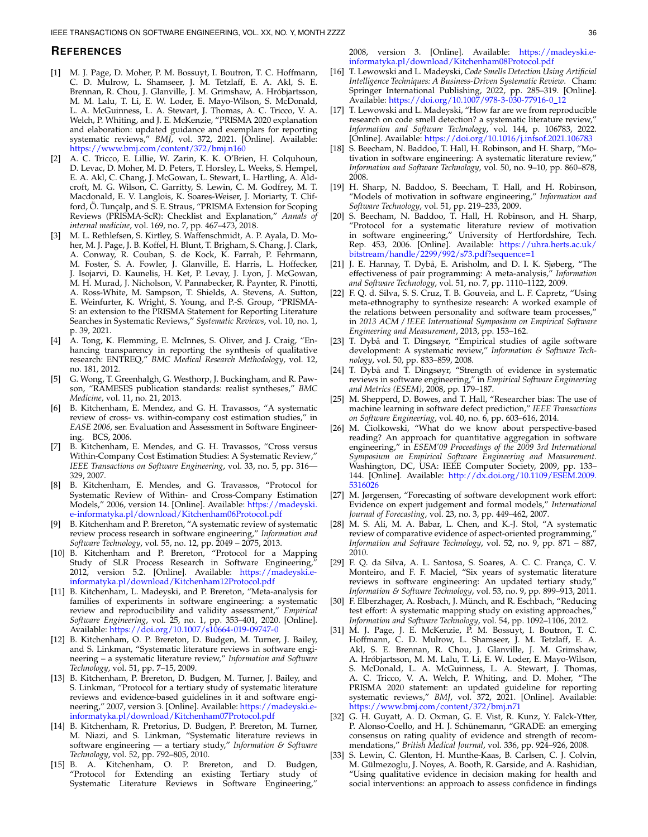#### **REFERENCES**

- <span id="page-35-0"></span>[1] M. J. Page, D. Moher, P. M. Bossuyt, I. Boutron, T. C. Hoffmann, C. D. Mulrow, L. Shamseer, J. M. Tetzlaff, E. A. Akl, S. E. Brennan, R. Chou, J. Glanville, J. M. Grimshaw, A. Hrobjartsson, ´ M. M. Lalu, T. Li, E. W. Loder, E. Mayo-Wilson, S. McDonald, L. A. McGuinness, L. A. Stewart, J. Thomas, A. C. Tricco, V. A. Welch, P. Whiting, and J. E. McKenzie, "PRISMA 2020 explanation and elaboration: updated guidance and exemplars for reporting systematic reviews," *BMJ*, vol. 372, 2021. [Online]. Available: <https://www.bmj.com/content/372/bmj.n160>
- <span id="page-35-1"></span>[2] A. C. Tricco, E. Lillie, W. Zarin, K. K. O'Brien, H. Colquhoun, D. Levac, D. Moher, M. D. Peters, T. Horsley, L. Weeks, S. Hempel, E. A. Akl, C. Chang, J. McGowan, L. Stewart, L. Hartling, A. Aldcroft, M. G. Wilson, C. Garritty, S. Lewin, C. M. Godfrey, M. T. Macdonald, E. V. Langlois, K. Soares-Weiser, J. Moriarty, T. Clifford, Ö. Tuncalp, and S. E. Straus, "PRISMA Extension for Scoping Reviews (PRISMA-ScR): Checklist and Explanation," *Annals of internal medicine*, vol. 169, no. 7, pp. 467–473, 2018.
- <span id="page-35-2"></span>[3] M. L. Rethlefsen, S. Kirtley, S. Waffenschmidt, A. P. Ayala, D. Moher, M. J. Page, J. B. Koffel, H. Blunt, T. Brigham, S. Chang, J. Clark, A. Conway, R. Couban, S. de Kock, K. Farrah, P. Fehrmann, M. Foster, S. A. Fowler, J. Glanville, E. Harris, L. Hoffecker, J. Isojarvi, D. Kaunelis, H. Ket, P. Levay, J. Lyon, J. McGowan, M. H. Murad, J. Nicholson, V. Pannabecker, R. Paynter, R. Pinotti, A. Ross-White, M. Sampson, T. Shields, A. Stevens, A. Sutton, E. Weinfurter, K. Wright, S. Young, and P.-S. Group, "PRISMA-S: an extension to the PRISMA Statement for Reporting Literature Searches in Systematic Reviews," *Systematic Reviews*, vol. 10, no. 1, p. 39, 2021.
- <span id="page-35-3"></span>[4] A. Tong, K. Flemming, E. McInnes, S. Oliver, and J. Craig, "Enhancing transparency in reporting the synthesis of qualitative research: ENTREQ," *BMC Medical Research Methodology*, vol. 12, no. 181, 2012.
- <span id="page-35-4"></span>[5] G. Wong, T. Greenhalgh, G. Westhorp, J. Buckingham, and R. Pawson, "RAMESES publication standards: realist syntheses," *BMC Medicine*, vol. 11, no. 21, 2013.
- <span id="page-35-5"></span>[6] B. Kitchenham, E. Mendez, and G. H. Travassos, "A systematic review of cross- vs. within-company cost estimation studies," in *EASE 2006*, ser. Evaluation and Assessment in Software Engineering. BCS, 2006.
- <span id="page-35-6"></span>[7] B. Kitchenham, E. Mendes, and G. H. Travassos, "Cross versus Within-Company Cost Estimation Studies: A Systematic Review," *IEEE Transactions on Software Engineering*, vol. 33, no. 5, pp. 316— 329, 2007.
- <span id="page-35-7"></span>[8] B. Kitchenham, E. Mendes, and G. Travassos, "Protocol for Systematic Review of Within- and Cross-Company Estimation Models," 2006, version 14. [Online]. Available: [https://madeyski.](https://madeyski.e-informatyka.pl/download/Kitchenham06Protocol.pdf) [e-informatyka.pl/download/Kitchenham06Protocol.pdf](https://madeyski.e-informatyka.pl/download/Kitchenham06Protocol.pdf)
- <span id="page-35-8"></span>[9] B. Kitchenham and P. Brereton, "A systematic review of systematic review process research in software engineering," *Information and Software Technology*, vol. 55, no. 12, pp. 2049 – 2075, 2013.
- <span id="page-35-9"></span>[10] B. Kitchenham and P. Brereton, "Protocol for a Mapping Study of SLR Process Research in Software Engineering," 2012, version 5.2. [Online]. Available: [https://madeyski.e](https://madeyski.e-informatyka.pl/download/Kitchenham12Protocol.pdf)[informatyka.pl/download/Kitchenham12Protocol.pdf](https://madeyski.e-informatyka.pl/download/Kitchenham12Protocol.pdf)
- <span id="page-35-10"></span>[11] B. Kitchenham, L. Madeyski, and P. Brereton, "Meta-analysis for families of experiments in software engineering: a systematic review and reproducibility and validity assessment," *Empirical Software Engineering*, vol. 25, no. 1, pp. 353–401, 2020. [Online]. Available: <https://doi.org/10.1007/s10664-019-09747-0>
- <span id="page-35-11"></span>[12] B. Kitchenham, O. P. Brereton, D. Budgen, M. Turner, J. Bailey, and S. Linkman, "Systematic literature reviews in software engineering – a systematic literature review," *Information and Software Technology*, vol. 51, pp. 7–15, 2009.
- <span id="page-35-12"></span>[13] B. Kitchenham, P. Brereton, D. Budgen, M. Turner, J. Bailey, and S. Linkman, "Protocol for a tertiary study of systematic literature reviews and evidence-based guidelines in it and software engineering," 2007, version 3. [Online]. Available: [https://madeyski.e](https://madeyski.e-informatyka.pl/download/Kitchenham07Protocol.pdf)[informatyka.pl/download/Kitchenham07Protocol.pdf](https://madeyski.e-informatyka.pl/download/Kitchenham07Protocol.pdf)
- <span id="page-35-13"></span>[14] B. Kitchenham, R. Pretorius, D. Budgen, P. Brereton, M. Turner, M. Niazi, and S. Linkman, "Systematic literature reviews in software engineering — a tertiary study," *Information & Software Technology*, vol. 52, pp. 792–805, 2010.
- <span id="page-35-14"></span>[15] B. A. Kitchenham, O. P. Brereton, and D. Budgen, "Protocol for Extending an existing Tertiary study of Systematic Literature Reviews in Software Engineering,"

2008, version 3. [Online]. Available: [https://madeyski.e](https://madeyski.e-informatyka.pl/download/Kitchenham08Protocol.pdf)[informatyka.pl/download/Kitchenham08Protocol.pdf](https://madeyski.e-informatyka.pl/download/Kitchenham08Protocol.pdf)

- <span id="page-35-15"></span>[16] T. Lewowski and L. Madeyski, *Code Smells Detection Using Artificial Intelligence Techniques: A Business-Driven Systematic Review*. Cham: Springer International Publishing, 2022, pp. 285–319. [Online]. Available: [https://doi.org/10.1007/978-3-030-77916-0](https://doi.org/10.1007/978-3-030-77916-0_12) 12
- <span id="page-35-16"></span>[17] T. Lewowski and L. Madeyski, "How far are we from reproducible research on code smell detection? a systematic literature review," *Information and Software Technology*, vol. 144, p. 106783, 2022. [Online]. Available: <https://doi.org/10.1016/j.infsof.2021.106783>
- <span id="page-35-17"></span>[18] S. Beecham, N. Baddoo, T. Hall, H. Robinson, and H. Sharp, "Motivation in software engineering: A systematic literature review," *Information and Software Technology*, vol. 50, no. 9–10, pp. 860–878, 2008.
- <span id="page-35-18"></span>[19] H. Sharp, N. Baddoo, S. Beecham, T. Hall, and H. Robinson, "Models of motivation in software engineering," *Information and Software Technology*, vol. 51, pp. 219–233, 2009.
- <span id="page-35-19"></span>[20] S. Beecham, N. Baddoo, T. Hall, H. Robinson, and H. Sharp, "Protocol for a systematic literature review of motivation in software engineering," University of Hertfordshire, Tech. Rep. 453, 2006. [Online]. Available: [https://uhra.herts.ac.uk/](https://uhra.herts.ac.uk/bitstream/handle/2299/992/s73.pdf?sequence=1) [bitstream/handle/2299/992/s73.pdf?sequence=1](https://uhra.herts.ac.uk/bitstream/handle/2299/992/s73.pdf?sequence=1)
- <span id="page-35-20"></span>[21] J. E. Hannay, T. Dybå, E. Arisholm, and D. I. K. Sjøberg, "The effectiveness of pair programming: A meta-analysis," *Information and Software Technology*, vol. 51, no. 7, pp. 1110–1122, 2009.
- <span id="page-35-21"></span>[22] F. O. d. Silva, S. S. Cruz, T. B. Gouveia, and L. F. Capretz, "Using meta-ethnography to synthesize research: A worked example of the relations between personality and software team processes,' in *2013 ACM / IEEE International Symposium on Empirical Software Engineering and Measurement*, 2013, pp. 153–162.
- <span id="page-35-22"></span>[23] T. Dybå and T. Dingsøyr, "Empirical studies of agile software development: A systematic review," *Information & Software Technology*, vol. 50, pp. 833–859, 2008.
- <span id="page-35-23"></span>[24] T. Dybå and T. Dingsøyr, "Strength of evidence in systematic reviews in software engineering," in *Empirical Software Engineering and Metrics (ESEM)*, 2008, pp. 179–187.
- <span id="page-35-24"></span>[25] M. Shepperd, D. Bowes, and T. Hall, "Researcher bias: The use of machine learning in software defect prediction," *IEEE Transactions on Software Engineering*, vol. 40, no. 6, pp. 603–616, 2014.
- <span id="page-35-25"></span>[26] M. Ciolkowski, "What do we know about perspective-based reading? An approach for quantitative aggregation in software engineering," in *ESEM'09 Proceedings of the 2009 3rd International Symposium on Empirical Software Engineering and Measurement*. Washington, DC, USA: IEEE Computer Society, 2009, pp. 133-144. [Online]. Available: [http://dx.doi.org/10.1109/ESEM.2009.](http://dx.doi.org/10.1109/ESEM.2009.5316026) [5316026](http://dx.doi.org/10.1109/ESEM.2009.5316026)
- <span id="page-35-26"></span>[27] M. Jørgensen, "Forecasting of software development work effort: Evidence on expert judgement and formal models," *International Journal of Forecasting*, vol. 23, no. 3, pp. 449–462, 2007.
- <span id="page-35-27"></span>[28] M. S. Ali, M. A. Babar, L. Chen, and K.-J. Stol, "A systematic review of comparative evidence of aspect-oriented programming, *Information and Software Technology*, vol. 52, no. 9, pp. 871 – 887, 2010.
- <span id="page-35-28"></span>[29] F. Q. da Silva, A. L. Santosa, S. Soares, A. C. C. França, C. V. Monteiro, and F. F. Maciel, "Six years of systematic literature reviews in software engineering: An updated tertiary study," *Information & Software Technology*, vol. 53, no. 9, pp. 899–913, 2011.
- <span id="page-35-29"></span>[30] F. Elberzhager, A. Rosbach, J. Münch, and R. Eschbach, "Reducing test effort: A systematic mapping study on existing approaches, *Information and Software Technology*, vol. 54, pp. 1092–1106, 2012.
- <span id="page-35-30"></span>[31] M. J. Page, J. E. McKenzie, P. M. Bossuyt, I. Boutron, T. C. Hoffmann, C. D. Mulrow, L. Shamseer, J. M. Tetzlaff, E. A. Akl, S. E. Brennan, R. Chou, J. Glanville, J. M. Grimshaw, A. Hrobjartsson, M. M. Lalu, T. Li, E. W. Loder, E. Mayo-Wilson, ´ S. McDonald, L. A. McGuinness, L. A. Stewart, J. Thomas, A. C. Tricco, V. A. Welch, P. Whiting, and D. Moher, "The PRISMA 2020 statement: an updated guideline for reporting systematic reviews," *BMJ*, vol. 372, 2021. [Online]. Available: <https://www.bmj.com/content/372/bmj.n71>
- <span id="page-35-31"></span>[32] G. H. Guyatt, A. D. Oxman, G. E. Vist, R. Kunz, Y. Falck-Ytter, P. Alonso-Coello, and H. J. Schünemann, "GRADE: an emerging consensus on rating quality of evidence and strength of recommendations," *British Medical Journal*, vol. 336, pp. 924–926, 2008.
- <span id="page-35-32"></span>[33] S. Lewin, C. Glenton, H. Munthe-Kaas, B. Carlsen, C. J. Colvin, M. Gülmezoglu, J. Noyes, A. Booth, R. Garside, and A. Rashidian, "Using qualitative evidence in decision making for health and social interventions: an approach to assess confidence in findings